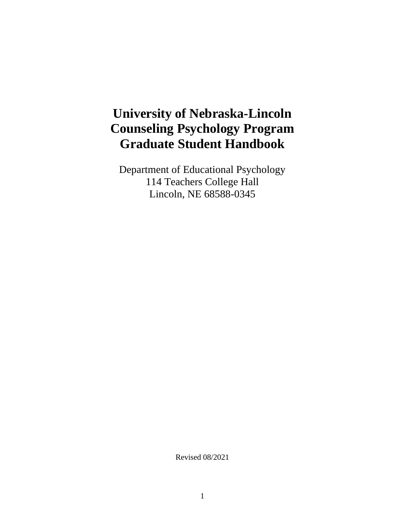# **University of Nebraska-Lincoln Counseling Psychology Program Graduate Student Handbook**

Department of Educational Psychology 114 Teachers College Hall Lincoln, NE 68588-0345

Revised 08/2021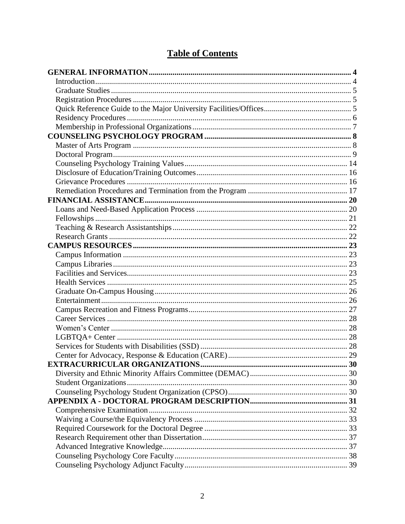## **Table of Contents**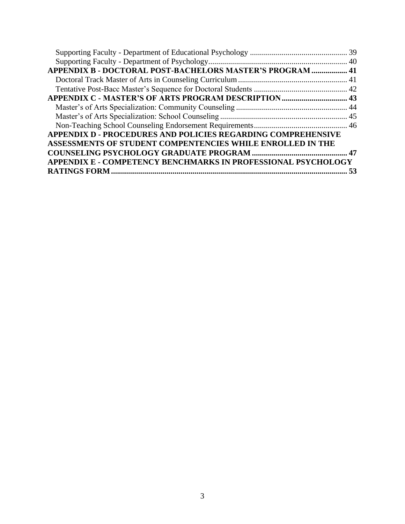| APPENDIX B - DOCTORAL POST-BACHELORS MASTER'S PROGRAM  41            |  |
|----------------------------------------------------------------------|--|
|                                                                      |  |
|                                                                      |  |
|                                                                      |  |
|                                                                      |  |
|                                                                      |  |
|                                                                      |  |
| <b>APPENDIX D - PROCEDURES AND POLICIES REGARDING COMPREHENSIVE</b>  |  |
| ASSESSMENTS OF STUDENT COMPENTENCIES WHILE ENROLLED IN THE           |  |
|                                                                      |  |
| <b>APPENDIX E - COMPETENCY BENCHMARKS IN PROFESSIONAL PSYCHOLOGY</b> |  |
|                                                                      |  |
|                                                                      |  |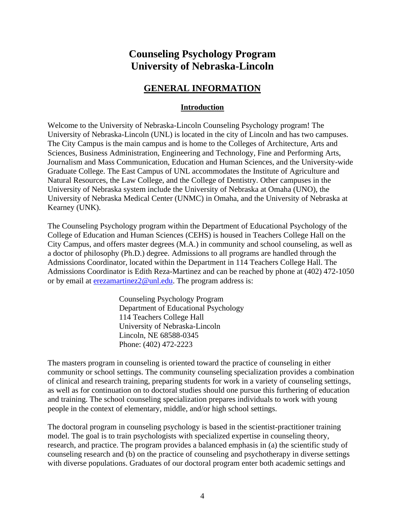## **Counseling Psychology Program University of Nebraska-Lincoln**

## **GENERAL INFORMATION**

## **Introduction**

Welcome to the University of Nebraska-Lincoln Counseling Psychology program! The University of Nebraska-Lincoln (UNL) is located in the city of Lincoln and has two campuses. The City Campus is the main campus and is home to the Colleges of Architecture, Arts and Sciences, Business Administration, Engineering and Technology, Fine and Performing Arts, Journalism and Mass Communication, Education and Human Sciences, and the University-wide Graduate College. The East Campus of UNL accommodates the Institute of Agriculture and Natural Resources, the Law College, and the College of Dentistry. Other campuses in the University of Nebraska system include the University of Nebraska at Omaha (UNO), the University of Nebraska Medical Center (UNMC) in Omaha, and the University of Nebraska at Kearney (UNK).

The Counseling Psychology program within the Department of Educational Psychology of the College of Education and Human Sciences (CEHS) is housed in Teachers College Hall on the City Campus, and offers master degrees (M.A.) in community and school counseling, as well as a doctor of philosophy (Ph.D.) degree. Admissions to all programs are handled through the Admissions Coordinator, located within the Department in 114 Teachers College Hall. The Admissions Coordinator is Edith Reza-Martinez and can be reached by phone at (402) 472-1050 or by email at [erezamartinez2@unl.edu.](mailto:erezamartinez2@unl.edu) The program address is:

> Counseling Psychology Program Department of Educational Psychology 114 Teachers College Hall University of Nebraska-Lincoln Lincoln, NE 68588-0345 Phone: (402) 472-2223

The masters program in counseling is oriented toward the practice of counseling in either community or school settings. The community counseling specialization provides a combination of clinical and research training, preparing students for work in a variety of counseling settings, as well as for continuation on to doctoral studies should one pursue this furthering of education and training. The school counseling specialization prepares individuals to work with young people in the context of elementary, middle, and/or high school settings.

The doctoral program in counseling psychology is based in the scientist-practitioner training model. The goal is to train psychologists with specialized expertise in counseling theory, research, and practice. The program provides a balanced emphasis in (a) the scientific study of counseling research and (b) on the practice of counseling and psychotherapy in diverse settings with diverse populations. Graduates of our doctoral program enter both academic settings and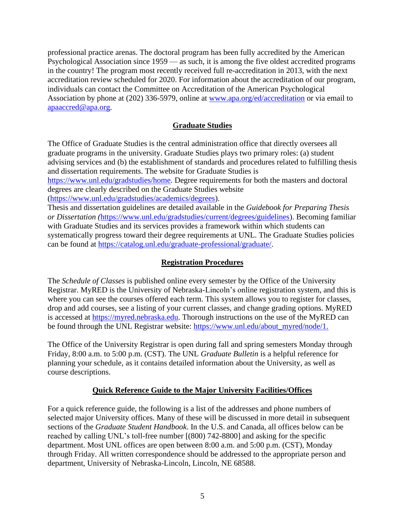professional practice arenas. The doctoral program has been fully accredited by the American Psychological Association since 1959 — as such, it is among the five oldest accredited programs in the country! The program most recently received full re-accreditation in 2013, with the next accreditation review scheduled for 2020. For information about the accreditation of our program, individuals can contact the Committee on Accreditation of the American Psychological Association by phone at (202) 336-5979, online at [www.apa.org/ed/accreditation](http://www.apa.org/ed/accreditation) or via email to [apaaccred@apa.org.](mailto:apaaccred@apa.org)

## **Graduate Studies**

The Office of Graduate Studies is the central administration office that directly oversees all graduate programs in the university. Graduate Studies plays two primary roles: (a) student advising services and (b) the establishment of standards and procedures related to fulfilling thesis and dissertation requirements. The website for Graduate Studies is [https://www.unl.edu/gradstudies/home.](https://www.unl.edu/gradstudies/home) Degree requirements for both the masters and doctoral degrees are clearly described on the Graduate Studies website [\(https://www.unl.edu/gradstudies/academics/degrees\)](https://www.unl.edu/gradstudies/academics/degrees). Thesis and dissertation guidelines are detailed available in the *Guidebook for Preparing Thesis or Dissertation (*[https://www.unl.edu/gradstudies/current/degrees/guidelines\)](https://www.unl.edu/gradstudies/current/degrees/guidelines). Becoming familiar

with Graduate Studies and its services provides a framework within which students can systematically progress toward their degree requirements at UNL. The Graduate Studies policies can be found at [https://catalog.unl.edu/graduate-professional/graduate/.](https://catalog.unl.edu/graduate-professional/graduate/)

## **Registration Procedures**

The *Schedule of Classes* is published online every semester by the Office of the University Registrar. MyRED is the University of Nebraska-Lincoln's online registration system, and this is where you can see the courses offered each term. This system allows you to register for classes, drop and add courses, see a listing of your current classes, and change grading options. MyRED is accessed at [https://myred.nebraska.edu.](https://myred.nebraska.edu/) Thorough instructions on the use of the MyRED can be found through the UNL Registrar website: [https://www.unl.edu/about\\_myred/node/1.](https://www.unl.edu/about_myred/node/1)

The Office of the University Registrar is open during fall and spring semesters Monday through Friday, 8:00 a.m. to 5:00 p.m. (CST). The UNL *Graduate Bulletin* is a helpful reference for planning your schedule, as it contains detailed information about the University, as well as course descriptions.

## **Quick Reference Guide to the Major University Facilities/Offices**

For a quick reference guide, the following is a list of the addresses and phone numbers of selected major University offices. Many of these will be discussed in more detail in subsequent sections of the *Graduate Student Handbook*. In the U.S. and Canada, all offices below can be reached by calling UNL's toll-free number [(800) 742-8800] and asking for the specific department. Most UNL offices are open between 8:00 a.m. and 5:00 p.m. (CST), Monday through Friday. All written correspondence should be addressed to the appropriate person and department, University of Nebraska-Lincoln, Lincoln, NE 68588.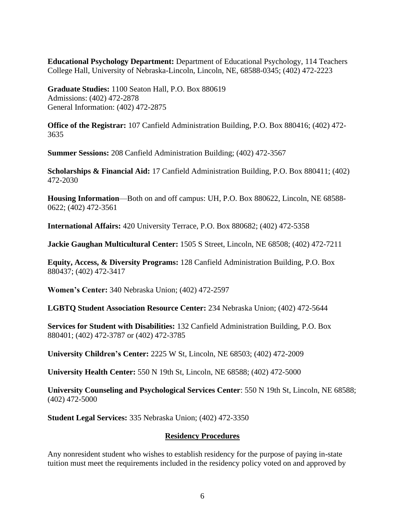**Educational Psychology Department:** Department of Educational Psychology, 114 Teachers College Hall, University of Nebraska-Lincoln, Lincoln, NE, 68588-0345; (402) 472-2223

**Graduate Studies:** 1100 Seaton Hall, P.O. Box 880619 Admissions: (402) 472-2878 General Information: (402) 472-2875

**Office of the Registrar:** 107 Canfield Administration Building, P.O. Box 880416; (402) 472- 3635

**Summer Sessions:** 208 Canfield Administration Building; (402) 472-3567

**Scholarships & Financial Aid:** 17 Canfield Administration Building, P.O. Box 880411; (402) 472-2030

**Housing Information**—Both on and off campus: UH, P.O. Box 880622, Lincoln, NE 68588- 0622; (402) 472-3561

**International Affairs:** 420 University Terrace, P.O. Box 880682; (402) 472-5358

**Jackie Gaughan Multicultural Center:** 1505 S Street, Lincoln, NE 68508; (402) 472-7211

**Equity, Access, & Diversity Programs:** 128 Canfield Administration Building, P.O. Box 880437; (402) 472-3417

**Women's Center:** 340 Nebraska Union; (402) 472-2597

**LGBTQ Student Association Resource Center:** 234 Nebraska Union; (402) 472-5644

**Services for Student with Disabilities:** 132 Canfield Administration Building, P.O. Box 880401; (402) 472-3787 or (402) 472-3785

**University Children's Center:** 2225 W St, Lincoln, NE 68503; (402) 472-2009

**University Health Center:** 550 N 19th St, Lincoln, NE 68588; (402) 472-5000

**University Counseling and Psychological Services Center**: 550 N 19th St, Lincoln, NE 68588; (402) 472-5000

**Student Legal Services:** 335 Nebraska Union; (402) 472-3350

#### **Residency Procedures**

Any nonresident student who wishes to establish residency for the purpose of paying in-state tuition must meet the requirements included in the residency policy voted on and approved by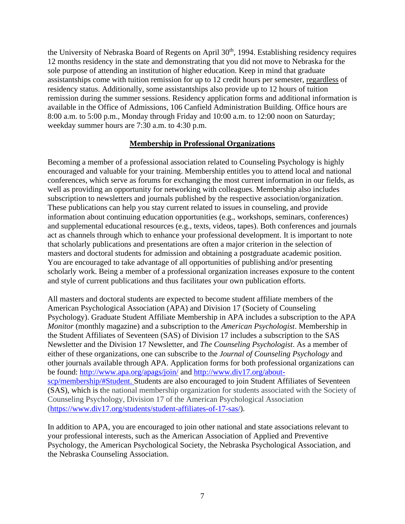the University of Nebraska Board of Regents on April 30<sup>th</sup>, 1994. Establishing residency requires 12 months residency in the state and demonstrating that you did not move to Nebraska for the sole purpose of attending an institution of higher education. Keep in mind that graduate assistantships come with tuition remission for up to 12 credit hours per semester, regardless of residency status. Additionally, some assistantships also provide up to 12 hours of tuition remission during the summer sessions. Residency application forms and additional information is available in the Office of Admissions, 106 Canfield Administration Building. Office hours are 8:00 a.m. to 5:00 p.m., Monday through Friday and 10:00 a.m. to 12:00 noon on Saturday; weekday summer hours are 7:30 a.m. to 4:30 p.m.

### **Membership in Professional Organizations**

Becoming a member of a professional association related to Counseling Psychology is highly encouraged and valuable for your training. Membership entitles you to attend local and national conferences, which serve as forums for exchanging the most current information in our fields, as well as providing an opportunity for networking with colleagues. Membership also includes subscription to newsletters and journals published by the respective association/organization. These publications can help you stay current related to issues in counseling, and provide information about continuing education opportunities (e.g., workshops, seminars, conferences) and supplemental educational resources (e.g., texts, videos, tapes). Both conferences and journals act as channels through which to enhance your professional development. It is important to note that scholarly publications and presentations are often a major criterion in the selection of masters and doctoral students for admission and obtaining a postgraduate academic position. You are encouraged to take advantage of all opportunities of publishing and/or presenting scholarly work. Being a member of a professional organization increases exposure to the content and style of current publications and thus facilitates your own publication efforts.

All masters and doctoral students are expected to become student affiliate members of the American Psychological Association (APA) and Division 17 (Society of Counseling Psychology). Graduate Student Affiliate Membership in APA includes a subscription to the APA *Monitor* (monthly magazine) and a subscription to the *American Psychologist*. Membership in the Student Affiliates of Seventeen (SAS) of Division 17 includes a subscription to the SAS Newsletter and the Division 17 Newsletter, and *The Counseling Psychologist*. As a member of either of these organizations, one can subscribe to the *Journal of Counseling Psychology* and other journals available through APA. Application forms for both professional organizations can be found:<http://www.apa.org/apags/join/> and [http://www.div17.org/about](http://www.div17.org/about-scp/membership/#Student)[scp/membership/#Student.](http://www.div17.org/about-scp/membership/#Student) Students are also encouraged to join Student Affiliates of Seventeen (SAS), which is the national membership organization for students associated with the Society of Counseling Psychology, Division 17 of the American Psychological Association [\(https://www.div17.org/students/student-affiliates-of-17-sas/\)](https://www.div17.org/students/student-affiliates-of-17-sas/).

In addition to APA, you are encouraged to join other national and state associations relevant to your professional interests, such as the American Association of Applied and Preventive Psychology, the American Psychological Society, the Nebraska Psychological Association, and the Nebraska Counseling Association.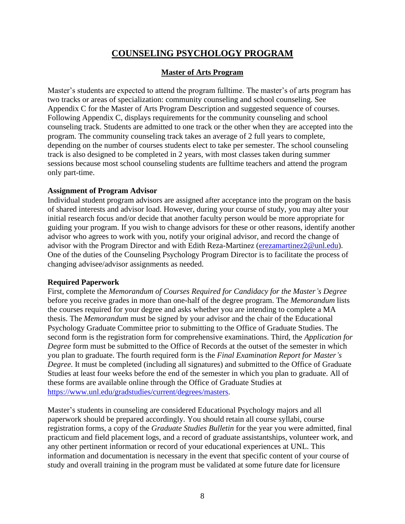## **COUNSELING PSYCHOLOGY PROGRAM**

## **Master of Arts Program**

Master's students are expected to attend the program fulltime. The master's of arts program has two tracks or areas of specialization: community counseling and school counseling. See Appendix C for the Master of Arts Program Description and suggested sequence of courses. Following Appendix C, displays requirements for the community counseling and school counseling track. Students are admitted to one track or the other when they are accepted into the program. The community counseling track takes an average of 2 full years to complete, depending on the number of courses students elect to take per semester. The school counseling track is also designed to be completed in 2 years, with most classes taken during summer sessions because most school counseling students are fulltime teachers and attend the program only part-time.

### **Assignment of Program Advisor**

Individual student program advisors are assigned after acceptance into the program on the basis of shared interests and advisor load. However, during your course of study, you may alter your initial research focus and/or decide that another faculty person would be more appropriate for guiding your program. If you wish to change advisors for these or other reasons, identify another advisor who agrees to work with you, notify your original advisor, and record the change of advisor with the Program Director and with Edith Reza-Martinez [\(erezamartinez2@unl.edu\)](mailto:erezamartinez2@unl.edu). One of the duties of the Counseling Psychology Program Director is to facilitate the process of changing advisee/advisor assignments as needed.

## **Required Paperwork**

First, complete the *Memorandum of Courses Required for Candidacy for the Master's Degree* before you receive grades in more than one-half of the degree program. The *Memorandum* lists the courses required for your degree and asks whether you are intending to complete a MA thesis. The *Memorandum* must be signed by your advisor and the chair of the Educational Psychology Graduate Committee prior to submitting to the Office of Graduate Studies. The second form is the registration form for comprehensive examinations. Third, the *Application for Degree* form must be submitted to the Office of Records at the outset of the semester in which you plan to graduate. The fourth required form is the *Final Examination Report for Master's Degree*. It must be completed (including all signatures) and submitted to the Office of Graduate Studies at least four weeks before the end of the semester in which you plan to graduate. All of these forms are available online through the Office of Graduate Studies at [https://www.unl.edu/gradstudies/current/degrees/masters.](https://www.unl.edu/gradstudies/current/degrees/masters)

Master's students in counseling are considered Educational Psychology majors and all paperwork should be prepared accordingly. You should retain all course syllabi, course registration forms, a copy of the *Graduate Studies Bulletin* for the year you were admitted, final practicum and field placement logs, and a record of graduate assistantships, volunteer work, and any other pertinent information or record of your educational experiences at UNL. This information and documentation is necessary in the event that specific content of your course of study and overall training in the program must be validated at some future date for licensure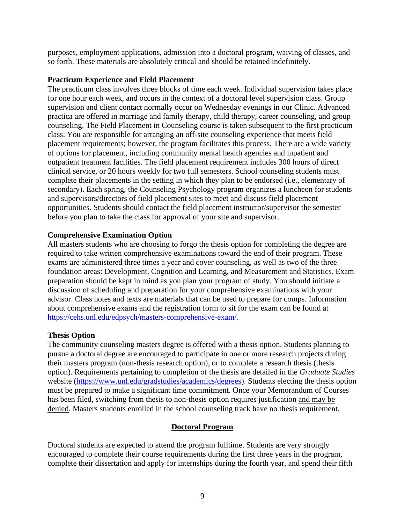purposes, employment applications, admission into a doctoral program, waiving of classes, and so forth. These materials are absolutely critical and should be retained indefinitely.

### **Practicum Experience and Field Placement**

The practicum class involves three blocks of time each week. Individual supervision takes place for one hour each week, and occurs in the context of a doctoral level supervision class. Group supervision and client contact normally occur on Wednesday evenings in our Clinic. Advanced practica are offered in marriage and family therapy, child therapy, career counseling, and group counseling. The Field Placement in Counseling course is taken subsequent to the first practicum class. You are responsible for arranging an off-site counseling experience that meets field placement requirements; however, the program facilitates this process. There are a wide variety of options for placement, including community mental health agencies and inpatient and outpatient treatment facilities. The field placement requirement includes 300 hours of direct clinical service, or 20 hours weekly for two full semesters. School counseling students must complete their placements in the setting in which they plan to be endorsed (i.e., elementary of secondary). Each spring, the Counseling Psychology program organizes a luncheon for students and supervisors/directors of field placement sites to meet and discuss field placement opportunities. Students should contact the field placement instructor/supervisor the semester before you plan to take the class for approval of your site and supervisor.

### **Comprehensive Examination Option**

All masters students who are choosing to forgo the thesis option for completing the degree are required to take written comprehensive examinations toward the end of their program. These exams are administered three times a year and cover counseling, as well as two of the three foundation areas: Development, Cognition and Learning, and Measurement and Statistics. Exam preparation should be kept in mind as you plan your program of study. You should initiate a discussion of scheduling and preparation for your comprehensive examinations with your advisor. Class notes and texts are materials that can be used to prepare for comps. Information about comprehensive exams and the registration form to sit for the exam can be found at [https://cehs.unl.edu/edpsych/masters-comprehensive-exam/.](https://cehs.unl.edu/edpsych/masters-comprehensive-exam/)

## **Thesis Option**

The community counseling masters degree is offered with a thesis option. Students planning to pursue a doctoral degree are encouraged to participate in one or more research projects during their masters program (non-thesis research option), or to complete a research thesis (thesis option). Requirements pertaining to completion of the thesis are detailed in the *Graduate Studies*  website [\(https://www.unl.edu/gradstudies/academics/degrees\)](https://www.unl.edu/gradstudies/academics/degrees). Students electing the thesis option must be prepared to make a significant time commitment. Once your Memorandum of Courses has been filed, switching from thesis to non-thesis option requires justification and may be denied. Masters students enrolled in the school counseling track have no thesis requirement.

## **Doctoral Program**

Doctoral students are expected to attend the program fulltime. Students are very strongly encouraged to complete their course requirements during the first three years in the program, complete their dissertation and apply for internships during the fourth year, and spend their fifth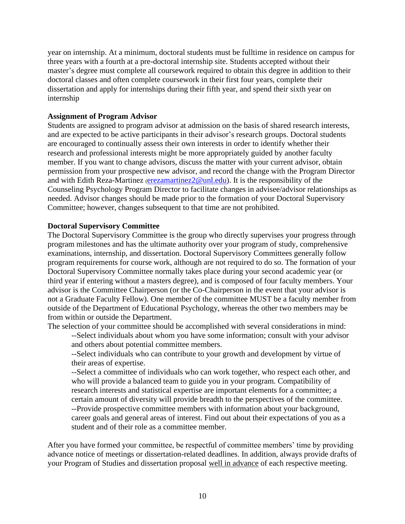year on internship. At a minimum, doctoral students must be fulltime in residence on campus for three years with a fourth at a pre-doctoral internship site. Students accepted without their master's degree must complete all coursework required to obtain this degree in addition to their doctoral classes and often complete coursework in their first four years, complete their dissertation and apply for internships during their fifth year, and spend their sixth year on internship

#### **Assignment of Program Advisor**

Students are assigned to program advisor at admission on the basis of shared research interests, and are expected to be active participants in their advisor's research groups. Doctoral students are encouraged to continually assess their own interests in order to identify whether their research and professional interests might be more appropriately guided by another faculty member. If you want to change advisors, discuss the matter with your current advisor, obtain permission from your prospective new advisor, and record the change with the Program Director and with Edith Reza-Martinez ([erezamartinez2@unl.edu\)](mailto:erezamartinez2@unl.edu). It is the responsibility of the Counseling Psychology Program Director to facilitate changes in advisee/advisor relationships as needed. Advisor changes should be made prior to the formation of your Doctoral Supervisory Committee; however, changes subsequent to that time are not prohibited.

#### **Doctoral Supervisory Committee**

The Doctoral Supervisory Committee is the group who directly supervises your progress through program milestones and has the ultimate authority over your program of study, comprehensive examinations, internship, and dissertation. Doctoral Supervisory Committees generally follow program requirements for course work, although are not required to do so. The formation of your Doctoral Supervisory Committee normally takes place during your second academic year (or third year if entering without a masters degree), and is composed of four faculty members. Your advisor is the Committee Chairperson (or the Co-Chairperson in the event that your advisor is not a Graduate Faculty Fellow). One member of the committee MUST be a faculty member from outside of the Department of Educational Psychology, whereas the other two members may be from within or outside the Department.

The selection of your committee should be accomplished with several considerations in mind: --Select individuals about whom you have some information; consult with your advisor and others about potential committee members.

--Select individuals who can contribute to your growth and development by virtue of their areas of expertise.

--Select a committee of individuals who can work together, who respect each other, and who will provide a balanced team to guide you in your program. Compatibility of research interests and statistical expertise are important elements for a committee; a certain amount of diversity will provide breadth to the perspectives of the committee. --Provide prospective committee members with information about your background, career goals and general areas of interest. Find out about their expectations of you as a student and of their role as a committee member.

After you have formed your committee, be respectful of committee members' time by providing advance notice of meetings or dissertation-related deadlines. In addition, always provide drafts of your Program of Studies and dissertation proposal well in advance of each respective meeting.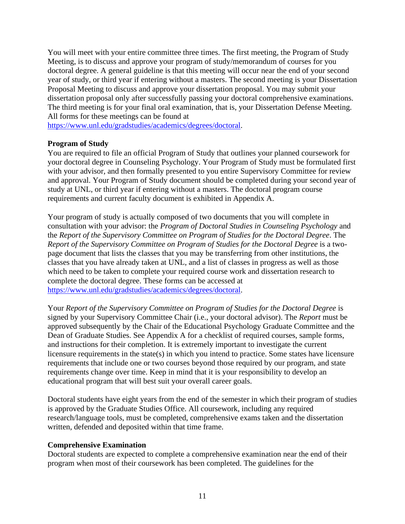You will meet with your entire committee three times. The first meeting, the Program of Study Meeting, is to discuss and approve your program of study/memorandum of courses for you doctoral degree. A general guideline is that this meeting will occur near the end of your second year of study, or third year if entering without a masters. The second meeting is your Dissertation Proposal Meeting to discuss and approve your dissertation proposal. You may submit your dissertation proposal only after successfully passing your doctoral comprehensive examinations. The third meeting is for your final oral examination, that is, your Dissertation Defense Meeting. All forms for these meetings can be found at

[https://www.unl.edu/gradstudies/academics/degrees/doctoral.](https://www.unl.edu/gradstudies/academics/degrees/doctoral)

### **Program of Study**

You are required to file an official Program of Study that outlines your planned coursework for your doctoral degree in Counseling Psychology. Your Program of Study must be formulated first with your advisor, and then formally presented to you entire Supervisory Committee for review and approval. Your Program of Study document should be completed during your second year of study at UNL, or third year if entering without a masters. The doctoral program course requirements and current faculty document is exhibited in Appendix A.

Your program of study is actually composed of two documents that you will complete in consultation with your advisor: the *Program of Doctoral Studies in Counseling Psychology* and the *Report of the Supervisory Committee on Program of Studies for the Doctoral Degree*. The *Report of the Supervisory Committee on Program of Studies for the Doctoral Degree* is a twopage document that lists the classes that you may be transferring from other institutions, the classes that you have already taken at UNL, and a list of classes in progress as well as those which need to be taken to complete your required course work and dissertation research to complete the doctoral degree. These forms can be accessed at [https://www.unl.edu/gradstudies/academics/degrees/doctoral.](https://www.unl.edu/gradstudies/academics/degrees/doctoral)

Your *Report of the Supervisory Committee on Program of Studies for the Doctoral Degree* is signed by your Supervisory Committee Chair (i.e., your doctoral advisor). The *Report* must be approved subsequently by the Chair of the Educational Psychology Graduate Committee and the Dean of Graduate Studies. See Appendix A for a checklist of required courses, sample forms, and instructions for their completion. It is extremely important to investigate the current licensure requirements in the state(s) in which you intend to practice. Some states have licensure requirements that include one or two courses beyond those required by our program, and state requirements change over time. Keep in mind that it is your responsibility to develop an educational program that will best suit your overall career goals.

Doctoral students have eight years from the end of the semester in which their program of studies is approved by the Graduate Studies Office. All coursework, including any required research/language tools, must be completed, comprehensive exams taken and the dissertation written, defended and deposited within that time frame.

#### **Comprehensive Examination**

Doctoral students are expected to complete a comprehensive examination near the end of their program when most of their coursework has been completed. The guidelines for the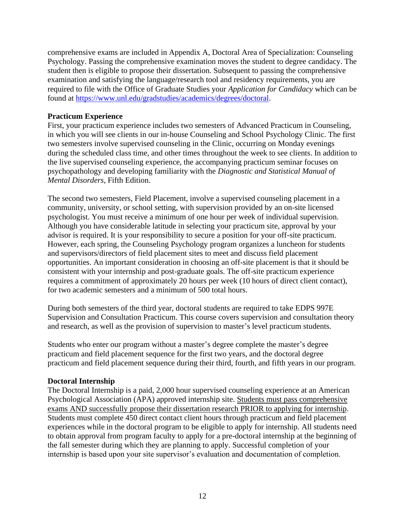comprehensive exams are included in Appendix A, Doctoral Area of Specialization: Counseling Psychology. Passing the comprehensive examination moves the student to degree candidacy. The student then is eligible to propose their dissertation. Subsequent to passing the comprehensive examination and satisfying the language/research tool and residency requirements, you are required to file with the Office of Graduate Studies your *Application for Candidacy* which can be found at [https://www.unl.edu/gradstudies/academics/degrees/doctoral.](https://www.unl.edu/gradstudies/academics/degrees/doctoral)

### **Practicum Experience**

First, your practicum experience includes two semesters of Advanced Practicum in Counseling, in which you will see clients in our in-house Counseling and School Psychology Clinic. The first two semesters involve supervised counseling in the Clinic, occurring on Monday evenings during the scheduled class time, and other times throughout the week to see clients. In addition to the live supervised counseling experience, the accompanying practicum seminar focuses on psychopathology and developing familiarity with the *Diagnostic and Statistical Manual of Mental Disorders*, Fifth Edition.

The second two semesters, Field Placement, involve a supervised counseling placement in a community, university, or school setting, with supervision provided by an on-site licensed psychologist. You must receive a minimum of one hour per week of individual supervision. Although you have considerable latitude in selecting your practicum site, approval by your advisor is required. It is your responsibility to secure a position for your off-site practicum. However, each spring, the Counseling Psychology program organizes a luncheon for students and supervisors/directors of field placement sites to meet and discuss field placement opportunities. An important consideration in choosing an off-site placement is that it should be consistent with your internship and post-graduate goals. The off-site practicum experience requires a commitment of approximately 20 hours per week (10 hours of direct client contact), for two academic semesters and a minimum of 500 total hours.

During both semesters of the third year, doctoral students are required to take EDPS 997E Supervision and Consultation Practicum. This course covers supervision and consultation theory and research, as well as the provision of supervision to master's level practicum students.

Students who enter our program without a master's degree complete the master's degree practicum and field placement sequence for the first two years, and the doctoral degree practicum and field placement sequence during their third, fourth, and fifth years in our program.

#### **Doctoral Internship**

The Doctoral Internship is a paid, 2,000 hour supervised counseling experience at an American Psychological Association (APA) approved internship site. Students must pass comprehensive exams AND successfully propose their dissertation research PRIOR to applying for internship. Students must complete 450 direct contact client hours through practicum and field placement experiences while in the doctoral program to be eligible to apply for internship. All students need to obtain approval from program faculty to apply for a pre-doctoral internship at the beginning of the fall semester during which they are planning to apply. Successful completion of your internship is based upon your site supervisor's evaluation and documentation of completion.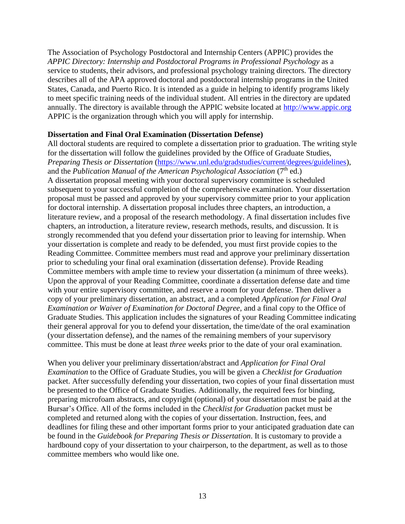The Association of Psychology Postdoctoral and Internship Centers (APPIC) provides the *APPIC Directory: Internship and Postdoctoral Programs in Professional Psychology* as a service to students, their advisors, and professional psychology training directors. The directory describes all of the APA approved doctoral and postdoctoral internship programs in the United States, Canada, and Puerto Rico. It is intended as a guide in helping to identify programs likely to meet specific training needs of the individual student. All entries in the directory are updated annually. The directory is available through the APPIC website located at [http://www.appic.org](http://www.appic.org/) APPIC is the organization through which you will apply for internship.

#### **Dissertation and Final Oral Examination (Dissertation Defense)**

All doctoral students are required to complete a dissertation prior to graduation. The writing style for the dissertation will follow the guidelines provided by the Office of Graduate Studies, *Preparing Thesis or Dissertation* [\(https://www.unl.edu/gradstudies/current/degrees/guidelines\)](https://www.unl.edu/gradstudies/current/degrees/guidelines), and the *Publication Manual of the American Psychological Association* (7<sup>th</sup> ed.) A dissertation proposal meeting with your doctoral supervisory committee is scheduled subsequent to your successful completion of the comprehensive examination. Your dissertation proposal must be passed and approved by your supervisory committee prior to your application for doctoral internship. A dissertation proposal includes three chapters, an introduction, a literature review, and a proposal of the research methodology. A final dissertation includes five chapters, an introduction, a literature review, research methods, results, and discussion. It is strongly recommended that you defend your dissertation prior to leaving for internship. When your dissertation is complete and ready to be defended, you must first provide copies to the Reading Committee. Committee members must read and approve your preliminary dissertation prior to scheduling your final oral examination (dissertation defense). Provide Reading Committee members with ample time to review your dissertation (a minimum of three weeks). Upon the approval of your Reading Committee, coordinate a dissertation defense date and time with your entire supervisory committee, and reserve a room for your defense. Then deliver a copy of your preliminary dissertation, an abstract, and a completed *Application for Final Oral Examination or Waiver of Examination for Doctoral Degree*, and a final copy to the Office of Graduate Studies. This application includes the signatures of your Reading Committee indicating their general approval for you to defend your dissertation, the time/date of the oral examination (your dissertation defense), and the names of the remaining members of your supervisory committee. This must be done at least *three weeks* prior to the date of your oral examination.

When you deliver your preliminary dissertation/abstract and *Application for Final Oral Examination* to the Office of Graduate Studies, you will be given a *Checklist for Graduation* packet. After successfully defending your dissertation, two copies of your final dissertation must be presented to the Office of Graduate Studies. Additionally, the required fees for binding, preparing microfoam abstracts, and copyright (optional) of your dissertation must be paid at the Bursar's Office. All of the forms included in the *Checklist for Graduation* packet must be completed and returned along with the copies of your dissertation. Instruction, fees, and deadlines for filing these and other important forms prior to your anticipated graduation date can be found in the *Guidebook for Preparing Thesis or Dissertation*. It is customary to provide a hardbound copy of your dissertation to your chairperson, to the department, as well as to those committee members who would like one.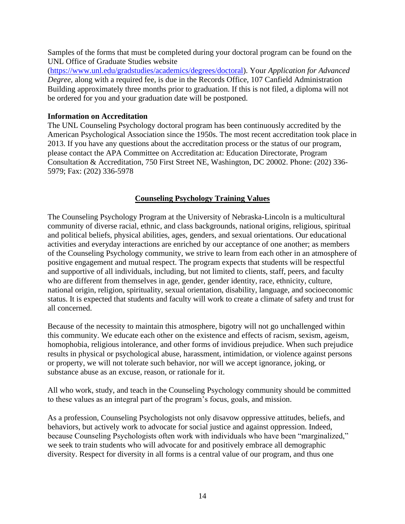Samples of the forms that must be completed during your doctoral program can be found on the UNL Office of Graduate Studies website

[\(https://www.unl.edu/gradstudies/academics/degrees/doctoral\)](https://www.unl.edu/gradstudies/academics/degrees/doctoral). Your *Application for Advanced Degree*, along with a required fee, is due in the Records Office, 107 Canfield Administration Building approximately three months prior to graduation. If this is not filed, a diploma will not be ordered for you and your graduation date will be postponed.

#### **Information on Accreditation**

The UNL Counseling Psychology doctoral program has been continuously accredited by the American Psychological Association since the 1950s. The most recent accreditation took place in 2013. If you have any questions about the accreditation process or the status of our program, please contact the APA Committee on Accreditation at: Education Directorate, [Program](mailto:apaaccred@apa.org)  [Consultation & Accreditation,](mailto:apaaccred@apa.org) 750 First Street NE, Washington, DC 20002. Phone: (202) 336- 5979; Fax: (202) 336-5978

## **Counseling Psychology Training Values**

The Counseling Psychology Program at the University of Nebraska-Lincoln is a multicultural community of diverse racial, ethnic, and class backgrounds, national origins, religious, spiritual and political beliefs, physical abilities, ages, genders, and sexual orientations. Our educational activities and everyday interactions are enriched by our acceptance of one another; as members of the Counseling Psychology community, we strive to learn from each other in an atmosphere of positive engagement and mutual respect. The program expects that students will be respectful and supportive of all individuals, including, but not limited to clients, staff, peers, and faculty who are different from themselves in age, gender, gender identity, race, ethnicity, culture, national origin, religion, spirituality, sexual orientation, disability, language, and socioeconomic status. It is expected that students and faculty will work to create a climate of safety and trust for all concerned.

Because of the necessity to maintain this atmosphere, bigotry will not go unchallenged within this community. We educate each other on the existence and effects of racism, sexism, ageism, homophobia, religious intolerance, and other forms of invidious prejudice. When such prejudice results in physical or psychological abuse, harassment, intimidation, or violence against persons or property, we will not tolerate such behavior, nor will we accept ignorance, joking, or substance abuse as an excuse, reason, or rationale for it.

All who work, study, and teach in the Counseling Psychology community should be committed to these values as an integral part of the program's focus, goals, and mission.

As a profession, Counseling Psychologists not only disavow oppressive attitudes, beliefs, and behaviors, but actively work to advocate for social justice and against oppression. Indeed, because Counseling Psychologists often work with individuals who have been "marginalized," we seek to train students who will advocate for and positively embrace all demographic diversity. Respect for diversity in all forms is a central value of our program, and thus one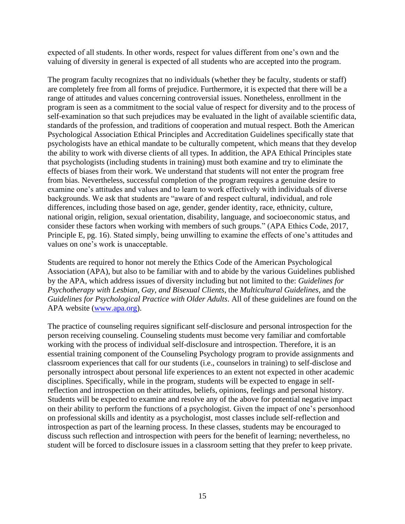expected of all students. In other words, respect for values different from one's own and the valuing of diversity in general is expected of all students who are accepted into the program.

The program faculty recognizes that no individuals (whether they be faculty, students or staff) are completely free from all forms of prejudice. Furthermore, it is expected that there will be a range of attitudes and values concerning controversial issues. Nonetheless, enrollment in the program is seen as a commitment to the social value of respect for diversity and to the process of self-examination so that such prejudices may be evaluated in the light of available scientific data, standards of the profession, and traditions of cooperation and mutual respect. Both the American Psychological Association Ethical Principles and Accreditation Guidelines specifically state that psychologists have an ethical mandate to be culturally competent, which means that they develop the ability to work with diverse clients of all types. In addition, the APA Ethical Principles state that psychologists (including students in training) must both examine and try to eliminate the effects of biases from their work. We understand that students will not enter the program free from bias. Nevertheless, successful completion of the program requires a genuine desire to examine one's attitudes and values and to learn to work effectively with individuals of diverse backgrounds. We ask that students are "aware of and respect cultural, individual, and role differences, including those based on age, gender, gender identity, race, ethnicity, culture, national origin, religion, sexual orientation, disability, language, and socioeconomic status, and consider these factors when working with members of such groups." (APA Ethics Code, 2017, Principle E, pg. 16). Stated simply, being unwilling to examine the effects of one's attitudes and values on one's work is unacceptable.

Students are required to honor not merely the Ethics Code of the American Psychological Association (APA), but also to be familiar with and to abide by the various Guidelines published by the APA, which address issues of diversity including but not limited to the: *Guidelines for Psychotherapy with Lesbian, Gay, and Bisexual Clients*, the *Multicultural Guidelines*, and the *Guidelines for Psychological Practice with Older Adults*. All of these guidelines are found on the APA website [\(www.apa.org\)](http://www.apa.org/).

The practice of counseling requires significant self-disclosure and personal introspection for the person receiving counseling. Counseling students must become very familiar and comfortable working with the process of individual self-disclosure and introspection. Therefore, it is an essential training component of the Counseling Psychology program to provide assignments and classroom experiences that call for our students (i.e., counselors in training) to self-disclose and personally introspect about personal life experiences to an extent not expected in other academic disciplines. Specifically, while in the program, students will be expected to engage in selfreflection and introspection on their attitudes, beliefs, opinions, feelings and personal history. Students will be expected to examine and resolve any of the above for potential negative impact on their ability to perform the functions of a psychologist. Given the impact of one's personhood on professional skills and identity as a psychologist, most classes include self-reflection and introspection as part of the learning process. In these classes, students may be encouraged to discuss such reflection and introspection with peers for the benefit of learning; nevertheless, no student will be forced to disclosure issues in a classroom setting that they prefer to keep private.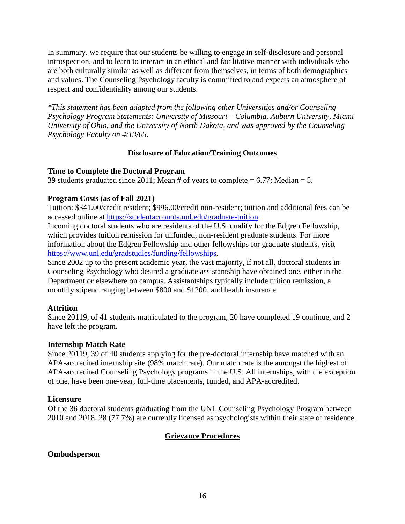In summary, we require that our students be willing to engage in self-disclosure and personal introspection, and to learn to interact in an ethical and facilitative manner with individuals who are both culturally similar as well as different from themselves, in terms of both demographics and values. The Counseling Psychology faculty is committed to and expects an atmosphere of respect and confidentiality among our students.

*\*This statement has been adapted from the following other Universities and/or Counseling Psychology Program Statements: University of Missouri – Columbia, Auburn University, Miami University of Ohio, and the University of North Dakota, and was approved by the Counseling Psychology Faculty on 4/13/05.*

## **Disclosure of Education/Training Outcomes**

## **Time to Complete the Doctoral Program**

39 students graduated since 2011; Mean # of years to complete  $= 6.77$ ; Median  $= 5$ .

## **Program Costs (as of Fall 2021)**

Tuition: \$341.00/credit resident; \$996.00/credit non-resident; tuition and additional fees can be accessed online at [https://studentaccounts.unl.edu/graduate-tuition.](https://studentaccounts.unl.edu/graduate-tuition)

Incoming doctoral students who are residents of the U.S. qualify for the Edgren Fellowship, which provides tuition remission for unfunded, non-resident graduate students. For more information about the Edgren Fellowship and other fellowships for graduate students, visit [https://www.unl.edu/gradstudies/funding/fellowships.](https://www.unl.edu/gradstudies/funding/fellowships)

Since 2002 up to the present academic year, the vast majority, if not all, doctoral students in Counseling Psychology who desired a graduate assistantship have obtained one, either in the Department or elsewhere on campus. Assistantships typically include tuition remission, a monthly stipend ranging between \$800 and \$1200, and health insurance.

## **Attrition**

Since 20119, of 41 students matriculated to the program, 20 have completed 19 continue, and 2 have left the program.

## **Internship Match Rate**

Since 20119, 39 of 40 students applying for the pre-doctoral internship have matched with an APA-accredited internship site (98% match rate). Our match rate is the amongst the highest of APA-accredited Counseling Psychology programs in the U.S. All internships, with the exception of one, have been one-year, full-time placements, funded, and APA-accredited.

## **Licensure**

Of the 36 doctoral students graduating from the UNL Counseling Psychology Program between 2010 and 2018, 28 (77.7%) are currently licensed as psychologists within their state of residence.

## **Grievance Procedures**

## **Ombudsperson**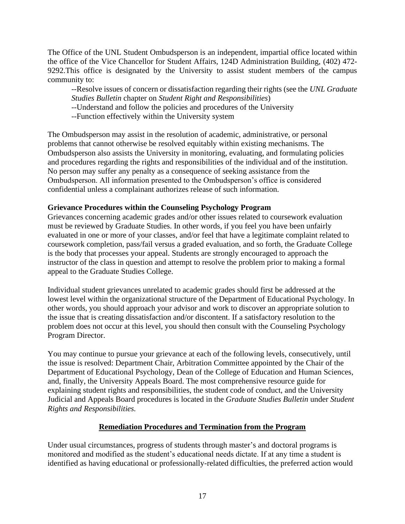The Office of the UNL Student Ombudsperson is an independent, impartial office located within the office of the Vice Chancellor for Student Affairs, 124D Administration Building, (402) 472- 9292.This office is designated by the University to assist student members of the campus community to:

--Resolve issues of concern or dissatisfaction regarding their rights (see the *UNL Graduate Studies Bulletin* chapter on *Student Right and Responsibilities*)

--Understand and follow the policies and procedures of the University

--Function effectively within the University system

The Ombudsperson may assist in the resolution of academic, administrative, or personal problems that cannot otherwise be resolved equitably within existing mechanisms. The Ombudsperson also assists the University in monitoring, evaluating, and formulating policies and procedures regarding the rights and responsibilities of the individual and of the institution. No person may suffer any penalty as a consequence of seeking assistance from the Ombudsperson. All information presented to the Ombudsperson's office is considered confidential unless a complainant authorizes release of such information.

## **Grievance Procedures within the Counseling Psychology Program**

Grievances concerning academic grades and/or other issues related to coursework evaluation must be reviewed by Graduate Studies. In other words, if you feel you have been unfairly evaluated in one or more of your classes, and/or feel that have a legitimate complaint related to coursework completion, pass/fail versus a graded evaluation, and so forth, the Graduate College is the body that processes your appeal. Students are strongly encouraged to approach the instructor of the class in question and attempt to resolve the problem prior to making a formal appeal to the Graduate Studies College.

Individual student grievances unrelated to academic grades should first be addressed at the lowest level within the organizational structure of the Department of Educational Psychology. In other words, you should approach your advisor and work to discover an appropriate solution to the issue that is creating dissatisfaction and/or discontent. If a satisfactory resolution to the problem does not occur at this level, you should then consult with the Counseling Psychology Program Director.

You may continue to pursue your grievance at each of the following levels, consecutively, until the issue is resolved: Department Chair, Arbitration Committee appointed by the Chair of the Department of Educational Psychology, Dean of the College of Education and Human Sciences, and, finally, the University Appeals Board. The most comprehensive resource guide for explaining student rights and responsibilities, the student code of conduct, and the University Judicial and Appeals Board procedures is located in the *Graduate Studies Bulletin* under *Student Rights and Responsibilities.*

## **Remediation Procedures and Termination from the Program**

Under usual circumstances, progress of students through master's and doctoral programs is monitored and modified as the student's educational needs dictate. If at any time a student is identified as having educational or professionally-related difficulties, the preferred action would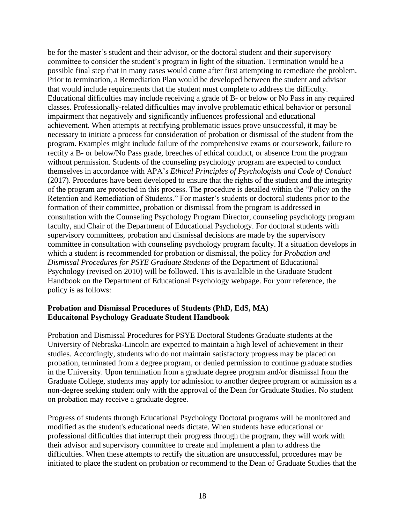be for the master's student and their advisor, or the doctoral student and their supervisory committee to consider the student's program in light of the situation. Termination would be a possible final step that in many cases would come after first attempting to remediate the problem. Prior to termination, a Remediation Plan would be developed between the student and advisor that would include requirements that the student must complete to address the difficulty. Educational difficulties may include receiving a grade of B- or below or No Pass in any required classes. Professionally-related difficulties may involve problematic ethical behavior or personal impairment that negatively and significantly influences professional and educational achievement. When attempts at rectifying problematic issues prove unsuccessful, it may be necessary to initiate a process for consideration of probation or dismissal of the student from the program. Examples might include failure of the comprehensive exams or coursework, failure to rectify a B- or below/No Pass grade, breeches of ethical conduct, or absence from the program without permission. Students of the counseling psychology program are expected to conduct themselves in accordance with APA's *Ethical Principles of Psychologists and Code of Conduct* (2017). Procedures have been developed to ensure that the rights of the student and the integrity of the program are protected in this process. The procedure is detailed within the "Policy on the Retention and Remediation of Students." For master's students or doctoral students prior to the formation of their committee, probation or dismissal from the program is addressed in consultation with the Counseling Psychology Program Director, counseling psychology program faculty, and Chair of the Department of Educational Psychology. For doctoral students with supervisory committees, probation and dismissal decisions are made by the supervisory committee in consultation with counseling psychology program faculty. If a situation develops in which a student is recommended for probation or dismissal, the policy for *Probation and Dismissal Procedures for PSYE Graduate Students* of the Department of Educational Psychology (revised on 2010) will be followed. This is availalble in the Graduate Student Handbook on the Department of Educational Psychology webpage. For your reference, the policy is as follows:

## **Probation and Dismissal Procedures of Students (PhD, EdS, MA) Educaitonal Psychology Graduate Student Handbook**

Probation and Dismissal Procedures for PSYE Doctoral Students Graduate students at the University of Nebraska-Lincoln are expected to maintain a high level of achievement in their studies. Accordingly, students who do not maintain satisfactory progress may be placed on probation, terminated from a degree program, or denied permission to continue graduate studies in the University. Upon termination from a graduate degree program and/or dismissal from the Graduate College, students may apply for admission to another degree program or admission as a non-degree seeking student only with the approval of the Dean for Graduate Studies. No student on probation may receive a graduate degree.

Progress of students through Educational Psychology Doctoral programs will be monitored and modified as the student's educational needs dictate. When students have educational or professional difficulties that interrupt their progress through the program, they will work with their advisor and supervisory committee to create and implement a plan to address the difficulties. When these attempts to rectify the situation are unsuccessful, procedures may be initiated to place the student on probation or recommend to the Dean of Graduate Studies that the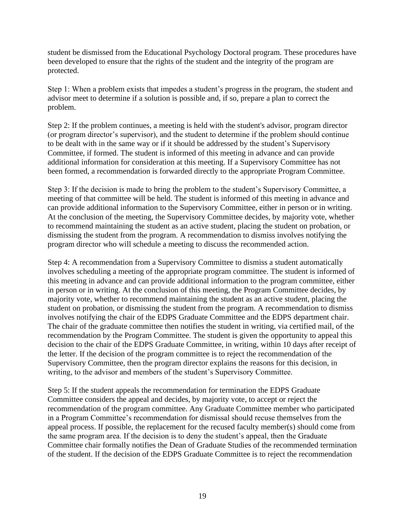student be dismissed from the Educational Psychology Doctoral program. These procedures have been developed to ensure that the rights of the student and the integrity of the program are protected.

Step 1: When a problem exists that impedes a student's progress in the program, the student and advisor meet to determine if a solution is possible and, if so, prepare a plan to correct the problem.

Step 2: If the problem continues, a meeting is held with the student's advisor, program director (or program director's supervisor), and the student to determine if the problem should continue to be dealt with in the same way or if it should be addressed by the student's Supervisory Committee, if formed. The student is informed of this meeting in advance and can provide additional information for consideration at this meeting. If a Supervisory Committee has not been formed, a recommendation is forwarded directly to the appropriate Program Committee.

Step 3: If the decision is made to bring the problem to the student's Supervisory Committee, a meeting of that committee will be held. The student is informed of this meeting in advance and can provide additional information to the Supervisory Committee, either in person or in writing. At the conclusion of the meeting, the Supervisory Committee decides, by majority vote, whether to recommend maintaining the student as an active student, placing the student on probation, or dismissing the student from the program. A recommendation to dismiss involves notifying the program director who will schedule a meeting to discuss the recommended action.

Step 4: A recommendation from a Supervisory Committee to dismiss a student automatically involves scheduling a meeting of the appropriate program committee. The student is informed of this meeting in advance and can provide additional information to the program committee, either in person or in writing. At the conclusion of this meeting, the Program Committee decides, by majority vote, whether to recommend maintaining the student as an active student, placing the student on probation, or dismissing the student from the program. A recommendation to dismiss involves notifying the chair of the EDPS Graduate Committee and the EDPS department chair. The chair of the graduate committee then notifies the student in writing, via certified mail, of the recommendation by the Program Committee. The student is given the opportunity to appeal this decision to the chair of the EDPS Graduate Committee, in writing, within 10 days after receipt of the letter. If the decision of the program committee is to reject the recommendation of the Supervisory Committee, then the program director explains the reasons for this decision, in writing, to the advisor and members of the student's Supervisory Committee.

Step 5: If the student appeals the recommendation for termination the EDPS Graduate Committee considers the appeal and decides, by majority vote, to accept or reject the recommendation of the program committee. Any Graduate Committee member who participated in a Program Committee's recommendation for dismissal should recuse themselves from the appeal process. If possible, the replacement for the recused faculty member(s) should come from the same program area. If the decision is to deny the student's appeal, then the Graduate Committee chair formally notifies the Dean of Graduate Studies of the recommended termination of the student. If the decision of the EDPS Graduate Committee is to reject the recommendation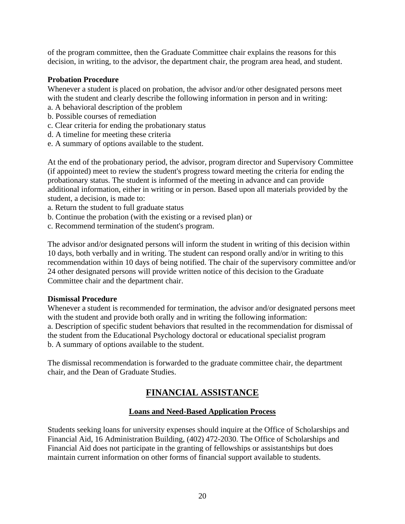of the program committee, then the Graduate Committee chair explains the reasons for this decision, in writing, to the advisor, the department chair, the program area head, and student.

### **Probation Procedure**

Whenever a student is placed on probation, the advisor and/or other designated persons meet with the student and clearly describe the following information in person and in writing:

- a. A behavioral description of the problem
- b. Possible courses of remediation
- c. Clear criteria for ending the probationary status
- d. A timeline for meeting these criteria
- e. A summary of options available to the student.

At the end of the probationary period, the advisor, program director and Supervisory Committee (if appointed) meet to review the student's progress toward meeting the criteria for ending the probationary status. The student is informed of the meeting in advance and can provide additional information, either in writing or in person. Based upon all materials provided by the student, a decision, is made to:

- a. Return the student to full graduate status
- b. Continue the probation (with the existing or a revised plan) or
- c. Recommend termination of the student's program.

The advisor and/or designated persons will inform the student in writing of this decision within 10 days, both verbally and in writing. The student can respond orally and/or in writing to this recommendation within 10 days of being notified. The chair of the supervisory committee and/or 24 other designated persons will provide written notice of this decision to the Graduate Committee chair and the department chair.

#### **Dismissal Procedure**

Whenever a student is recommended for termination, the advisor and/or designated persons meet with the student and provide both orally and in writing the following information: a. Description of specific student behaviors that resulted in the recommendation for dismissal of the student from the Educational Psychology doctoral or educational specialist program b. A summary of options available to the student.

The dismissal recommendation is forwarded to the graduate committee chair, the department chair, and the Dean of Graduate Studies.

## **FINANCIAL ASSISTANCE**

## **Loans and Need-Based Application Process**

Students seeking loans for university expenses should inquire at the Office of Scholarships and Financial Aid, 16 Administration Building, (402) 472-2030. The Office of Scholarships and Financial Aid does not participate in the granting of fellowships or assistantships but does maintain current information on other forms of financial support available to students.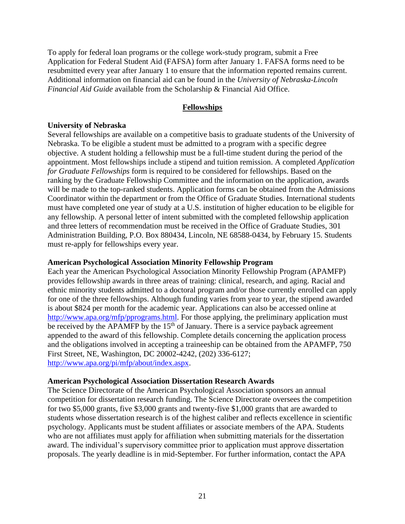To apply for federal loan programs or the college work-study program, submit a Free Application for Federal Student Aid (FAFSA) form after January 1. FAFSA forms need to be resubmitted every year after January 1 to ensure that the information reported remains current. Additional information on financial aid can be found in the *University of Nebraska-Lincoln Financial Aid Guide* available from the Scholarship & Financial Aid Office.

#### **Fellowships**

### **University of Nebraska**

Several fellowships are available on a competitive basis to graduate students of the University of Nebraska. To be eligible a student must be admitted to a program with a specific degree objective. A student holding a fellowship must be a full-time student during the period of the appointment. Most fellowships include a stipend and tuition remission. A completed *Application for Graduate Fellowships* form is required to be considered for fellowships. Based on the ranking by the Graduate Fellowship Committee and the information on the application, awards will be made to the top-ranked students. Application forms can be obtained from the Admissions Coordinator within the department or from the Office of Graduate Studies. International students must have completed one year of study at a U.S. institution of higher education to be eligible for any fellowship. A personal letter of intent submitted with the completed fellowship application and three letters of recommendation must be received in the Office of Graduate Studies, 301 Administration Building, P.O. Box 880434, Lincoln, NE 68588-0434, by February 15. Students must re-apply for fellowships every year.

#### **American Psychological Association Minority Fellowship Program**

Each year the American Psychological Association Minority Fellowship Program (APAMFP) provides fellowship awards in three areas of training: clinical, research, and aging. Racial and ethnic minority students admitted to a doctoral program and/or those currently enrolled can apply for one of the three fellowships. Although funding varies from year to year, the stipend awarded is about \$824 per month for the academic year. Applications can also be accessed online at [http://www.apa.org/mfp/pprograms.html.](http://www.apa.org/mfp/pprograms.html) For those applying, the preliminary application must be received by the APAMFP by the  $15<sup>th</sup>$  of January. There is a service payback agreement appended to the award of this fellowship. Complete details concerning the application process and the obligations involved in accepting a traineeship can be obtained from the APAMFP, 750 First Street, NE, Washington, DC 20002-4242, (202) 336-6127; [http://www.apa.org/pi/mfp/about/index.aspx.](http://www.apa.org/pi/mfp/about/index.aspx)

#### **American Psychological Association Dissertation Research Awards**

The Science Directorate of the American Psychological Association sponsors an annual competition for dissertation research funding. The Science Directorate oversees the competition for two \$5,000 grants, five \$3,000 grants and twenty-five \$1,000 grants that are awarded to students whose dissertation research is of the highest caliber and reflects excellence in scientific psychology. Applicants must be student affiliates or associate members of the APA. Students who are not affiliates must apply for affiliation when submitting materials for the dissertation award. The individual's supervisory committee prior to application must approve dissertation proposals. The yearly deadline is in mid-September. For further information, contact the APA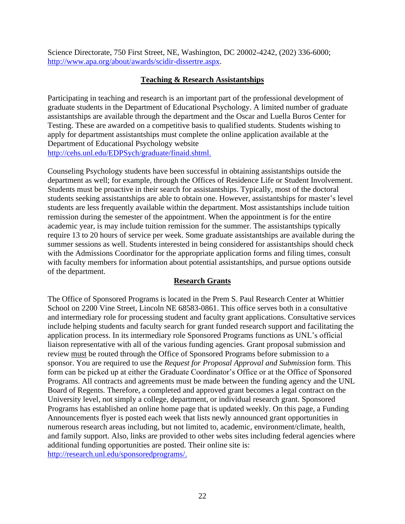Science Directorate, 750 First Street, NE, Washington, DC 20002-4242, (202) 336-6000; [http://www.apa.org/about/awards/scidir-dissertre.aspx.](http://www.apa.org/about/awards/scidir-dissertre.aspx)

## **Teaching & Research Assistantships**

Participating in teaching and research is an important part of the professional development of graduate students in the Department of Educational Psychology. A limited number of graduate assistantships are available through the department and the Oscar and Luella Buros Center for Testing. These are awarded on a competitive basis to qualified students. Students wishing to apply for department assistantships must complete the online application available at the Department of Educational Psychology website [http://cehs.unl.edu/EDPSych/graduate/finaid.shtml.](http://cehs.unl.edu/EDPSych/graduate/finaid.shtml)

Counseling Psychology students have been successful in obtaining assistantships outside the department as well; for example, through the Offices of Residence Life or Student Involvement. Students must be proactive in their search for assistantships. Typically, most of the doctoral students seeking assistantships are able to obtain one. However, assistantships for master's level students are less frequently available within the department. Most assistantships include tuition remission during the semester of the appointment. When the appointment is for the entire academic year, is may include tuition remission for the summer. The assistantships typically require 13 to 20 hours of service per week. Some graduate assistantships are available during the summer sessions as well. Students interested in being considered for assistantships should check with the Admissions Coordinator for the appropriate application forms and filing times, consult with faculty members for information about potential assistantships, and pursue options outside of the department.

## **Research Grants**

The Office of Sponsored Programs is located in the Prem S. Paul Research Center at Whittier School on 2200 Vine Street, Lincoln NE 68583-0861. This office serves both in a consultative and intermediary role for processing student and faculty grant applications. Consultative services include helping students and faculty search for grant funded research support and facilitating the application process. In its intermediary role Sponsored Programs functions as UNL's official liaison representative with all of the various funding agencies. Grant proposal submission and review must be routed through the Office of Sponsored Programs before submission to a sponsor. You are required to use the *Request for Proposal Approval and Submission* form. This form can be picked up at either the Graduate Coordinator's Office or at the Office of Sponsored Programs. All contracts and agreements must be made between the funding agency and the UNL Board of Regents. Therefore, a completed and approved grant becomes a legal contract on the University level, not simply a college, department, or individual research grant. Sponsored Programs has established an online home page that is updated weekly. On this page, a Funding Announcements flyer is posted each week that lists newly announced grant opportunities in numerous research areas including, but not limited to, academic, environment/climate, health, and family support. Also, links are provided to other webs sites including federal agencies where additional funding opportunities are posted. Their online site is: [http://research.unl.edu/sponsoredprograms/.](http://research.unl.edu/sponsoredprograms/)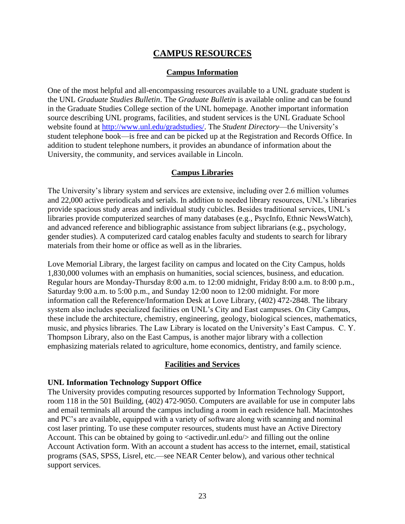## **CAMPUS RESOURCES**

### **Campus Information**

One of the most helpful and all-encompassing resources available to a UNL graduate student is the UNL *Graduate Studies Bulletin*. The *Graduate Bulletin* is available online and can be found in the Graduate Studies College section of the UNL homepage. Another important information source describing UNL programs, facilities, and student services is the UNL Graduate School website found at [http://www.unl.edu/gradstudies/.](http://www.unl.edu/gradstudies/) The *Student Directory*—the University's student telephone book—is free and can be picked up at the Registration and Records Office. In addition to student telephone numbers, it provides an abundance of information about the University, the community, and services available in Lincoln.

### **Campus Libraries**

The University's library system and services are extensive, including over 2.6 million volumes and 22,000 active periodicals and serials. In addition to needed library resources, UNL's libraries provide spacious study areas and individual study cubicles. Besides traditional services, UNL's libraries provide computerized searches of many databases (e.g., PsycInfo, Ethnic NewsWatch), and advanced reference and bibliographic assistance from subject librarians (e.g., psychology, gender studies). A computerized card catalog enables faculty and students to search for library materials from their home or office as well as in the libraries.

Love Memorial Library, the largest facility on campus and located on the City Campus, holds 1,830,000 volumes with an emphasis on humanities, social sciences, business, and education. Regular hours are Monday-Thursday 8:00 a.m. to 12:00 midnight, Friday 8:00 a.m. to 8:00 p.m., Saturday 9:00 a.m. to 5:00 p.m., and Sunday 12:00 noon to 12:00 midnight. For more information call the Reference/Information Desk at Love Library, (402) 472-2848. The library system also includes specialized facilities on UNL's City and East campuses. On City Campus, these include the architecture, chemistry, engineering, geology, biological sciences, mathematics, music, and physics libraries. The Law Library is located on the University's East Campus. C. Y. Thompson Library, also on the East Campus, is another major library with a collection emphasizing materials related to agriculture, home economics, dentistry, and family science.

#### **Facilities and Services**

#### **UNL Information Technology Support Office**

The University provides computing resources supported by Information Technology Support, room 118 in the 501 Building, (402) 472-9050. Computers are available for use in computer labs and email terminals all around the campus including a room in each residence hall. Macintoshes and PC's are available, equipped with a variety of software along with scanning and nominal cost laser printing. To use these computer resources, students must have an Active Directory Account. This can be obtained by going to  $\langle$  activedir.unl.edu $\rangle$  and filling out the online Account Activation form. With an account a student has access to the internet, email, statistical programs (SAS, SPSS, Lisrel, etc.—see NEAR Center below), and various other technical support services.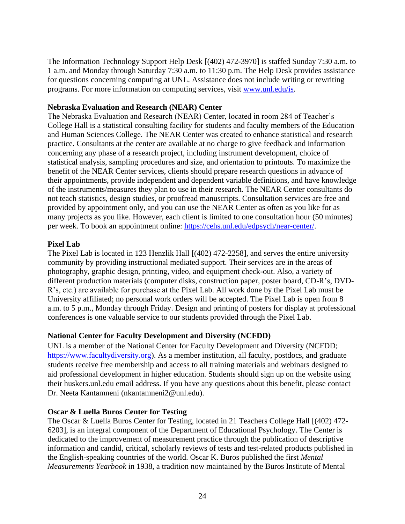The Information Technology Support Help Desk [(402) 472-3970] is staffed Sunday 7:30 a.m. to 1 a.m. and Monday through Saturday 7:30 a.m. to 11:30 p.m. The Help Desk provides assistance for questions concerning computing at UNL. Assistance does not include writing or rewriting programs. For more information on computing services, visit [www.unl.edu/is.](http://www.unl.edu/is)

### **Nebraska Evaluation and Research (NEAR) Center**

The Nebraska Evaluation and Research (NEAR) Center, located in room 284 of Teacher's College Hall is a statistical consulting facility for students and faculty members of the Education and Human Sciences College. The NEAR Center was created to enhance statistical and research practice. Consultants at the center are available at no charge to give feedback and information concerning any phase of a research project, including instrument development, choice of statistical analysis, sampling procedures and size, and orientation to printouts. To maximize the benefit of the NEAR Center services, clients should prepare research questions in advance of their appointments, provide independent and dependent variable definitions, and have knowledge of the instruments/measures they plan to use in their research. The NEAR Center consultants do not teach statistics, design studies, or proofread manuscripts. Consultation services are free and provided by appointment only, and you can use the NEAR Center as often as you like for as many projects as you like. However, each client is limited to one consultation hour (50 minutes) per week. To book an appointment online: [https://cehs.unl.edu/edpsych/near-center/.](https://cehs.unl.edu/edpsych/near-center/)

## **Pixel Lab**

The Pixel Lab is located in 123 Henzlik Hall [(402) 472-2258], and serves the entire university community by providing instructional mediated support. Their services are in the areas of photography, graphic design, printing, video, and equipment check-out. Also, a variety of different production materials (computer disks, construction paper, poster board, CD-R's, DVD-R's, etc.) are available for purchase at the Pixel Lab. All work done by the Pixel Lab must be University affiliated; no personal work orders will be accepted. The Pixel Lab is open from 8 a.m. to 5 p.m., Monday through Friday. Design and printing of posters for display at professional conferences is one valuable service to our students provided through the Pixel Lab.

## **National Center for Faculty Development and Diversity (NCFDD)**

UNL is a member of the National Center for Faculty Development and Diversity (NCFDD; [https://www.facultydiversity.org\)](https://www.facultydiversity.org/). As a member institution, all faculty, postdocs, and graduate students receive free membership and access to all training materials and webinars designed to aid professional development in higher education. Students should sign up on the website using their huskers.unl.edu email address. If you have any questions about this benefit, please contact Dr. Neeta Kantamneni (nkantamneni2@unl.edu).

#### **Oscar & Luella Buros Center for Testing**

The Oscar & Luella Buros Center for Testing, located in 21 Teachers College Hall [(402) 472- 6203], is an integral component of the Department of Educational Psychology. The Center is dedicated to the improvement of measurement practice through the publication of descriptive information and candid, critical, scholarly reviews of tests and test-related products published in the English-speaking countries of the world. Oscar K. Buros published the first *Mental Measurements Yearbook* in 1938, a tradition now maintained by the Buros Institute of Mental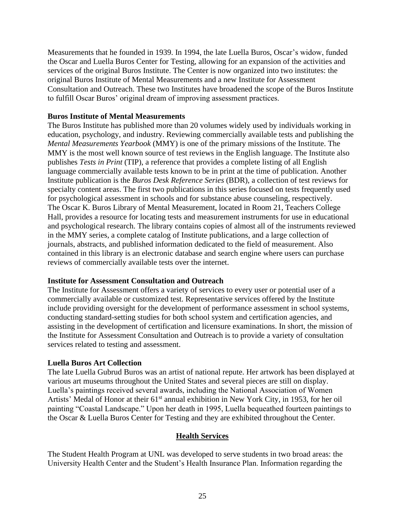Measurements that he founded in 1939. In 1994, the late Luella Buros, Oscar's widow, funded the Oscar and Luella Buros Center for Testing, allowing for an expansion of the activities and services of the original Buros Institute. The Center is now organized into two institutes: the original Buros Institute of Mental Measurements and a new Institute for Assessment Consultation and Outreach. These two Institutes have broadened the scope of the Buros Institute to fulfill Oscar Buros' original dream of improving assessment practices.

#### **Buros Institute of Mental Measurements**

The Buros Institute has published more than 20 volumes widely used by individuals working in education, psychology, and industry. Reviewing commercially available tests and publishing the *Mental Measurements Yearbook* (MMY) is one of the primary missions of the Institute. The MMY is the most well known source of test reviews in the English language. The Institute also publishes *Tests in Print* (TIP), a reference that provides a complete listing of all English language commercially available tests known to be in print at the time of publication. Another Institute publication is the *Buros Desk Reference Series* (BDR), a collection of test reviews for specialty content areas. The first two publications in this series focused on tests frequently used for psychological assessment in schools and for substance abuse counseling, respectively. The Oscar K. Buros Library of Mental Measurement, located in Room 21, Teachers College Hall, provides a resource for locating tests and measurement instruments for use in educational and psychological research. The library contains copies of almost all of the instruments reviewed in the MMY series, a complete catalog of Institute publications, and a large collection of journals, abstracts, and published information dedicated to the field of measurement. Also contained in this library is an electronic database and search engine where users can purchase reviews of commercially available tests over the internet.

#### **Institute for Assessment Consultation and Outreach**

The Institute for Assessment offers a variety of services to every user or potential user of a commercially available or customized test. Representative services offered by the Institute include providing oversight for the development of performance assessment in school systems, conducting standard-setting studies for both school system and certification agencies, and assisting in the development of certification and licensure examinations. In short, the mission of the Institute for Assessment Consultation and Outreach is to provide a variety of consultation services related to testing and assessment.

#### **Luella Buros Art Collection**

The late Luella Gubrud Buros was an artist of national repute. Her artwork has been displayed at various art museums throughout the United States and several pieces are still on display. Luella's paintings received several awards, including the National Association of Women Artists' Medal of Honor at their 61<sup>st</sup> annual exhibition in New York City, in 1953, for her oil painting "Coastal Landscape." Upon her death in 1995, Luella bequeathed fourteen paintings to the Oscar & Luella Buros Center for Testing and they are exhibited throughout the Center.

#### **Health Services**

The Student Health Program at UNL was developed to serve students in two broad areas: the University Health Center and the Student's Health Insurance Plan. Information regarding the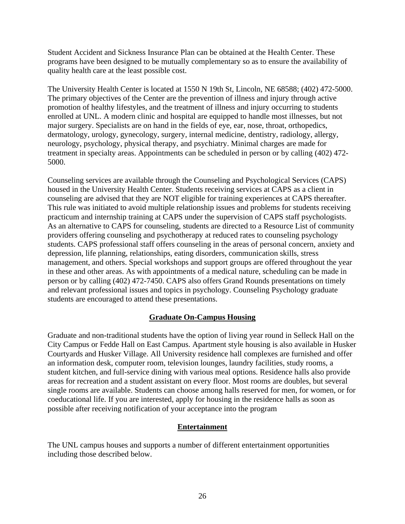Student Accident and Sickness Insurance Plan can be obtained at the Health Center. These programs have been designed to be mutually complementary so as to ensure the availability of quality health care at the least possible cost.

The University Health Center is located at 1550 N 19th St, Lincoln, NE 68588; (402) 472-5000. The primary objectives of the Center are the prevention of illness and injury through active promotion of healthy lifestyles, and the treatment of illness and injury occurring to students enrolled at UNL. A modern clinic and hospital are equipped to handle most illnesses, but not major surgery. Specialists are on hand in the fields of eye, ear, nose, throat, orthopedics, dermatology, urology, gynecology, surgery, internal medicine, dentistry, radiology, allergy, neurology, psychology, physical therapy, and psychiatry. Minimal charges are made for treatment in specialty areas. Appointments can be scheduled in person or by calling (402) 472- 5000.

Counseling services are available through the Counseling and Psychological Services (CAPS) housed in the University Health Center. Students receiving services at CAPS as a client in counseling are advised that they are NOT eligible for training experiences at CAPS thereafter. This rule was initiated to avoid multiple relationship issues and problems for students receiving practicum and internship training at CAPS under the supervision of CAPS staff psychologists. As an alternative to CAPS for counseling, students are directed to a Resource List of community providers offering counseling and psychotherapy at reduced rates to counseling psychology students. CAPS professional staff offers counseling in the areas of personal concern, anxiety and depression, life planning, relationships, eating disorders, communication skills, stress management, and others. Special workshops and support groups are offered throughout the year in these and other areas. As with appointments of a medical nature, scheduling can be made in person or by calling (402) 472-7450. CAPS also offers Grand Rounds presentations on timely and relevant professional issues and topics in psychology. Counseling Psychology graduate students are encouraged to attend these presentations.

## **Graduate On-Campus Housing**

Graduate and non-traditional students have the option of living year round in Selleck Hall on the City Campus or Fedde Hall on East Campus. Apartment style housing is also available in Husker Courtyards and Husker Village. All University residence hall complexes are furnished and offer an information desk, computer room, television lounges, laundry facilities, study rooms, a student kitchen, and full-service dining with various meal options. Residence halls also provide areas for recreation and a student assistant on every floor. Most rooms are doubles, but several single rooms are available. Students can choose among halls reserved for men, for women, or for coeducational life. If you are interested, apply for housing in the residence halls as soon as possible after receiving notification of your acceptance into the program

## **Entertainment**

The UNL campus houses and supports a number of different entertainment opportunities including those described below.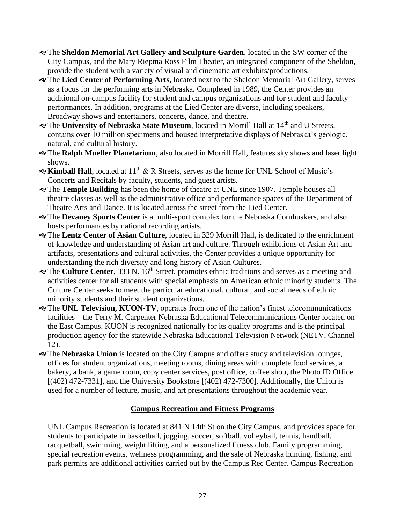- The **Sheldon Memorial Art Gallery and Sculpture Garden**, located in the SW corner of the City Campus, and the Mary Riepma Ross Film Theater, an integrated component of the Sheldon, provide the student with a variety of visual and cinematic art exhibits/productions.
- The **Lied Center of Performing Arts**, located next to the Sheldon Memorial Art Gallery, serves as a focus for the performing arts in Nebraska. Completed in 1989, the Center provides an additional on-campus facility for student and campus organizations and for student and faculty performances. In addition, programs at the Lied Center are diverse, including speakers, Broadway shows and entertainers, concerts, dance, and theatre.
- \*The University of Nebraska State Museum, located in Morrill Hall at 14<sup>th</sup> and U Streets, contains over 10 million specimens and housed interpretative displays of Nebraska's geologic, natural, and cultural history.
- The **Ralph Mueller Planetarium**, also located in Morrill Hall, features sky shows and laser light shows.
- **Kimball Hall**, located at 11th & R Streets, serves as the home for UNL School of Music's Concerts and Recitals by faculty, students, and guest artists.
- The **Temple Building** has been the home of theatre at UNL since 1907. Temple houses all theatre classes as well as the administrative office and performance spaces of the Department of Theatre Arts and Dance. It is located across the street from the Lied Center.
- The **Devaney Sports Center** is a multi-sport complex for the Nebraska Cornhuskers, and also hosts performances by national recording artists.
- The **Lentz Center of Asian Culture**, located in 329 Morrill Hall, is dedicated to the enrichment of knowledge and understanding of Asian art and culture. Through exhibitions of Asian Art and artifacts, presentations and cultural activities, the Center provides a unique opportunity for understanding the rich diversity and long history of Asian Cultures.
- The **Culture Center**, 333 N. 16th Street, promotes ethnic traditions and serves as a meeting and activities center for all students with special emphasis on American ethnic minority students. The Culture Center seeks to meet the particular educational, cultural, and social needs of ethnic minority students and their student organizations.
- The **UNL Television, KUON-TV**, operates from one of the nation's finest telecommunications facilities—the Terry M. Carpenter Nebraska Educational Telecommunications Center located on the East Campus. KUON is recognized nationally for its quality programs and is the principal production agency for the statewide Nebraska Educational Television Network (NETV, Channel 12).
- The **Nebraska Union** is located on the City Campus and offers study and television lounges, offices for student organizations, meeting rooms, dining areas with complete food services, a bakery, a bank, a game room, copy center services, post office, coffee shop, the Photo ID Office  $[(402) 472-7331]$ , and the University Bookstore  $[(402) 472-7300]$ . Additionally, the Union is used for a number of lecture, music, and art presentations throughout the academic year.

## **Campus Recreation and Fitness Programs**

UNL Campus Recreation is located at 841 N 14th St on the City Campus, and provides space for students to participate in basketball, jogging, soccer, softball, volleyball, tennis, handball, racquetball, swimming, weight lifting, and a personalized fitness club. Family programming, special recreation events, wellness programming, and the sale of Nebraska hunting, fishing, and park permits are additional activities carried out by the Campus Rec Center. Campus Recreation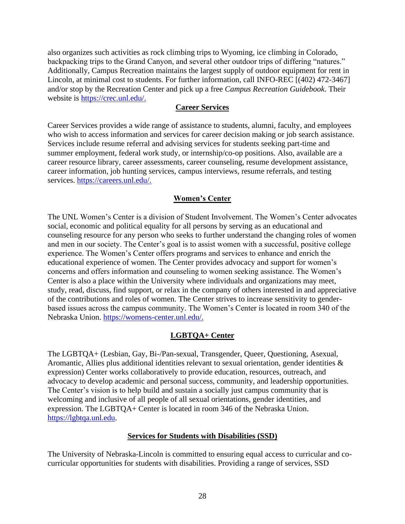also organizes such activities as rock climbing trips to Wyoming, ice climbing in Colorado, backpacking trips to the Grand Canyon, and several other outdoor trips of differing "natures." Additionally, Campus Recreation maintains the largest supply of outdoor equipment for rent in Lincoln, at minimal cost to students. For further information, call INFO-REC [(402) 472-3467] and/or stop by the Recreation Center and pick up a free *Campus Recreation Guidebook*. Their website is [https://crec.unl.edu/.](https://crec.unl.edu/)

#### **Career Services**

Career Services provides a wide range of assistance to students, alumni, faculty, and employees who wish to access information and services for career decision making or job search assistance. Services include resume referral and advising services for students seeking part-time and summer employment, federal work study, or internship/co-op positions. Also, available are a career resource library, career assessments, career counseling, resume development assistance, career information, job hunting services, campus interviews, resume referrals, and testing services. [https://careers.unl.edu/.](https://careers.unl.edu/)

## **Women's Center**

The UNL Women's Center is a division of Student Involvement. The Women's Center advocates social, economic and political equality for all persons by serving as an educational and counseling resource for any person who seeks to further understand the changing roles of women and men in our society. The Center's goal is to assist women with a successful, positive college experience. The Women's Center offers programs and services to enhance and enrich the educational experience of women. The Center provides advocacy and support for women's concerns and offers information and counseling to women seeking assistance. The Women's Center is also a place within the University where individuals and organizations may meet, study, read, discuss, find support, or relax in the company of others interested in and appreciative of the contributions and roles of women. The Center strives to increase sensitivity to genderbased issues across the campus community. The Women's Center is located in room 340 of the Nebraska Union. [https://womens-center.unl.edu/.](https://womens-center.unl.edu/)

## **LGBTQA+ Center**

The LGBTQA+ (Lesbian, Gay, Bi-/Pan-sexual, Transgender, Queer, Questioning, Asexual, Aromantic, Allies plus additional identities relevant to sexual orientation, gender identities & expression) Center works collaboratively to provide education, resources, outreach, and advocacy to develop academic and personal success, community, and leadership opportunities. The Center's vision is to help build and sustain a socially just campus community that is welcoming and inclusive of all people of all sexual orientations, gender identities, and expression. The LGBTQA+ Center is located in room 346 of the Nebraska Union. [https://lgbtqa.unl.edu.](https://lgbtqa.unl.edu/)

## **Services for Students with Disabilities (SSD)**

The University of Nebraska-Lincoln is committed to ensuring equal access to curricular and cocurricular opportunities for students with disabilities. Providing a range of services, SSD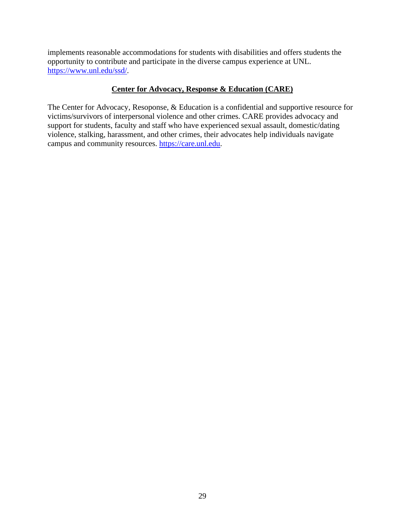implements reasonable accommodations for students with disabilities and offers students the opportunity to contribute and participate in the diverse campus experience at UNL. [https://www.unl.edu/ssd/.](https://www.unl.edu/ssd/)

### **Center for Advocacy, Response & Education (CARE)**

The Center for Advocacy, Resoponse, & Education is a confidential and supportive resource for victims/survivors of interpersonal violence and other crimes. CARE provides advocacy and support for students, faculty and staff who have experienced sexual assault, domestic/dating violence, stalking, harassment, and other crimes, their advocates help individuals navigate campus and community resources. [https://care.unl.edu.](https://care.unl.edu/)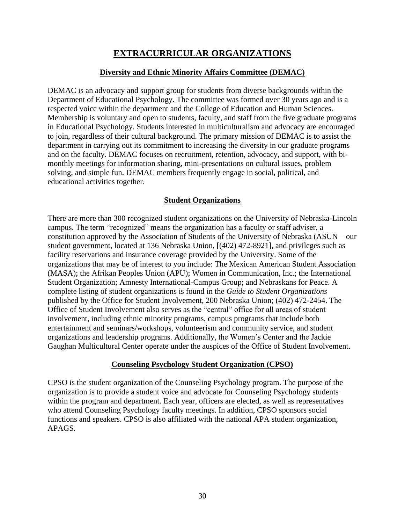## **EXTRACURRICULAR ORGANIZATIONS**

### **Diversity and Ethnic Minority Affairs Committee (DEMAC)**

DEMAC is an advocacy and support group for students from diverse backgrounds within the Department of Educational Psychology. The committee was formed over 30 years ago and is a respected voice within the department and the College of Education and Human Sciences. Membership is voluntary and open to students, faculty, and staff from the five graduate programs in Educational Psychology. Students interested in multiculturalism and advocacy are encouraged to join, regardless of their cultural background. The primary mission of DEMAC is to assist the department in carrying out its commitment to increasing the diversity in our graduate programs and on the faculty. DEMAC focuses on recruitment, retention, advocacy, and support, with bimonthly meetings for information sharing, mini-presentations on cultural issues, problem solving, and simple fun. DEMAC members frequently engage in social, political, and educational activities together.

### **Student Organizations**

There are more than 300 recognized student organizations on the University of Nebraska-Lincoln campus. The term "recognized" means the organization has a faculty or staff adviser, a constitution approved by the Association of Students of the University of Nebraska (ASUN—our student government, located at 136 Nebraska Union, [(402) 472-8921], and privileges such as facility reservations and insurance coverage provided by the University. Some of the organizations that may be of interest to you include: The Mexican American Student Association (MASA); the Afrikan Peoples Union (APU); Women in Communication, Inc.; the International Student Organization; Amnesty International-Campus Group; and Nebraskans for Peace. A complete listing of student organizations is found in the *Guide to Student Organizations* published by the Office for Student Involvement, 200 Nebraska Union; (402) 472-2454. The Office of Student Involvement also serves as the "central" office for all areas of student involvement, including ethnic minority programs, campus programs that include both entertainment and seminars/workshops, volunteerism and community service, and student organizations and leadership programs. Additionally, the Women's Center and the Jackie Gaughan Multicultural Center operate under the auspices of the Office of Student Involvement.

#### **Counseling Psychology Student Organization (CPSO)**

CPSO is the student organization of the Counseling Psychology program. The purpose of the organization is to provide a student voice and advocate for Counseling Psychology students within the program and department. Each year, officers are elected, as well as representatives who attend Counseling Psychology faculty meetings. In addition, CPSO sponsors social functions and speakers. CPSO is also affiliated with the national APA student organization, APAGS.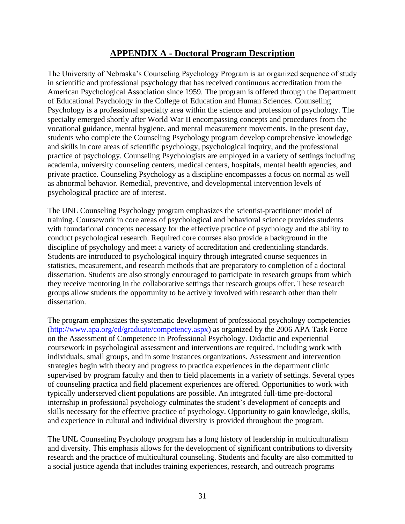## **APPENDIX A - Doctoral Program Description**

The University of Nebraska's Counseling Psychology Program is an organized sequence of study in scientific and professional psychology that has received continuous accreditation from the American Psychological Association since 1959. The program is offered through the Department of Educational Psychology in the College of Education and Human Sciences. Counseling Psychology is a professional specialty area within the science and profession of psychology. The specialty emerged shortly after World War II encompassing concepts and procedures from the vocational guidance, mental hygiene, and mental measurement movements. In the present day, students who complete the Counseling Psychology program develop comprehensive knowledge and skills in core areas of scientific psychology, psychological inquiry, and the professional practice of psychology. Counseling Psychologists are employed in a variety of settings including academia, university counseling centers, medical centers, hospitals, mental health agencies, and private practice. Counseling Psychology as a discipline encompasses a focus on normal as well as abnormal behavior. Remedial, preventive, and developmental intervention levels of psychological practice are of interest.

The UNL Counseling Psychology program emphasizes the scientist-practitioner model of training. Coursework in core areas of psychological and behavioral science provides students with foundational concepts necessary for the effective practice of psychology and the ability to conduct psychological research. Required core courses also provide a background in the discipline of psychology and meet a variety of accreditation and credentialing standards. Students are introduced to psychological inquiry through integrated course sequences in statistics, measurement, and research methods that are preparatory to completion of a doctoral dissertation. Students are also strongly encouraged to participate in research groups from which they receive mentoring in the collaborative settings that research groups offer. These research groups allow students the opportunity to be actively involved with research other than their dissertation.

The program emphasizes the systematic development of professional psychology competencies [\(http://www.apa.org/ed/graduate/competency.aspx\)](http://www.apa.org/ed/graduate/competency.aspx) as organized by the 2006 APA Task Force on the Assessment of Competence in Professional Psychology. Didactic and experiential coursework in psychological assessment and interventions are required, including work with individuals, small groups, and in some instances organizations. Assessment and intervention strategies begin with theory and progress to practica experiences in the department clinic supervised by program faculty and then to field placements in a variety of settings. Several types of counseling practica and field placement experiences are offered. Opportunities to work with typically underserved client populations are possible. An integrated full-time pre-doctoral internship in professional psychology culminates the student's development of concepts and skills necessary for the effective practice of psychology. Opportunity to gain knowledge, skills, and experience in cultural and individual diversity is provided throughout the program.

The UNL Counseling Psychology program has a long history of leadership in multiculturalism and diversity. This emphasis allows for the development of significant contributions to diversity research and the practice of multicultural counseling. Students and faculty are also committed to a social justice agenda that includes training experiences, research, and outreach programs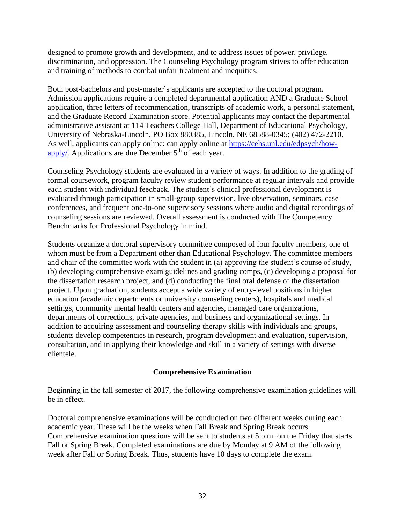designed to promote growth and development, and to address issues of power, privilege, discrimination, and oppression. The Counseling Psychology program strives to offer education and training of methods to combat unfair treatment and inequities.

Both post-bachelors and post-master's applicants are accepted to the doctoral program. Admission applications require a completed departmental application AND a Graduate School application, three letters of recommendation, transcripts of academic work, a personal statement, and the Graduate Record Examination score. Potential applicants may contact the departmental administrative assistant at 114 Teachers College Hall, Department of Educational Psychology, University of Nebraska-Lincoln, PO Box 880385, Lincoln, NE 68588-0345; (402) 472-2210. As well, applicants can apply online: can apply online at [https://cehs.unl.edu/edpsych/how](https://cehs.unl.edu/edpsych/how-apply/)[apply/.](https://cehs.unl.edu/edpsych/how-apply/) Applications are due December  $5<sup>th</sup>$  of each year.

Counseling Psychology students are evaluated in a variety of ways. In addition to the grading of formal coursework, program faculty review student performance at regular intervals and provide each student with individual feedback. The student's clinical professional development is evaluated through participation in small-group supervision, live observation, seminars, case conferences, and frequent one-to-one supervisory sessions where audio and digital recordings of counseling sessions are reviewed. Overall assessment is conducted with The Competency Benchmarks for Professional Psychology in mind.

Students organize a doctoral supervisory committee composed of four faculty members, one of whom must be from a Department other than Educational Psychology. The committee members and chair of the committee work with the student in (a) approving the student's course of study, (b) developing comprehensive exam guidelines and grading comps, (c) developing a proposal for the dissertation research project, and (d) conducting the final oral defense of the dissertation project. Upon graduation, students accept a wide variety of entry-level positions in higher education (academic departments or university counseling centers), hospitals and medical settings, community mental health centers and agencies, managed care organizations, departments of corrections, private agencies, and business and organizational settings. In addition to acquiring assessment and counseling therapy skills with individuals and groups, students develop competencies in research, program development and evaluation, supervision, consultation, and in applying their knowledge and skill in a variety of settings with diverse clientele.

## **Comprehensive Examination**

Beginning in the fall semester of 2017, the following comprehensive examination guidelines will be in effect.

Doctoral comprehensive examinations will be conducted on two different weeks during each academic year. These will be the weeks when Fall Break and Spring Break occurs. Comprehensive examination questions will be sent to students at 5 p.m. on the Friday that starts Fall or Spring Break. Completed examinations are due by Monday at 9 AM of the following week after Fall or Spring Break. Thus, students have 10 days to complete the exam.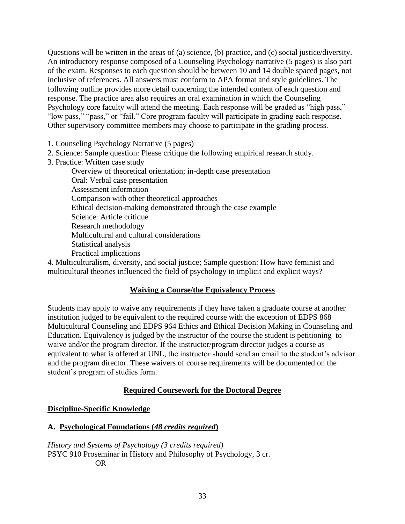Questions will be written in the areas of (a) science, (b) practice, and (c) social justice/diversity. An introductory response composed of a Counseling Psychology narrative (5 pages) is also part of the exam. Responses to each question should be between 10 and 14 double spaced pages, not inclusive of references. All answers must conform to APA format and style guidelines. The following outline provides more detail concerning the intended content of each question and response. The practice area also requires an oral examination in which the Counseling Psychology core faculty will attend the meeting. Each response will be graded as "high pass," "low pass," "pass," or "fail." Core program faculty will participate in grading each response. Other supervisory committee members may choose to participate in the grading process.

- 1. Counseling Psychology Narrative (5 pages)
- 2. Science: Sample question: Please critique the following empirical research study.
- 3. Practice: Written case study

Overview of theoretical orientation; in-depth case presentation Oral: Verbal case presentation Assessment information Comparison with other theoretical approaches Ethical decision-making demonstrated through the case example Science: Article critique Research methodology Multicultural and cultural considerations Statistical analysis Practical implications

4. Multiculturalism, diversity, and social justice; Sample question: How have feminist and multicultural theories influenced the field of psychology in implicit and explicit ways?

## **Waiving a Course/the Equivalency Process**

Students may apply to waive any requirements if they have taken a graduate course at another institution judged to be equivalent to the required course with the exception of EDPS 868 Multicultural Counseling and EDPS 964 Ethics and Ethical Decision Making in Counseling and Education. Equivalency is judged by the instructor of the course the student is petitioning to waive and/or the program director. If the instructor/program director judges a course as equivalent to what is offered at UNL, the instructor should send an email to the student's advisor and the program director. These waivers of course requirements will be documented on the student's program of studies form.

## **Required Coursework for the Doctoral Degree**

#### **Discipline-Specific Knowledge**

#### **A. Psychological Foundations (***48 credits required***)**

*History and Systems of Psychology (3 credits required)* PSYC 910 Proseminar in History and Philosophy of Psychology, 3 cr. OR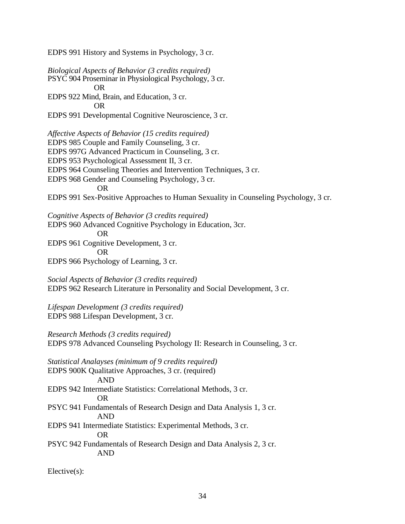EDPS 991 History and Systems in Psychology, 3 cr.

*Biological Aspects of Behavior (3 credits required)* PSYC 904 Proseminar in Physiological Psychology, 3 cr. OR EDPS 922 Mind, Brain, and Education, 3 cr. OR EDPS 991 Developmental Cognitive Neuroscience, 3 cr. *Affective Aspects of Behavior (15 credits required)* EDPS 985 Couple and Family Counseling, 3 cr. EDPS 997G Advanced Practicum in Counseling, 3 cr. EDPS 953 Psychological Assessment II, 3 cr. EDPS 964 Counseling Theories and Intervention Techniques, 3 cr. EDPS 968 Gender and Counseling Psychology, 3 cr. OR EDPS 991 Sex-Positive Approaches to Human Sexuality in Counseling Psychology, 3 cr. *Cognitive Aspects of Behavior (3 credits required)* EDPS 960 Advanced Cognitive Psychology in Education, 3cr. OR EDPS 961 Cognitive Development, 3 cr. OR EDPS 966 Psychology of Learning, 3 cr. *Social Aspects of Behavior (3 credits required)* EDPS 962 Research Literature in Personality and Social Development, 3 cr. *Lifespan Development (3 credits required)* EDPS 988 Lifespan Development, 3 cr. *Research Methods (3 credits required)* EDPS 978 Advanced Counseling Psychology II: Research in Counseling, 3 cr. *Statistical Analayses (minimum of 9 credits required)* EDPS 900K Qualitative Approaches, 3 cr. (required) AND EDPS 942 Intermediate Statistics: Correlational Methods, 3 cr. OR PSYC 941 Fundamentals of Research Design and Data Analysis 1, 3 cr. AND EDPS 941 Intermediate Statistics: Experimental Methods, 3 cr. OR PSYC 942 Fundamentals of Research Design and Data Analysis 2, 3 cr. AND

Elective(s):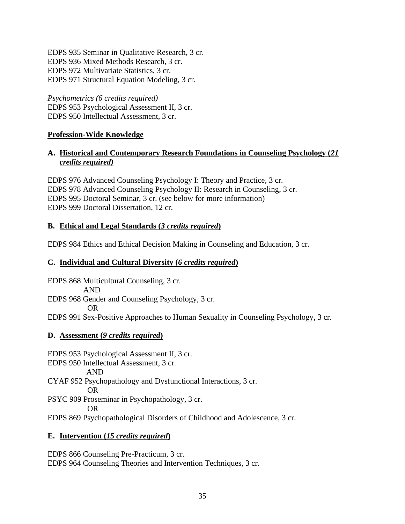EDPS 935 Seminar in Qualitative Research, 3 cr. EDPS 936 Mixed Methods Research, 3 cr. EDPS 972 Multivariate Statistics, 3 cr. EDPS 971 Structural Equation Modeling, 3 cr.

*Psychometrics (6 credits required)* EDPS 953 Psychological Assessment II, 3 cr. EDPS 950 Intellectual Assessment, 3 cr.

## **Profession-Wide Knowledge**

## **A. Historical and Contemporary Research Foundations in Counseling Psychology (***21 credits required)*

EDPS 976 Advanced Counseling Psychology I: Theory and Practice, 3 cr. EDPS 978 Advanced Counseling Psychology II: Research in Counseling, 3 cr. EDPS 995 Doctoral Seminar, 3 cr. (see below for more information) EDPS 999 Doctoral Dissertation, 12 cr.

## **B. Ethical and Legal Standards (***3 credits required***)**

EDPS 984 Ethics and Ethical Decision Making in Counseling and Education, 3 cr.

### **C. Individual and Cultural Diversity (***6 credits required***)**

EDPS 868 Multicultural Counseling, 3 cr. AND EDPS 968 Gender and Counseling Psychology, 3 cr. OR

EDPS 991 Sex-Positive Approaches to Human Sexuality in Counseling Psychology, 3 cr.

#### **D. Assessment (***9 credits required***)**

EDPS 953 Psychological Assessment II, 3 cr. EDPS 950 Intellectual Assessment, 3 cr. AND CYAF 952 Psychopathology and Dysfunctional Interactions, 3 cr. OR PSYC 909 Proseminar in Psychopathology, 3 cr. OR EDPS 869 Psychopathological Disorders of Childhood and Adolescence, 3 cr.

## **E. Intervention (***15 credits required***)**

EDPS 866 Counseling Pre-Practicum, 3 cr. EDPS 964 Counseling Theories and Intervention Techniques, 3 cr.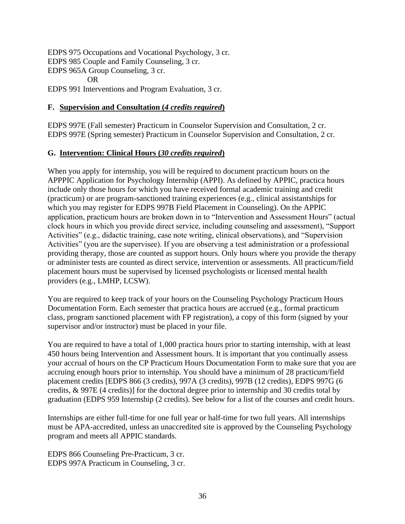EDPS 975 Occupations and Vocational Psychology, 3 cr. EDPS 985 Couple and Family Counseling, 3 cr. EDPS 965A Group Counseling, 3 cr. OR EDPS 991 Interventions and Program Evaluation, 3 cr.

## **F. Supervision and Consultation (***4 credits required***)**

EDPS 997E (Fall semester) Practicum in Counselor Supervision and Consultation, 2 cr. EDPS 997E (Spring semester) Practicum in Counselor Supervision and Consultation, 2 cr.

## **G. Intervention: Clinical Hours (***30 credits required***)**

When you apply for internship, you will be required to document practicum hours on the APPPIC Application for Psychology Internship (APPI). As defined by APPIC, practica hours include only those hours for which you have received formal academic training and credit (practicum) or are program-sanctioned training experiences (e.g., clinical assistantships for which you may register for EDPS 997B Field Placement in Counseling). On the APPIC application, practicum hours are broken down in to "Intervention and Assessment Hours" (actual clock hours in which you provide direct service, including counseling and assessment), "Support Activities" (e.g., didactic training, case note writing, clinical observations), and "Supervision Activities" (you are the supervisee). If you are observing a test administration or a professional providing therapy, those are counted as support hours. Only hours where you provide the therapy or administer tests are counted as direct service, intervention or assessments. All practicum/field placement hours must be supervised by licensed psychologists or licensed mental health providers (e.g., LMHP, LCSW).

You are required to keep track of your hours on the Counseling Psychology Practicum Hours Documentation Form. Each semester that practica hours are accrued (e.g., formal practicum class, program sanctioned placement with FP registration), a copy of this form (signed by your supervisor and/or instructor) must be placed in your file.

You are required to have a total of 1,000 practica hours prior to starting internship, with at least 450 hours being Intervention and Assessment hours. It is important that you continually assess your accrual of hours on the CP Practicum Hours Documentation Form to make sure that you are accruing enough hours prior to internship. You should have a minimum of 28 practicum/field placement credits [EDPS 866 (3 credits), 997A (3 credits), 997B (12 credits), EDPS 997G (6 credits, & 997E (4 credits)] for the doctoral degree prior to internship and 30 credits total by graduation (EDPS 959 Internship (2 credits). See below for a list of the courses and credit hours.

Internships are either full-time for one full year or half-time for two full years. All internships must be APA-accredited, unless an unaccredited site is approved by the Counseling Psychology program and meets all APPIC standards.

EDPS 866 Counseling Pre-Practicum, 3 cr. EDPS 997A Practicum in Counseling, 3 cr.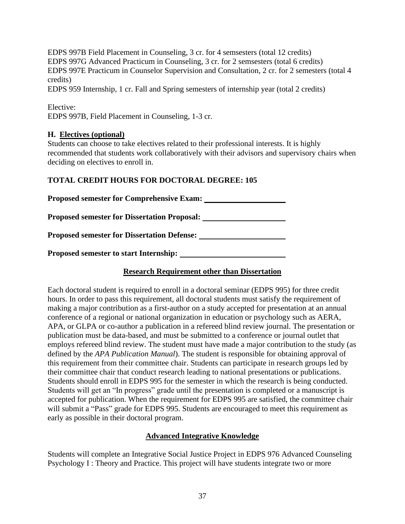EDPS 997B Field Placement in Counseling, 3 cr. for 4 semsesters (total 12 credits) EDPS 997G Advanced Practicum in Counseling, 3 cr. for 2 semsesters (total 6 credits) EDPS 997E Practicum in Counselor Supervision and Consultation, 2 cr. for 2 semesters (total 4 credits)

EDPS 959 Internship, 1 cr. Fall and Spring semesters of internship year (total 2 credits)

| Elective: |                                                   |
|-----------|---------------------------------------------------|
|           | EDPS 997B, Field Placement in Counseling, 1-3 cr. |

## **H. Electives (optional)**

Students can choose to take electives related to their professional interests. It is highly recommended that students work collaboratively with their advisors and supervisory chairs when deciding on electives to enroll in.

## **TOTAL CREDIT HOURS FOR DOCTORAL DEGREE: 105**

| <b>Proposed semester for Comprehensive Exam:</b>    |  |
|-----------------------------------------------------|--|
| <b>Proposed semester for Dissertation Proposal:</b> |  |
| <b>Proposed semester for Dissertation Defense:</b>  |  |
| <b>Proposed semester to start Internship:</b>       |  |

## **Research Requirement other than Dissertation**

Each doctoral student is required to enroll in a doctoral seminar (EDPS 995) for three credit hours. In order to pass this requirement, all doctoral students must satisfy the requirement of making a major contribution as a first-author on a study accepted for presentation at an annual conference of a regional or national organization in education or psychology such as AERA, APA, or GLPA or co-author a publication in a refereed blind review journal. The presentation or publication must be data-based, and must be submitted to a conference or journal outlet that employs refereed blind review. The student must have made a major contribution to the study (as defined by the *APA Publication Manual*). The student is responsible for obtaining approval of this requirement from their committee chair. Students can participate in research groups led by their committee chair that conduct research leading to national presentations or publications. Students should enroll in EDPS 995 for the semester in which the research is being conducted. Students will get an "In progress" grade until the presentation is completed or a manuscript is accepted for publication. When the requirement for EDPS 995 are satisfied, the committee chair will submit a "Pass" grade for EDPS 995. Students are encouraged to meet this requirement as early as possible in their doctoral program.

## **Advanced Integrative Knowledge**

Students will complete an Integrative Social Justice Project in EDPS 976 Advanced Counseling Psychology I : Theory and Practice. This project will have students integrate two or more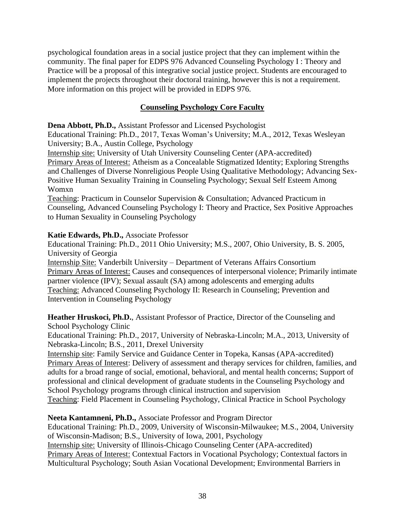psychological foundation areas in a social justice project that they can implement within the community. The final paper for EDPS 976 Advanced Counseling Psychology I : Theory and Practice will be a proposal of this integrative social justice project. Students are encouraged to implement the projects throughout their doctoral training, however this is not a requirement. More information on this project will be provided in EDPS 976.

## **Counseling Psychology Core Faculty**

**Dena Abbott, Ph.D.,** Assistant Professor and Licensed Psychologist

Educational Training: Ph.D., 2017, Texas Woman's University; M.A., 2012, Texas Wesleyan University; B.A., Austin College, Psychology

Internship site: University of Utah University Counseling Center (APA-accredited)

Primary Areas of Interest: Atheism as a Concealable Stigmatized Identity; Exploring Strengths and Challenges of Diverse Nonreligious People Using Qualitative Methodology; Advancing Sex-Positive Human Sexuality Training in Counseling Psychology; Sexual Self Esteem Among Womxn

Teaching: Practicum in Counselor Supervision & Consultation; Advanced Practicum in Counseling, Advanced Counseling Psychology I: Theory and Practice, Sex Positive Approaches to Human Sexuality in Counseling Psychology

## **Katie Edwards, Ph.D.,** Associate Professor

Educational Training: Ph.D., 2011 Ohio University; M.S., 2007, Ohio University, B. S. 2005, University of Georgia

Internship Site: Vanderbilt University – Department of Veterans Affairs Consortium Primary Areas of Interest: Causes and consequences of interpersonal violence; Primarily intimate partner violence (IPV); Sexual assault (SA) among adolescents and emerging adults Teaching: Advanced Counseling Psychology II: Research in Counseling; Prevention and Intervention in Counseling Psychology

**Heather Hruskoci, Ph.D.**, Assistant Professor of Practice, Director of the Counseling and School Psychology Clinic

Educational Training: Ph.D., 2017, University of Nebraska-Lincoln; M.A., 2013, University of Nebraska-Lincoln; B.S., 2011, Drexel University

Internship site: Family Service and Guidance Center in Topeka, Kansas (APA-accredited) Primary Areas of Interest: Delivery of assessment and therapy services for children, families, and adults for a broad range of social, emotional, behavioral, and mental health concerns; Support of professional and clinical development of graduate students in the Counseling Psychology and School Psychology programs through clinical instruction and supervision Teaching: Field Placement in Counseling Psychology, Clinical Practice in School Psychology

**Neeta Kantamneni, Ph.D.,** Associate Professor and Program Director Educational Training: Ph.D., 2009, University of Wisconsin-Milwaukee; M.S., 2004, University of Wisconsin-Madison; B.S., University of Iowa, 2001, Psychology Internship site: University of Illinois-Chicago Counseling Center (APA-accredited) Primary Areas of Interest: Contextual Factors in Vocational Psychology; Contextual factors in Multicultural Psychology; South Asian Vocational Development; Environmental Barriers in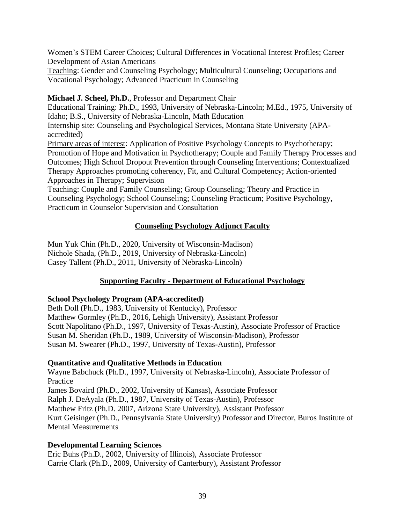Women's STEM Career Choices; Cultural Differences in Vocational Interest Profiles; Career Development of Asian Americans

Teaching: Gender and Counseling Psychology; Multicultural Counseling; Occupations and Vocational Psychology; Advanced Practicum in Counseling

**Michael J. Scheel, Ph.D.**, Professor and Department Chair

Educational Training: Ph.D., 1993, University of Nebraska-Lincoln; M.Ed., 1975, University of Idaho; B.S., University of Nebraska-Lincoln, Math Education

Internship site: Counseling and Psychological Services, Montana State University (APAaccredited)

Primary areas of interest: Application of Positive Psychology Concepts to Psychotherapy; Promotion of Hope and Motivation in Psychotherapy; Couple and Family Therapy Processes and Outcomes; High School Dropout Prevention through Counseling Interventions; Contextualized Therapy Approaches promoting coherency, Fit, and Cultural Competency; Action-oriented Approaches in Therapy; Supervision

Teaching: Couple and Family Counseling; Group Counseling; Theory and Practice in Counseling Psychology; School Counseling; Counseling Practicum; Positive Psychology, Practicum in Counselor Supervision and Consultation

## **Counseling Psychology Adjunct Faculty**

Mun Yuk Chin (Ph.D., 2020, University of Wisconsin-Madison) Nichole Shada, (Ph.D., 2019, University of Nebraska-Lincoln) Casey Tallent (Ph.D., 2011, University of Nebraska-Lincoln)

## **Supporting Faculty - Department of Educational Psychology**

## **School Psychology Program (APA-accredited)**

Beth Doll (Ph.D., 1983, University of Kentucky), Professor Matthew Gormley (Ph.D., 2016, Lehigh University), Assistant Professor Scott Napolitano (Ph.D., 1997, University of Texas-Austin), Associate Professor of Practice Susan M. Sheridan (Ph.D., 1989, University of Wisconsin-Madison), Professor Susan M. Swearer (Ph.D., 1997, University of Texas-Austin), Professor

## **Quantitative and Qualitative Methods in Education**

Wayne Babchuck (Ph.D., 1997, University of Nebraska-Lincoln), Associate Professor of Practice James Bovaird (Ph.D., 2002, University of Kansas), Associate Professor Ralph J. DeAyala (Ph.D., 1987, University of Texas-Austin), Professor Matthew Fritz (Ph.D. 2007, Arizona State University), Assistant Professor Kurt Geisinger (Ph.D., Pennsylvania State University) Professor and Director, Buros Institute of Mental Measurements

## **Developmental Learning Sciences**

Eric Buhs (Ph.D., 2002, University of Illinois), Associate Professor Carrie Clark (Ph.D., 2009, University of Canterbury), Assistant Professor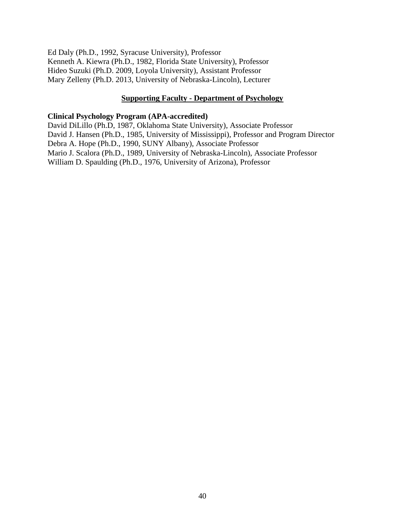Ed Daly (Ph.D., 1992, Syracuse University), Professor Kenneth A. Kiewra (Ph.D., 1982, Florida State University), Professor Hideo Suzuki (Ph.D. 2009, Loyola University), Assistant Professor Mary Zelleny (Ph.D. 2013, University of Nebraska-Lincoln), Lecturer

#### **Supporting Faculty - Department of Psychology**

#### **Clinical Psychology Program (APA-accredited)**

David DiLillo (Ph.D, 1987, Oklahoma State University), Associate Professor David J. Hansen (Ph.D., 1985, University of Mississippi), Professor and Program Director Debra A. Hope (Ph.D., 1990, SUNY Albany), Associate Professor Mario J. Scalora (Ph.D., 1989, University of Nebraska-Lincoln), Associate Professor William D. Spaulding (Ph.D., 1976, University of Arizona), Professor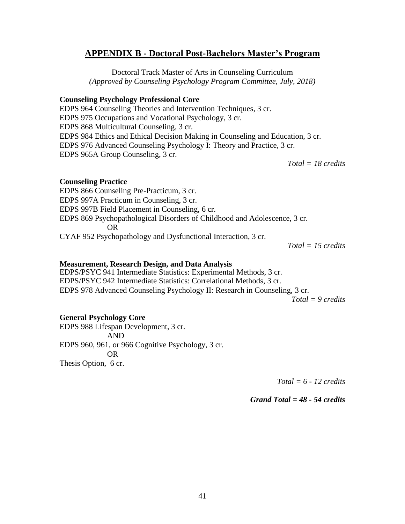## **APPENDIX B - Doctoral Post-Bachelors Master's Program**

Doctoral Track Master of Arts in Counseling Curriculum *(Approved by Counseling Psychology Program Committee, July, 2018)*

#### **Counseling Psychology Professional Core**

EDPS 964 Counseling Theories and Intervention Techniques, 3 cr. EDPS 975 Occupations and Vocational Psychology, 3 cr. EDPS 868 Multicultural Counseling, 3 cr. EDPS 984 Ethics and Ethical Decision Making in Counseling and Education, 3 cr*.* EDPS 976 Advanced Counseling Psychology I: Theory and Practice, 3 cr. EDPS 965A Group Counseling, 3 cr.

*Total = 18 credits*

#### **Counseling Practice**

EDPS 866 Counseling Pre-Practicum, 3 cr. EDPS 997A Practicum in Counseling, 3 cr. EDPS 997B Field Placement in Counseling, 6 cr. EDPS 869 Psychopathological Disorders of Childhood and Adolescence, 3 cr. OR CYAF 952 Psychopathology and Dysfunctional Interaction, 3 cr.

*Total = 15 credits*

#### **Measurement, Research Design, and Data Analysis**

EDPS/PSYC 941 Intermediate Statistics: Experimental Methods, 3 cr. EDPS/PSYC 942 Intermediate Statistics: Correlational Methods, 3 cr. EDPS 978 Advanced Counseling Psychology II: Research in Counseling, 3 cr.

*Total = 9 credits*

#### **General Psychology Core**

EDPS 988 Lifespan Development, 3 cr. AND EDPS 960, 961, or 966 Cognitive Psychology, 3 cr. OR Thesis Option, 6 cr.

*Total = 6 - 12 credits*

*Grand Total = 48 - 54 credits*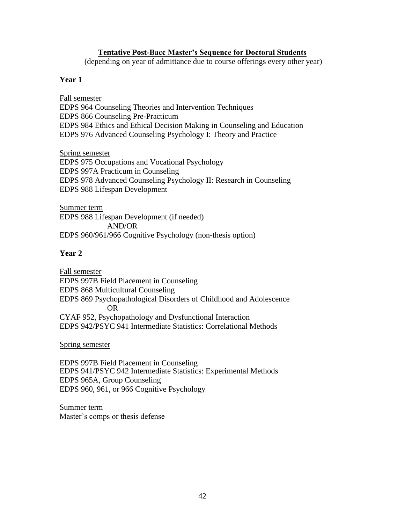#### **Tentative Post-Bacc Master's Sequence for Doctoral Students**

(depending on year of admittance due to course offerings every other year)

#### **Year 1**

Fall semester

EDPS 964 Counseling Theories and Intervention Techniques EDPS 866 Counseling Pre-Practicum EDPS 984 Ethics and Ethical Decision Making in Counseling and Education EDPS 976 Advanced Counseling Psychology I: Theory and Practice

Spring semester EDPS 975 Occupations and Vocational Psychology EDPS 997A Practicum in Counseling EDPS 978 Advanced Counseling Psychology II: Research in Counseling EDPS 988 Lifespan Development

Summer term EDPS 988 Lifespan Development (if needed) AND/OR EDPS 960/961/966 Cognitive Psychology (non-thesis option)

#### **Year 2**

Fall semester EDPS 997B Field Placement in Counseling EDPS 868 Multicultural Counseling EDPS 869 Psychopathological Disorders of Childhood and Adolescence OR CYAF 952, Psychopathology and Dysfunctional Interaction EDPS 942/PSYC 941 Intermediate Statistics: Correlational Methods

Spring semester

EDPS 997B Field Placement in Counseling EDPS 941/PSYC 942 Intermediate Statistics: Experimental Methods EDPS 965A, Group Counseling EDPS 960, 961, or 966 Cognitive Psychology

Summer term Master's comps or thesis defense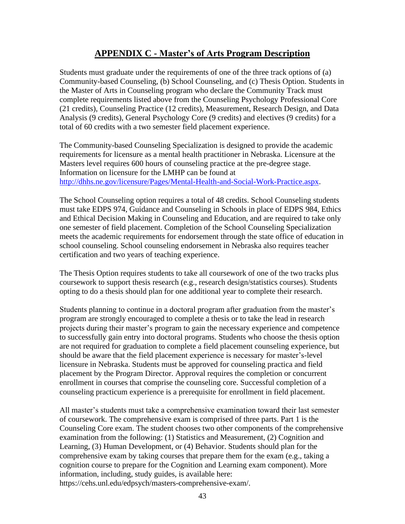## **APPENDIX C - Master's of Arts Program Description**

Students must graduate under the requirements of one of the three track options of (a) Community-based Counseling, (b) School Counseling, and (c) Thesis Option. Students in the Master of Arts in Counseling program who declare the Community Track must complete requirements listed above from the Counseling Psychology Professional Core (21 credits), Counseling Practice (12 credits), Measurement, Research Design, and Data Analysis (9 credits), General Psychology Core (9 credits) and electives (9 credits) for a total of 60 credits with a two semester field placement experience.

The Community-based Counseling Specialization is designed to provide the academic requirements for licensure as a mental health practitioner in Nebraska. Licensure at the Masters level requires 600 hours of counseling practice at the pre-degree stage. Information on licensure for the LMHP can be found at [http://dhhs.ne.gov/licensure/Pages/Mental-Health-and-Social-Work-Practice.aspx.](http://dhhs.ne.gov/licensure/Pages/Mental-Health-and-Social-Work-Practice.aspx)

The School Counseling option requires a total of 48 credits. School Counseling students must take EDPS 974, Guidance and Counseling in Schools in place of EDPS 984, Ethics and Ethical Decision Making in Counseling and Education, and are required to take only one semester of field placement. Completion of the School Counseling Specialization meets the academic requirements for endorsement through the state office of education in school counseling. School counseling endorsement in Nebraska also requires teacher certification and two years of teaching experience.

The Thesis Option requires students to take all coursework of one of the two tracks plus coursework to support thesis research (e.g., research design/statistics courses). Students opting to do a thesis should plan for one additional year to complete their research.

Students planning to continue in a doctoral program after graduation from the master's program are strongly encouraged to complete a thesis or to take the lead in research projects during their master's program to gain the necessary experience and competence to successfully gain entry into doctoral programs. Students who choose the thesis option are not required for graduation to complete a field placement counseling experience, but should be aware that the field placement experience is necessary for master's-level licensure in Nebraska. Students must be approved for counseling practica and field placement by the Program Director. Approval requires the completion or concurrent enrollment in courses that comprise the counseling core. Successful completion of a counseling practicum experience is a prerequisite for enrollment in field placement.

All master's students must take a comprehensive examination toward their last semester of coursework. The comprehensive exam is comprised of three parts. Part 1 is the Counseling Core exam. The student chooses two other components of the comprehensive examination from the following: (1) Statistics and Measurement, (2) Cognition and Learning, (3) Human Development, or (4) Behavior. Students should plan for the comprehensive exam by taking courses that prepare them for the exam (e.g., taking a cognition course to prepare for the Cognition and Learning exam component). More information, including, study guides, is available here: https://cehs.unl.edu/edpsych/masters-comprehensive-exam/.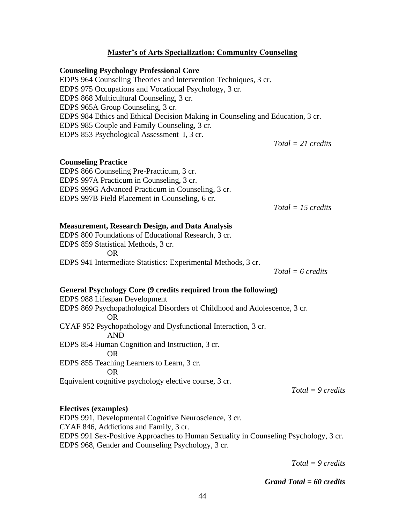#### **Master's of Arts Specialization: Community Counseling**

#### **Counseling Psychology Professional Core**

EDPS 964 Counseling Theories and Intervention Techniques, 3 cr. EDPS 975 Occupations and Vocational Psychology, 3 cr. EDPS 868 Multicultural Counseling, 3 cr. EDPS 965A Group Counseling, 3 cr. EDPS 984 Ethics and Ethical Decision Making in Counseling and Education, 3 cr. EDPS 985 Couple and Family Counseling, 3 cr. EDPS 853 Psychological Assessment I, 3 cr.

*Total = 21 credits*

#### **Counseling Practice**

EDPS 866 Counseling Pre-Practicum, 3 cr. EDPS 997A Practicum in Counseling, 3 cr. EDPS 999G Advanced Practicum in Counseling, 3 cr. EDPS 997B Field Placement in Counseling, 6 cr.

*Total = 15 credits*

#### **Measurement, Research Design, and Data Analysis**

EDPS 800 Foundations of Educational Research, 3 cr. EDPS 859 Statistical Methods, 3 cr. OR EDPS 941 Intermediate Statistics: Experimental Methods, 3 cr.

*Total = 6 credits*

#### **General Psychology Core (9 credits required from the following)**

EDPS 988 Lifespan Development EDPS 869 Psychopathological Disorders of Childhood and Adolescence, 3 cr. OR CYAF 952 Psychopathology and Dysfunctional Interaction, 3 cr. AND EDPS 854 Human Cognition and Instruction, 3 cr. OR EDPS 855 Teaching Learners to Learn, 3 cr. OR Equivalent cognitive psychology elective course, 3 cr.

*Total = 9 credits*

#### **Electives (examples)**

EDPS 991, Developmental Cognitive Neuroscience, 3 cr. CYAF 846, Addictions and Family, 3 cr. EDPS 991 Sex-Positive Approaches to Human Sexuality in Counseling Psychology, 3 cr. EDPS 968, Gender and Counseling Psychology, 3 cr.

*Total = 9 credits*

*Grand Total = 60 credits*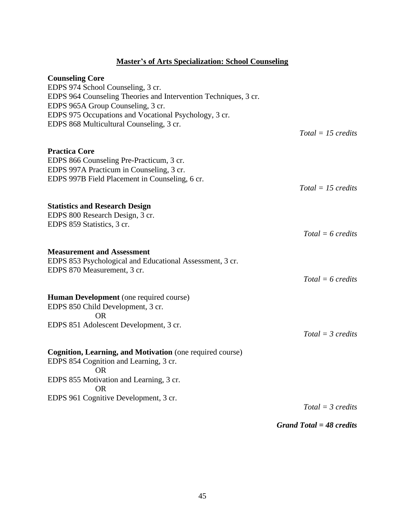## **Master's of Arts Specialization: School Counseling**

| <b>Counseling Core</b>                                          |                      |
|-----------------------------------------------------------------|----------------------|
| EDPS 974 School Counseling, 3 cr.                               |                      |
| EDPS 964 Counseling Theories and Intervention Techniques, 3 cr. |                      |
| EDPS 965A Group Counseling, 3 cr.                               |                      |
| EDPS 975 Occupations and Vocational Psychology, 3 cr.           |                      |
| EDPS 868 Multicultural Counseling, 3 cr.                        |                      |
|                                                                 | $Total = 15$ credits |
| <b>Practica Core</b>                                            |                      |
| EDPS 866 Counseling Pre-Practicum, 3 cr.                        |                      |
| EDPS 997A Practicum in Counseling, 3 cr.                        |                      |
| EDPS 997B Field Placement in Counseling, 6 cr.                  |                      |
|                                                                 | $Total = 15$ credits |
| <b>Statistics and Research Design</b>                           |                      |
| EDPS 800 Research Design, 3 cr.                                 |                      |
| EDPS 859 Statistics, 3 cr.                                      |                      |
|                                                                 | $Total = 6$ credits  |
| <b>Measurement and Assessment</b>                               |                      |
| EDPS 853 Psychological and Educational Assessment, 3 cr.        |                      |
| EDPS 870 Measurement, 3 cr.                                     |                      |
|                                                                 | $Total = 6$ credits  |
|                                                                 |                      |
| Human Development (one required course)                         |                      |
| EDPS 850 Child Development, 3 cr.                               |                      |
| <b>OR</b>                                                       |                      |
| EDPS 851 Adolescent Development, 3 cr.                          |                      |
|                                                                 | $Total = 3 credits$  |
| Cognition, Learning, and Motivation (one required course)       |                      |
| EDPS 854 Cognition and Learning, 3 cr.                          |                      |
| OR.                                                             |                      |
| EDPS 855 Motivation and Learning, 3 cr.                         |                      |
| OR.                                                             |                      |
| EDPS 961 Cognitive Development, 3 cr.                           |                      |
|                                                                 | $Total = 3 credits$  |
|                                                                 |                      |

*Grand Total = 48 credits*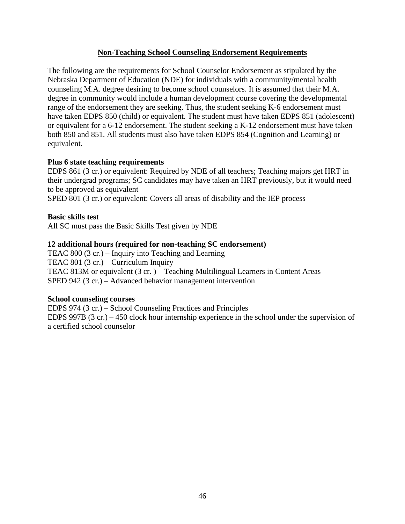### **Non-Teaching School Counseling Endorsement Requirements**

The following are the requirements for School Counselor Endorsement as stipulated by the Nebraska Department of Education (NDE) for individuals with a community/mental health counseling M.A. degree desiring to become school counselors. It is assumed that their M.A. degree in community would include a human development course covering the developmental range of the endorsement they are seeking. Thus, the student seeking K-6 endorsement must have taken EDPS 850 (child) or equivalent. The student must have taken EDPS 851 (adolescent) or equivalent for a 6-12 endorsement. The student seeking a K-12 endorsement must have taken both 850 and 851. All students must also have taken EDPS 854 (Cognition and Learning) or equivalent.

### **Plus 6 state teaching requirements**

EDPS 861 (3 cr.) or equivalent: Required by NDE of all teachers; Teaching majors get HRT in their undergrad programs; SC candidates may have taken an HRT previously, but it would need to be approved as equivalent

SPED 801 (3 cr.) or equivalent: Covers all areas of disability and the IEP process

### **Basic skills test**

All SC must pass the Basic Skills Test given by NDE

### **12 additional hours (required for non-teaching SC endorsement)**

TEAC 800 (3 cr.) – Inquiry into Teaching and Learning TEAC 801 (3 cr.) – Curriculum Inquiry TEAC 813M or equivalent (3 cr. ) – Teaching Multilingual Learners in Content Areas SPED 942 (3 cr.) – Advanced behavior management intervention

#### **School counseling courses**

EDPS 974 (3 cr.) – School Counseling Practices and Principles EDPS 997B (3 cr.) – 450 clock hour internship experience in the school under the supervision of a certified school counselor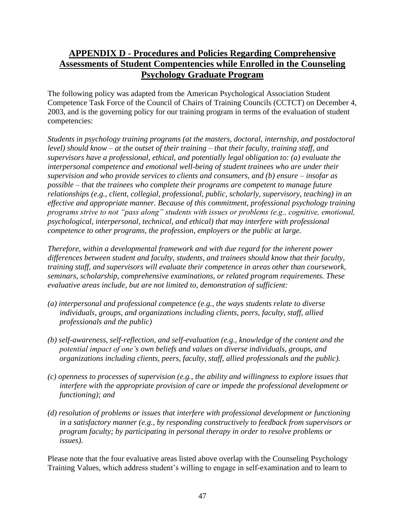## **APPENDIX D - Procedures and Policies Regarding Comprehensive Assessments of Student Compentencies while Enrolled in the Counseling Psychology Graduate Program**

The following policy was adapted from the American Psychological Association Student Competence Task Force of the Council of Chairs of Training Councils (CCTCT) on December 4, 2003, and is the governing policy for our training program in terms of the evaluation of student competencies:

*Students in psychology training programs (at the masters, doctoral, internship, and postdoctoral level) should know – at the outset of their training – that their faculty, training staff, and supervisors have a professional, ethical, and potentially legal obligation to: (a) evaluate the interpersonal competence and emotional well-being of student trainees who are under their supervision and who provide services to clients and consumers, and (b) ensure – insofar as possible – that the trainees who complete their programs are competent to manage future relationships (e.g., client, collegial, professional, public, scholarly, supervisory, teaching) in an effective and appropriate manner. Because of this commitment, professional psychology training programs strive to not "pass along" students with issues or problems (e.g., cognitive, emotional, psychological, interpersonal, technical, and ethical) that may interfere with professional competence to other programs, the profession, employers or the public at large.* 

*Therefore, within a developmental framework and with due regard for the inherent power differences between student and faculty, students, and trainees should know that their faculty, training staff, and supervisors will evaluate their competence in areas other than coursework, seminars, scholarship, comprehensive examinations, or related program requirements. These evaluative areas include, but are not limited to, demonstration of sufficient:* 

- *(a) interpersonal and professional competence (e.g., the ways students relate to diverse individuals, groups, and organizations including clients, peers, faculty, staff, allied professionals and the public)*
- *(b) self-awareness, self-reflection, and self-evaluation (e.g., knowledge of the content and the potential impact of one's own beliefs and values on diverse individuals, groups, and organizations including clients, peers, faculty, staff, allied professionals and the public).*
- *(c) openness to processes of supervision (e.g., the ability and willingness to explore issues that interfere with the appropriate provision of care or impede the professional development or functioning); and*
- *(d) resolution of problems or issues that interfere with professional development or functioning in a satisfactory manner (e.g., by responding constructively to feedback from supervisors or program faculty; by participating in personal therapy in order to resolve problems or issues).*

Please note that the four evaluative areas listed above overlap with the Counseling Psychology Training Values, which address student's willing to engage in self-examination and to learn to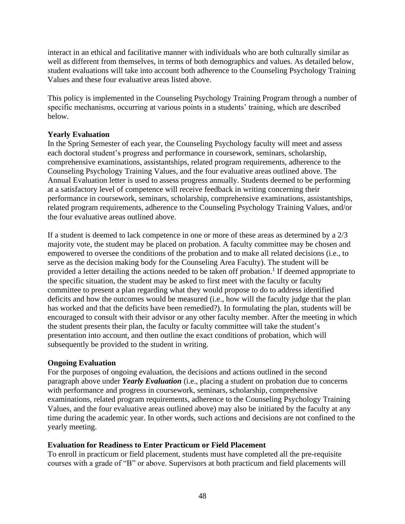interact in an ethical and facilitative manner with individuals who are both culturally similar as well as different from themselves, in terms of both demographics and values. As detailed below, student evaluations will take into account both adherence to the Counseling Psychology Training Values and these four evaluative areas listed above.

This policy is implemented in the Counseling Psychology Training Program through a number of specific mechanisms, occurring at various points in a students' training, which are described below.

## **Yearly Evaluation**

In the Spring Semester of each year, the Counseling Psychology faculty will meet and assess each doctoral student's progress and performance in coursework, seminars, scholarship, comprehensive examinations, assistantships, related program requirements, adherence to the Counseling Psychology Training Values, and the four evaluative areas outlined above. The Annual Evaluation letter is used to assess progress annually. Students deemed to be performing at a satisfactory level of competence will receive feedback in writing concerning their performance in coursework, seminars, scholarship, comprehensive examinations, assistantships, related program requirements, adherence to the Counseling Psychology Training Values, and/or the four evaluative areas outlined above.

If a student is deemed to lack competence in one or more of these areas as determined by a 2/3 majority vote, the student may be placed on probation. A faculty committee may be chosen and empowered to oversee the conditions of the probation and to make all related decisions (i.e., to serve as the decision making body for the Counseling Area Faculty). The student will be provided a letter detailing the actions needed to be taken off probation.<sup>1</sup> If deemed appropriate to the specific situation, the student may be asked to first meet with the faculty or faculty committee to present a plan regarding what they would propose to do to address identified deficits and how the outcomes would be measured (i.e., how will the faculty judge that the plan has worked and that the deficits have been remedied?). In formulating the plan, students will be encouraged to consult with their advisor or any other faculty member. After the meeting in which the student presents their plan, the faculty or faculty committee will take the student's presentation into account, and then outline the exact conditions of probation, which will subsequently be provided to the student in writing.

#### **Ongoing Evaluation**

For the purposes of ongoing evaluation, the decisions and actions outlined in the second paragraph above under *Yearly Evaluation* (i.e., placing a student on probation due to concerns with performance and progress in coursework, seminars, scholarship, comprehensive examinations, related program requirements, adherence to the Counseling Psychology Training Values, and the four evaluative areas outlined above) may also be initiated by the faculty at any time during the academic year. In other words, such actions and decisions are not confined to the yearly meeting.

## **Evaluation for Readiness to Enter Practicum or Field Placement**

To enroll in practicum or field placement, students must have completed all the pre-requisite courses with a grade of "B" or above. Supervisors at both practicum and field placements will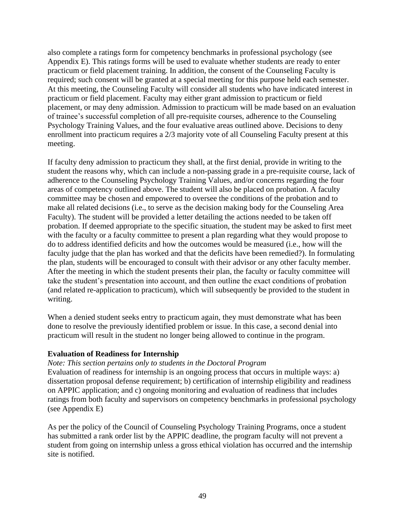also complete a ratings form for competency benchmarks in professional psychology (see Appendix E). This ratings forms will be used to evaluate whether students are ready to enter practicum or field placement training. In addition, the consent of the Counseling Faculty is required; such consent will be granted at a special meeting for this purpose held each semester. At this meeting, the Counseling Faculty will consider all students who have indicated interest in practicum or field placement. Faculty may either grant admission to practicum or field placement, or may deny admission. Admission to practicum will be made based on an evaluation of trainee's successful completion of all pre-requisite courses, adherence to the Counseling Psychology Training Values, and the four evaluative areas outlined above. Decisions to deny enrollment into practicum requires a 2/3 majority vote of all Counseling Faculty present at this meeting.

If faculty deny admission to practicum they shall, at the first denial, provide in writing to the student the reasons why, which can include a non-passing grade in a pre-requisite course, lack of adherence to the Counseling Psychology Training Values, and/or concerns regarding the four areas of competency outlined above. The student will also be placed on probation. A faculty committee may be chosen and empowered to oversee the conditions of the probation and to make all related decisions (i.e., to serve as the decision making body for the Counseling Area Faculty). The student will be provided a letter detailing the actions needed to be taken off probation. If deemed appropriate to the specific situation, the student may be asked to first meet with the faculty or a faculty committee to present a plan regarding what they would propose to do to address identified deficits and how the outcomes would be measured (i.e., how will the faculty judge that the plan has worked and that the deficits have been remedied?). In formulating the plan, students will be encouraged to consult with their advisor or any other faculty member. After the meeting in which the student presents their plan, the faculty or faculty committee will take the student's presentation into account, and then outline the exact conditions of probation (and related re-application to practicum), which will subsequently be provided to the student in writing.

When a denied student seeks entry to practicum again, they must demonstrate what has been done to resolve the previously identified problem or issue. In this case, a second denial into practicum will result in the student no longer being allowed to continue in the program.

#### **Evaluation of Readiness for Internship**

#### *Note: This section pertains only to students in the Doctoral Program*

Evaluation of readiness for internship is an ongoing process that occurs in multiple ways: a) dissertation proposal defense requirement; b) certification of internship eligibility and readiness on APPIC application; and c) ongoing monitoring and evaluation of readiness that includes ratings from both faculty and supervisors on competency benchmarks in professional psychology (see Appendix E)

As per the policy of the Council of Counseling Psychology Training Programs, once a student has submitted a rank order list by the APPIC deadline, the program faculty will not prevent a student from going on internship unless a gross ethical violation has occurred and the internship site is notified.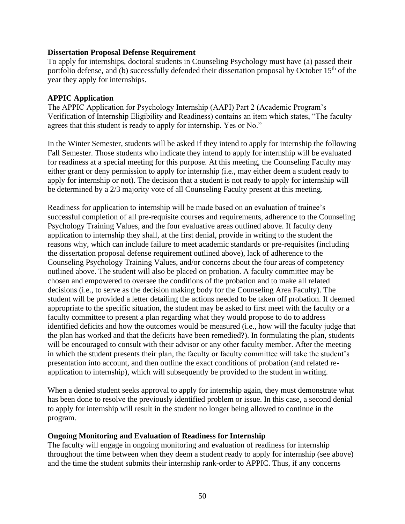#### **Dissertation Proposal Defense Requirement**

To apply for internships, doctoral students in Counseling Psychology must have (a) passed their portfolio defense, and (b) successfully defended their dissertation proposal by October 15<sup>th</sup> of the year they apply for internships.

#### **APPIC Application**

The APPIC Application for Psychology Internship (AAPI) Part 2 (Academic Program's Verification of Internship Eligibility and Readiness) contains an item which states, "The faculty agrees that this student is ready to apply for internship. Yes or No."

In the Winter Semester, students will be asked if they intend to apply for internship the following Fall Semester. Those students who indicate they intend to apply for internship will be evaluated for readiness at a special meeting for this purpose. At this meeting, the Counseling Faculty may either grant or deny permission to apply for internship (i.e., may either deem a student ready to apply for internship or not). The decision that a student is not ready to apply for internship will be determined by a 2/3 majority vote of all Counseling Faculty present at this meeting.

Readiness for application to internship will be made based on an evaluation of trainee's successful completion of all pre-requisite courses and requirements, adherence to the Counseling Psychology Training Values, and the four evaluative areas outlined above. If faculty deny application to internship they shall, at the first denial, provide in writing to the student the reasons why, which can include failure to meet academic standards or pre-requisites (including the dissertation proposal defense requirement outlined above), lack of adherence to the Counseling Psychology Training Values, and/or concerns about the four areas of competency outlined above. The student will also be placed on probation. A faculty committee may be chosen and empowered to oversee the conditions of the probation and to make all related decisions (i.e., to serve as the decision making body for the Counseling Area Faculty). The student will be provided a letter detailing the actions needed to be taken off probation. If deemed appropriate to the specific situation, the student may be asked to first meet with the faculty or a faculty committee to present a plan regarding what they would propose to do to address identified deficits and how the outcomes would be measured (i.e., how will the faculty judge that the plan has worked and that the deficits have been remedied?). In formulating the plan, students will be encouraged to consult with their advisor or any other faculty member. After the meeting in which the student presents their plan, the faculty or faculty committee will take the student's presentation into account, and then outline the exact conditions of probation (and related reapplication to internship), which will subsequently be provided to the student in writing.

When a denied student seeks approval to apply for internship again, they must demonstrate what has been done to resolve the previously identified problem or issue. In this case, a second denial to apply for internship will result in the student no longer being allowed to continue in the program.

#### **Ongoing Monitoring and Evaluation of Readiness for Internship**

The faculty will engage in ongoing monitoring and evaluation of readiness for internship throughout the time between when they deem a student ready to apply for internship (see above) and the time the student submits their internship rank-order to APPIC. Thus, if any concerns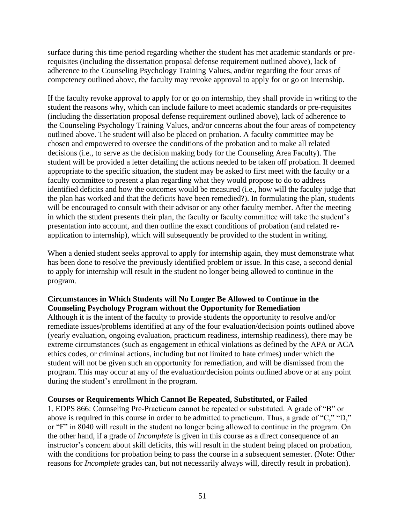surface during this time period regarding whether the student has met academic standards or prerequisites (including the dissertation proposal defense requirement outlined above), lack of adherence to the Counseling Psychology Training Values, and/or regarding the four areas of competency outlined above, the faculty may revoke approval to apply for or go on internship.

If the faculty revoke approval to apply for or go on internship, they shall provide in writing to the student the reasons why, which can include failure to meet academic standards or pre-requisites (including the dissertation proposal defense requirement outlined above), lack of adherence to the Counseling Psychology Training Values, and/or concerns about the four areas of competency outlined above. The student will also be placed on probation. A faculty committee may be chosen and empowered to oversee the conditions of the probation and to make all related decisions (i.e., to serve as the decision making body for the Counseling Area Faculty). The student will be provided a letter detailing the actions needed to be taken off probation. If deemed appropriate to the specific situation, the student may be asked to first meet with the faculty or a faculty committee to present a plan regarding what they would propose to do to address identified deficits and how the outcomes would be measured (i.e., how will the faculty judge that the plan has worked and that the deficits have been remedied?). In formulating the plan, students will be encouraged to consult with their advisor or any other faculty member. After the meeting in which the student presents their plan, the faculty or faculty committee will take the student's presentation into account, and then outline the exact conditions of probation (and related reapplication to internship), which will subsequently be provided to the student in writing.

When a denied student seeks approval to apply for internship again, they must demonstrate what has been done to resolve the previously identified problem or issue. In this case, a second denial to apply for internship will result in the student no longer being allowed to continue in the program.

## **Circumstances in Which Students will No Longer Be Allowed to Continue in the Counseling Psychology Program without the Opportunity for Remediation**

Although it is the intent of the faculty to provide students the opportunity to resolve and/or remediate issues/problems identified at any of the four evaluation/decision points outlined above (yearly evaluation, ongoing evaluation, practicum readiness, internship readiness), there may be extreme circumstances (such as engagement in ethical violations as defined by the APA or ACA ethics codes, or criminal actions, including but not limited to hate crimes) under which the student will not be given such an opportunity for remediation, and will be dismissed from the program. This may occur at any of the evaluation/decision points outlined above or at any point during the student's enrollment in the program.

## **Courses or Requirements Which Cannot Be Repeated, Substituted, or Failed**

1. EDPS 866: Counseling Pre-Practicum cannot be repeated or substituted. A grade of "B" or above is required in this course in order to be admitted to practicum. Thus, a grade of "C," "D," or "F" in 8040 will result in the student no longer being allowed to continue in the program. On the other hand, if a grade of *Incomplete* is given in this course as a direct consequence of an instructor's concern about skill deficits, this will result in the student being placed on probation, with the conditions for probation being to pass the course in a subsequent semester. (Note: Other reasons for *Incomplete* grades can, but not necessarily always will, directly result in probation).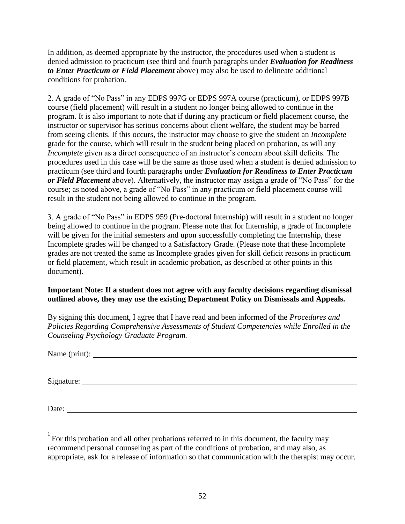In addition, as deemed appropriate by the instructor, the procedures used when a student is denied admission to practicum (see third and fourth paragraphs under *Evaluation for Readiness to Enter Practicum or Field Placement* above) may also be used to delineate additional conditions for probation.

2. A grade of "No Pass" in any EDPS 997G or EDPS 997A course (practicum), or EDPS 997B course (field placement) will result in a student no longer being allowed to continue in the program. It is also important to note that if during any practicum or field placement course, the instructor or supervisor has serious concerns about client welfare, the student may be barred from seeing clients. If this occurs, the instructor may choose to give the student an *Incomplete*  grade for the course, which will result in the student being placed on probation, as will any *Incomplete* given as a direct consequence of an instructor's concern about skill deficits. The procedures used in this case will be the same as those used when a student is denied admission to practicum (see third and fourth paragraphs under *Evaluation for Readiness to Enter Practicum or Field Placement* above). Alternatively, the instructor may assign a grade of "No Pass" for the course; as noted above, a grade of "No Pass" in any practicum or field placement course will result in the student not being allowed to continue in the program.

3. A grade of "No Pass" in EDPS 959 (Pre-doctoral Internship) will result in a student no longer being allowed to continue in the program. Please note that for Internship, a grade of Incomplete will be given for the initial semesters and upon successfully completing the Internship, these Incomplete grades will be changed to a Satisfactory Grade. (Please note that these Incomplete grades are not treated the same as Incomplete grades given for skill deficit reasons in practicum or field placement, which result in academic probation, as described at other points in this document).

## **Important Note: If a student does not agree with any faculty decisions regarding dismissal outlined above, they may use the existing Department Policy on Dismissals and Appeals.**

By signing this document, I agree that I have read and been informed of the *Procedures and Policies Regarding Comprehensive Assessments of Student Competencies while Enrolled in the Counseling Psychology Graduate Program.*

Signature:

Date:

 $1$  For this probation and all other probations referred to in this document, the faculty may recommend personal counseling as part of the conditions of probation, and may also, as appropriate, ask for a release of information so that communication with the therapist may occur.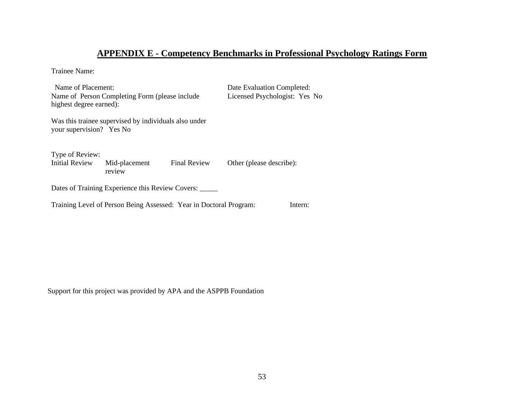## **APPENDIX E - Competency Benchmarks in Professional Psychology Ratings Form**

Trainee Name:

Name of Placement: Date Evaluation Completed: Name of Person Completing Form (please include highest degree earned): Licensed Psychologist: Yes No Was this trainee supervised by individuals also under your supervision? Yes No Type of Review: Initial Review Mid-placement review Final Review Other (please describe): Dates of Training Experience this Review Covers: \_\_\_\_\_ Training Level of Person Being Assessed: Year in Doctoral Program: Intern:

Support for this project was provided by APA and the ASPPB Foundation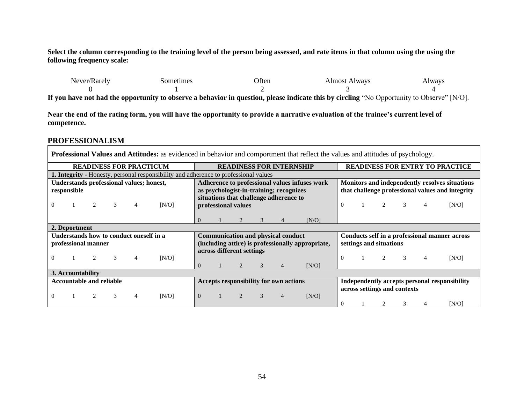**Select the column corresponding to the training level of the person being assessed, and rate items in that column using the using the following frequency scale:**

| $N = N$<br>''arelv | iometimes | )†ter | lmosi<br>A Iways | $\mathbf{W}$ |
|--------------------|-----------|-------|------------------|--------------|
|                    |           |       |                  |              |
|                    |           |       |                  | _____<br>___ |

**If you have not had the opportunity to observe a behavior in question, please indicate this by circling** "No Opportunity to Observe" [N/O].

**Near the end of the rating form, you will have the opportunity to provide a narrative evaluation of the trainee's current level of competence.** 

#### **PROFESSIONALISM**

**Professional Values and Attitudes:** as evidenced in behavior and comportment that reflect the values and attitudes of psychology. **READINESS FOR PRACTICUM READINESS FOR INTERNSHIP READINESS FOR ENTRY TO PRACTICE 1. Integrity -** Honesty, personal responsibility and adherence to professional values **Understands professional values; honest, responsible** 0 1 2 3 4 [N/O] **Adherence to professional values infuses work as psychologist-in-training; recognizes situations that challenge adherence to professional values**  $0 \t 1 \t 2 \t 3 \t 4 \t [N/O]$ **Monitors and independently resolves situations that challenge professional values and integrity** 0 1 2 3 4 [N/O] **2. Deportment Understands how to conduct oneself in a professional manner** 0 1 2 3 4 [N/O] **Communication and physical conduct (including attire) is professionally appropriate, across different settings** 0 1 2 3 4 [N/O] **Conducts self in a professional manner across settings and situations**  0 1 2 3 4 [N/O] **3. Accountability Accountable and reliable**  0 1 2 3 4 [N/O] **Accepts responsibility for own actions**  0 1 2 3 4 [N/O] **Independently accepts personal responsibility across settings and contexts** 0 1 2 3 4 [N/O]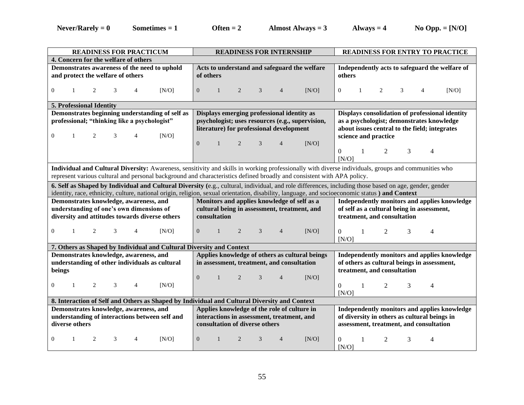$N = 0$  **Sometimes = 1 Often = 2 Almost Always = 3 Always = 4 No Opp. = [N/O]** 

| <b>READINESS FOR PRACTICUM</b>                                                               | <b>READINESS FOR INTERNSHIP</b>                                                                                                                        | <b>READINESS FOR ENTRY TO PRACTICE</b>                   |  |  |  |  |
|----------------------------------------------------------------------------------------------|--------------------------------------------------------------------------------------------------------------------------------------------------------|----------------------------------------------------------|--|--|--|--|
| 4. Concern for the welfare of others                                                         |                                                                                                                                                        |                                                          |  |  |  |  |
| Demonstrates awareness of the need to uphold                                                 | Acts to understand and safeguard the welfare                                                                                                           | Independently acts to safeguard the welfare of           |  |  |  |  |
| and protect the welfare of others                                                            | of others                                                                                                                                              | others                                                   |  |  |  |  |
|                                                                                              |                                                                                                                                                        |                                                          |  |  |  |  |
| $\overline{0}$<br>[N/O]<br>1<br>2<br>4                                                       | $\mathbf{0}$<br>3<br>2<br>$\overline{4}$<br>[N/O]                                                                                                      | $\overline{0}$<br>2<br>3<br>$\overline{4}$<br>[N/O]<br>1 |  |  |  |  |
|                                                                                              |                                                                                                                                                        |                                                          |  |  |  |  |
| 5. Professional Identity                                                                     |                                                                                                                                                        |                                                          |  |  |  |  |
| Demonstrates beginning understanding of self as                                              | Displays emerging professional identity as                                                                                                             | Displays consolidation of professional identity          |  |  |  |  |
| professional; "thinking like a psychologist"                                                 | psychologist; uses resources (e.g., supervision,                                                                                                       | as a psychologist; demonstrates knowledge                |  |  |  |  |
|                                                                                              | literature) for professional development                                                                                                               | about issues central to the field; integrates            |  |  |  |  |
| $\overline{0}$<br>2<br>3<br>[N/O]<br>1<br>4                                                  |                                                                                                                                                        | science and practice                                     |  |  |  |  |
|                                                                                              | $\theta$<br>[N/O]<br>2<br>3                                                                                                                            |                                                          |  |  |  |  |
|                                                                                              |                                                                                                                                                        | 0<br>2<br>3<br>4<br>1                                    |  |  |  |  |
|                                                                                              |                                                                                                                                                        | [N/O]                                                    |  |  |  |  |
|                                                                                              | Individual and Cultural Diversity: Awareness, sensitivity and skills in working professionally with diverse individuals, groups and communities who    |                                                          |  |  |  |  |
|                                                                                              | represent various cultural and personal background and characteristics defined broadly and consistent with APA policy.                                 |                                                          |  |  |  |  |
|                                                                                              | 6. Self as Shaped by Individual and Cultural Diversity (e.g., cultural, individual, and role differences, including those based on age, gender, gender |                                                          |  |  |  |  |
|                                                                                              | identity, race, ethnicity, culture, national origin, religion, sexual orientation, disability, language, and socioeconomic status) and Context         |                                                          |  |  |  |  |
|                                                                                              |                                                                                                                                                        |                                                          |  |  |  |  |
| Demonstrates knowledge, awareness, and                                                       | Monitors and applies knowledge of self as a                                                                                                            | Independently monitors and applies knowledge             |  |  |  |  |
| understanding of one's own dimensions of                                                     | cultural being in assessment, treatment, and                                                                                                           | of self as a cultural being in assessment,               |  |  |  |  |
| diversity and attitudes towards diverse others                                               | consultation                                                                                                                                           | treatment, and consultation                              |  |  |  |  |
|                                                                                              |                                                                                                                                                        |                                                          |  |  |  |  |
| $\Omega$<br>2<br>[N/O]<br>$\mathbf{1}$<br>3<br>4                                             | $\overline{0}$<br>[N/O]<br>$\overline{1}$<br>2<br>3<br>$\overline{4}$                                                                                  | $\Omega$<br>2<br>3<br>4                                  |  |  |  |  |
|                                                                                              |                                                                                                                                                        | [N/O]                                                    |  |  |  |  |
| 7. Others as Shaped by Individual and Cultural Diversity and Context                         |                                                                                                                                                        |                                                          |  |  |  |  |
| Demonstrates knowledge, awareness, and                                                       | Applies knowledge of others as cultural beings                                                                                                         | Independently monitors and applies knowledge             |  |  |  |  |
| understanding of other individuals as cultural                                               | in assessment, treatment, and consultation                                                                                                             | of others as cultural beings in assessment,              |  |  |  |  |
| beings                                                                                       |                                                                                                                                                        | treatment, and consultation                              |  |  |  |  |
|                                                                                              | $\overline{0}$<br>2<br>3<br>[N/O]<br>$\mathbf{1}$<br>$\overline{4}$                                                                                    |                                                          |  |  |  |  |
| 2<br>[N/O]<br>$\overline{0}$<br>3<br>4<br>$\mathbf{1}$                                       |                                                                                                                                                        | $\Omega$<br>2<br>3<br>1<br>4                             |  |  |  |  |
|                                                                                              |                                                                                                                                                        | [N/O]                                                    |  |  |  |  |
| 8. Interaction of Self and Others as Shaped by Individual and Cultural Diversity and Context |                                                                                                                                                        |                                                          |  |  |  |  |
| Demonstrates knowledge, awareness, and                                                       | Applies knowledge of the role of culture in                                                                                                            | Independently monitors and applies knowledge             |  |  |  |  |
| understanding of interactions between self and                                               | interactions in assessment, treatment, and                                                                                                             | of diversity in others as cultural beings in             |  |  |  |  |
| diverse others                                                                               | consultation of diverse others                                                                                                                         | assessment, treatment, and consultation                  |  |  |  |  |
|                                                                                              |                                                                                                                                                        |                                                          |  |  |  |  |
| $\overline{0}$<br>3<br>$\overline{4}$<br>[N/O]<br>1<br>2                                     | $\mathbf{0}$<br>3<br>2<br>$\overline{4}$<br>[N/O]                                                                                                      | 3<br>$\overline{0}$<br>2<br>4<br>[N/O]                   |  |  |  |  |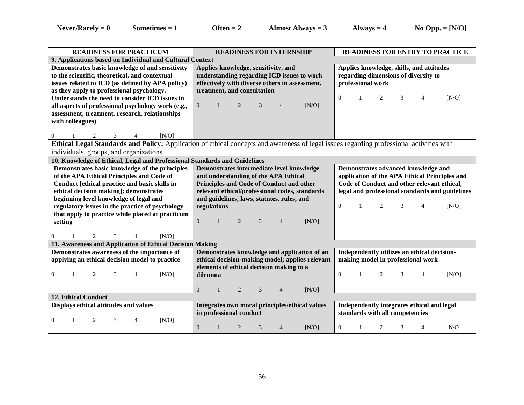| <b>READINESS FOR PRACTICUM</b>                                            | <b>READINESS FOR INTERNSHIP</b>                                                                                                          | <b>READINESS FOR ENTRY TO PRACTICE</b>          |  |  |  |  |
|---------------------------------------------------------------------------|------------------------------------------------------------------------------------------------------------------------------------------|-------------------------------------------------|--|--|--|--|
| 9. Applications based on Individual and Cultural Context                  |                                                                                                                                          |                                                 |  |  |  |  |
| Demonstrates basic knowledge of and sensitivity                           | Applies knowledge, sensitivity, and                                                                                                      | Applies knowledge, skills, and attitudes        |  |  |  |  |
| to the scientific, theoretical, and contextual                            | understanding regarding ICD issues to work                                                                                               | regarding dimensions of diversity to            |  |  |  |  |
| issues related to ICD (as defined by APA policy)                          | effectively with diverse others in assessment,                                                                                           | professional work                               |  |  |  |  |
| as they apply to professional psychology.                                 | treatment, and consultation                                                                                                              |                                                 |  |  |  |  |
| Understands the need to consider ICD issues in                            |                                                                                                                                          | $\Omega$<br>[N/O]<br>2<br>3<br>4                |  |  |  |  |
| all aspects of professional psychology work (e.g.,                        | $\overline{0}$<br>[N/O]<br>$\mathbf{1}$<br>2<br>3<br>$\overline{4}$                                                                      |                                                 |  |  |  |  |
| assessment, treatment, research, relationships                            |                                                                                                                                          |                                                 |  |  |  |  |
| with colleagues)                                                          |                                                                                                                                          |                                                 |  |  |  |  |
|                                                                           |                                                                                                                                          |                                                 |  |  |  |  |
| [N/O]<br>$\overline{0}$<br>2<br>3<br>4                                    |                                                                                                                                          |                                                 |  |  |  |  |
|                                                                           | Ethical Legal Standards and Policy: Application of ethical concepts and awareness of legal issues regarding professional activities with |                                                 |  |  |  |  |
| individuals, groups, and organizations.                                   |                                                                                                                                          |                                                 |  |  |  |  |
| 10. Knowledge of Ethical, Legal and Professional Standards and Guidelines |                                                                                                                                          |                                                 |  |  |  |  |
| Demonstrates basic knowledge of the principles                            | Demonstrates intermediate level knowledge                                                                                                | Demonstrates advanced knowledge and             |  |  |  |  |
| of the APA Ethical Principles and Code of                                 | and understanding of the APA Ethical                                                                                                     | application of the APA Ethical Principles and   |  |  |  |  |
| Conduct [ethical practice and basic skills in                             | Principles and Code of Conduct and other                                                                                                 | Code of Conduct and other relevant ethical,     |  |  |  |  |
| ethical decision making]; demonstrates                                    | relevant ethical/professional codes, standards                                                                                           | legal and professional standards and guidelines |  |  |  |  |
|                                                                           |                                                                                                                                          |                                                 |  |  |  |  |
| beginning level knowledge of legal and                                    | and guidelines, laws, statutes, rules, and                                                                                               |                                                 |  |  |  |  |
| regulatory issues in the practice of psychology                           | regulations                                                                                                                              | $\theta$<br>2<br>3<br>[N/O]<br>4                |  |  |  |  |
| that apply to practice while placed at practicum                          |                                                                                                                                          |                                                 |  |  |  |  |
| setting                                                                   | $\overline{0}$<br>2<br>3<br>[N/O]<br>$\overline{4}$                                                                                      |                                                 |  |  |  |  |
|                                                                           |                                                                                                                                          |                                                 |  |  |  |  |
| $\overline{2}$<br>3<br>[N/O]<br>$\Omega$<br>$\overline{4}$                |                                                                                                                                          |                                                 |  |  |  |  |
| 11. Awareness and Application of Ethical Decision Making                  |                                                                                                                                          |                                                 |  |  |  |  |
| Demonstrates awareness of the importance of                               | Demonstrates knowledge and application of an                                                                                             | Independently utilizes an ethical decision-     |  |  |  |  |
| applying an ethical decision model to practice                            | ethical decision-making model; applies relevant                                                                                          | making model in professional work               |  |  |  |  |
|                                                                           | elements of ethical decision making to a                                                                                                 |                                                 |  |  |  |  |
| [N/O]<br>$\theta$<br>2<br>3<br>4                                          | dilemma                                                                                                                                  | $\Omega$<br>2<br>[N/O]<br>3<br>4                |  |  |  |  |
|                                                                           |                                                                                                                                          |                                                 |  |  |  |  |
|                                                                           | [N/O]<br>$\Omega$<br>2<br>3<br>$\overline{4}$                                                                                            |                                                 |  |  |  |  |
| <b>12. Ethical Conduct</b>                                                |                                                                                                                                          |                                                 |  |  |  |  |
| Displays ethical attitudes and values                                     | Integrates own moral principles/ethical values                                                                                           | Independently integrates ethical and legal      |  |  |  |  |
|                                                                           | in professional conduct                                                                                                                  | standards with all competencies                 |  |  |  |  |
| [N/O]<br>$\Omega$<br>2<br>3<br>4                                          | $\overline{0}$<br>2<br>3<br>[N/O]<br>4                                                                                                   | $\overline{0}$<br>[N/O]<br>2<br>3<br>-1<br>4    |  |  |  |  |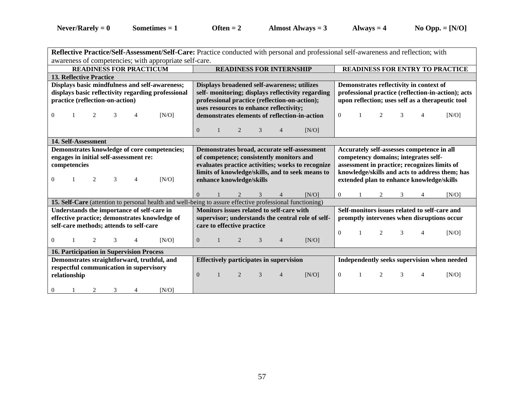| Reflective Practice/Self-Assessment/Self-Care: Practice conducted with personal and professional self-awareness and reflection; with |                                               |                                                                                                       |                            |                          |                                                  |                                                   |                                                    |  |                |   |                                        |                                                |  |
|--------------------------------------------------------------------------------------------------------------------------------------|-----------------------------------------------|-------------------------------------------------------------------------------------------------------|----------------------------|--------------------------|--------------------------------------------------|---------------------------------------------------|----------------------------------------------------|--|----------------|---|----------------------------------------|------------------------------------------------|--|
| awareness of competencies; with appropriate self-care.                                                                               |                                               |                                                                                                       |                            |                          |                                                  |                                                   |                                                    |  |                |   |                                        |                                                |  |
| <b>READINESS FOR PRACTICUM</b>                                                                                                       | <b>READINESS FOR INTERNSHIP</b>               |                                                                                                       |                            |                          |                                                  |                                                   |                                                    |  |                |   | <b>READINESS FOR ENTRY TO PRACTICE</b> |                                                |  |
| <b>13. Reflective Practice</b>                                                                                                       |                                               |                                                                                                       |                            |                          |                                                  |                                                   |                                                    |  |                |   |                                        |                                                |  |
| Displays basic mindfulness and self-awareness;                                                                                       |                                               | Displays broadened self-awareness; utilizes                                                           |                            |                          |                                                  |                                                   | Demonstrates reflectivity in context of            |  |                |   |                                        |                                                |  |
| displays basic reflectivity regarding professional                                                                                   |                                               | self- monitoring; displays reflectivity regarding                                                     |                            |                          |                                                  |                                                   | professional practice (reflection-in-action); acts |  |                |   |                                        |                                                |  |
| practice (reflection-on-action)                                                                                                      | professional practice (reflection-on-action); |                                                                                                       |                            |                          | upon reflection; uses self as a therapeutic tool |                                                   |                                                    |  |                |   |                                        |                                                |  |
|                                                                                                                                      |                                               |                                                                                                       |                            |                          | uses resources to enhance reflectivity;          |                                                   |                                                    |  |                |   |                                        |                                                |  |
| [N/O]<br>$\overline{0}$<br>2                                                                                                         |                                               |                                                                                                       |                            |                          |                                                  | demonstrates elements of reflection-in-action     | $\overline{0}$                                     |  | 2              | 3 | $\overline{4}$                         | [N/O]                                          |  |
|                                                                                                                                      |                                               |                                                                                                       |                            |                          |                                                  |                                                   |                                                    |  |                |   |                                        |                                                |  |
|                                                                                                                                      | $\overline{0}$                                |                                                                                                       | 2                          | 3                        | 4                                                | [N/O]                                             |                                                    |  |                |   |                                        |                                                |  |
| 14. Self-Assessment                                                                                                                  |                                               |                                                                                                       |                            |                          |                                                  |                                                   |                                                    |  |                |   |                                        |                                                |  |
| Demonstrates knowledge of core competencies;                                                                                         |                                               |                                                                                                       |                            |                          |                                                  | Demonstrates broad, accurate self-assessment      |                                                    |  |                |   |                                        | Accurately self-assesses competence in all     |  |
| engages in initial self-assessment re:                                                                                               |                                               |                                                                                                       |                            |                          | of competence; consistently monitors and         |                                                   |                                                    |  |                |   | competency domains; integrates self-   |                                                |  |
| competencies                                                                                                                         |                                               |                                                                                                       |                            |                          |                                                  |                                                   | assessment in practice; recognizes limits of       |  |                |   |                                        |                                                |  |
|                                                                                                                                      |                                               | evaluates practice activities; works to recognize<br>limits of knowledge/skills, and to seek means to |                            |                          |                                                  |                                                   |                                                    |  |                |   |                                        | knowledge/skills and acts to address them; has |  |
|                                                                                                                                      |                                               |                                                                                                       |                            | enhance knowledge/skills |                                                  |                                                   |                                                    |  |                |   |                                        |                                                |  |
| 2<br>3<br>[N/O]<br>$\Omega$<br>4                                                                                                     |                                               |                                                                                                       |                            |                          |                                                  |                                                   |                                                    |  |                |   |                                        | extended plan to enhance knowledge/skills      |  |
|                                                                                                                                      |                                               |                                                                                                       |                            |                          |                                                  |                                                   |                                                    |  |                |   |                                        |                                                |  |
|                                                                                                                                      | $\Omega$                                      |                                                                                                       |                            | 3                        |                                                  | [N/O]                                             | $\overline{0}$                                     |  | 2              | 3 | 4                                      | [N/O]                                          |  |
| <b>15. Self-Care</b> (attention to personal health and well-being to assure effective professional functioning)                      |                                               |                                                                                                       |                            |                          |                                                  |                                                   |                                                    |  |                |   |                                        |                                                |  |
| Understands the importance of self-care in                                                                                           |                                               |                                                                                                       |                            |                          | Monitors issues related to self-care with        |                                                   |                                                    |  |                |   |                                        | Self-monitors issues related to self-care and  |  |
| effective practice; demonstrates knowledge of                                                                                        |                                               |                                                                                                       |                            |                          |                                                  | supervisor; understands the central role of self- |                                                    |  |                |   |                                        | promptly intervenes when disruptions occur     |  |
| self-care methods; attends to self-care                                                                                              |                                               |                                                                                                       | care to effective practice |                          |                                                  |                                                   |                                                    |  |                |   |                                        |                                                |  |
|                                                                                                                                      |                                               |                                                                                                       |                            |                          |                                                  |                                                   | $\Omega$                                           |  | $\overline{2}$ | 3 | $\overline{4}$                         | [N/O]                                          |  |
| $\Omega$<br>2<br>3<br>[N/O]<br>4                                                                                                     | $\overline{0}$                                |                                                                                                       | 2                          | 3                        | $\overline{4}$                                   | [N/O]                                             |                                                    |  |                |   |                                        |                                                |  |
| 16. Participation in Supervision Process                                                                                             |                                               |                                                                                                       |                            |                          |                                                  |                                                   |                                                    |  |                |   |                                        |                                                |  |
| Demonstrates straightforward, truthful, and                                                                                          |                                               |                                                                                                       |                            |                          | <b>Effectively participates in supervision</b>   |                                                   |                                                    |  |                |   |                                        | Independently seeks supervision when needed    |  |
| respectful communication in supervisory                                                                                              |                                               |                                                                                                       |                            |                          |                                                  |                                                   |                                                    |  |                |   |                                        |                                                |  |
| relationship                                                                                                                         | $\Omega$                                      |                                                                                                       | 2                          | 3                        | $\overline{4}$                                   | [N/O]                                             | $\theta$                                           |  | 2              | 3 | 4                                      | [N/O]                                          |  |
| [N/O]                                                                                                                                |                                               |                                                                                                       |                            |                          |                                                  |                                                   |                                                    |  |                |   |                                        |                                                |  |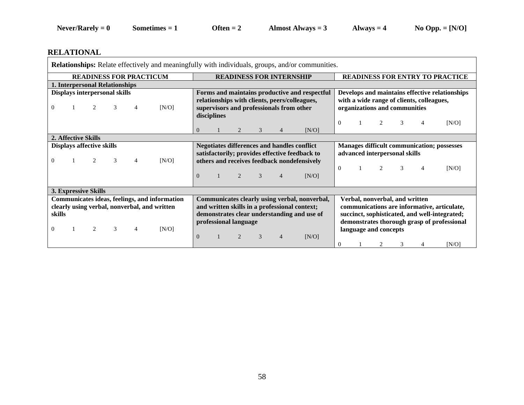## **RELATIONAL**

| <b>READINESS FOR PRACTICUM</b><br><b>READINESS FOR INTERNSHIP</b><br>1. Interpersonal Relationships<br>Forms and maintains productive and respectful<br>Displays interpersonal skills<br>relationships with clients, peers/colleagues,<br>with a wide range of clients, colleagues,<br>[N/O]<br>organizations and communities<br>3<br>supervisors and professionals from other<br>$\Omega$<br>$\overline{4}$<br>disciplines<br>3<br>$\Omega$<br>4<br>$\Omega$<br>3<br>[N/O]<br>2. Affective Skills |                                  | <b>Relationships:</b> Relate effectively and meaningfully with individuals, groups, and/or communities.                                              |  |
|----------------------------------------------------------------------------------------------------------------------------------------------------------------------------------------------------------------------------------------------------------------------------------------------------------------------------------------------------------------------------------------------------------------------------------------------------------------------------------------------------|----------------------------------|------------------------------------------------------------------------------------------------------------------------------------------------------|--|
|                                                                                                                                                                                                                                                                                                                                                                                                                                                                                                    |                                  | <b>READINESS FOR ENTRY TO PRACTICE</b>                                                                                                               |  |
|                                                                                                                                                                                                                                                                                                                                                                                                                                                                                                    |                                  |                                                                                                                                                      |  |
|                                                                                                                                                                                                                                                                                                                                                                                                                                                                                                    |                                  | Develops and maintains effective relationships                                                                                                       |  |
|                                                                                                                                                                                                                                                                                                                                                                                                                                                                                                    |                                  | [N/O]                                                                                                                                                |  |
|                                                                                                                                                                                                                                                                                                                                                                                                                                                                                                    |                                  |                                                                                                                                                      |  |
| advanced interpersonal skills<br>satisfactorily; provides effective feedback to<br>2<br>[N/O]<br>3<br>$\overline{4}$<br>others and receives feedback nondefensively<br>$\Omega$<br>2<br>$\Omega$<br>3<br>$\overline{4}$<br>3<br>$\theta$<br>2<br>[N/O]<br>4                                                                                                                                                                                                                                        | <b>Displays affective skills</b> | <b>Negotiates differences and handles conflict</b><br><b>Manages difficult communication; possesses</b><br>[N/O]                                     |  |
| <b>3. Expressive Skills</b>                                                                                                                                                                                                                                                                                                                                                                                                                                                                        |                                  |                                                                                                                                                      |  |
| Communicates ideas, feelings, and information<br>Communicates clearly using verbal, nonverbal,<br>Verbal, nonverbal, and written<br>clearly using verbal, nonverbal, and written<br>and written skills in a professional context;<br>demonstrates clear understanding and use of<br>skills<br>professional language<br>2<br>[N/O]<br>3<br>$\Omega$<br>$\overline{4}$<br>language and concepts<br>$\theta$<br>$\mathcal{D}_{\mathcal{L}}$<br>$\mathcal{R}$<br>[N/O]<br>2<br>3<br>0<br>4             |                                  | communications are informative, articulate,<br>succinct, sophisticated, and well-integrated;<br>demonstrates thorough grasp of professional<br>[N/O] |  |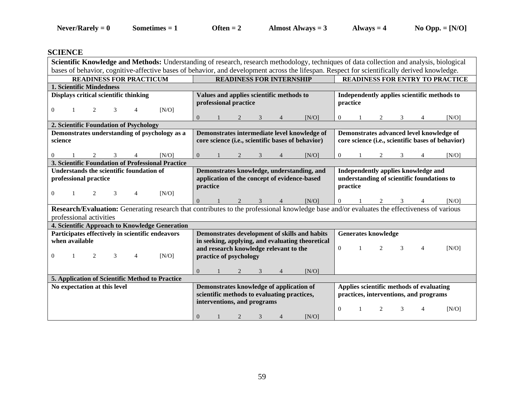## **SCIENCE**

| Scientific Knowledge and Methods: Understanding of research, research methodology, techniques of data collection and analysis, biological    |                                                     |                                                   |  |  |  |  |  |  |
|----------------------------------------------------------------------------------------------------------------------------------------------|-----------------------------------------------------|---------------------------------------------------|--|--|--|--|--|--|
| bases of behavior, cognitive-affective bases of behavior, and development across the lifespan. Respect for scientifically derived knowledge. |                                                     |                                                   |  |  |  |  |  |  |
| <b>READINESS FOR PRACTICUM</b>                                                                                                               | <b>READINESS FOR INTERNSHIP</b>                     | <b>READINESS FOR ENTRY TO PRACTICE</b>            |  |  |  |  |  |  |
| 1. Scientific Mindedness                                                                                                                     |                                                     |                                                   |  |  |  |  |  |  |
| Displays critical scientific thinking                                                                                                        | Values and applies scientific methods to            | Independently applies scientific methods to       |  |  |  |  |  |  |
|                                                                                                                                              | professional practice                               | practice                                          |  |  |  |  |  |  |
| [N/O]<br>$\overline{0}$<br>2                                                                                                                 |                                                     |                                                   |  |  |  |  |  |  |
|                                                                                                                                              | $\overline{0}$<br>[N/O]                             | [N/O]<br>2<br>3<br>$\overline{0}$                 |  |  |  |  |  |  |
| 2. Scientific Foundation of Psychology                                                                                                       |                                                     |                                                   |  |  |  |  |  |  |
| Demonstrates understanding of psychology as a                                                                                                | Demonstrates intermediate level knowledge of        | Demonstrates advanced level knowledge of          |  |  |  |  |  |  |
| science                                                                                                                                      | core science (i.e., scientific bases of behavior)   | core science (i.e., scientific bases of behavior) |  |  |  |  |  |  |
|                                                                                                                                              |                                                     |                                                   |  |  |  |  |  |  |
| [N/O]<br>0                                                                                                                                   | [N/O]<br>$\overline{0}$<br>3                        | [N/O]<br>2<br>3<br>0                              |  |  |  |  |  |  |
| 3. Scientific Foundation of Professional Practice                                                                                            |                                                     |                                                   |  |  |  |  |  |  |
| Understands the scientific foundation of                                                                                                     | Demonstrates knowledge, understanding, and          | Independently applies knowledge and               |  |  |  |  |  |  |
| professional practice                                                                                                                        | application of the concept of evidence-based        | understanding of scientific foundations to        |  |  |  |  |  |  |
|                                                                                                                                              | practice                                            | practice                                          |  |  |  |  |  |  |
| [N/O]<br>$\Omega$<br>2<br>3<br>$\overline{4}$                                                                                                |                                                     |                                                   |  |  |  |  |  |  |
|                                                                                                                                              | [N/O]<br>$\Omega$<br>2<br>3<br>$\overline{4}$       | IN/O<br>3                                         |  |  |  |  |  |  |
| Research/Evaluation: Generating research that contributes to the professional knowledge base and/or evaluates the effectiveness of various   |                                                     |                                                   |  |  |  |  |  |  |
| professional activities                                                                                                                      |                                                     |                                                   |  |  |  |  |  |  |
| 4. Scientific Approach to Knowledge Generation                                                                                               |                                                     |                                                   |  |  |  |  |  |  |
| Participates effectively in scientific endeavors                                                                                             | Demonstrates development of skills and habits       | <b>Generates knowledge</b>                        |  |  |  |  |  |  |
| when available                                                                                                                               | in seeking, applying, and evaluating theoretical    |                                                   |  |  |  |  |  |  |
|                                                                                                                                              | and research knowledge relevant to the              | $\Omega$<br>2<br>3<br>$\overline{4}$<br>[N/O]     |  |  |  |  |  |  |
| [N/O]<br>2<br>$\theta$<br>3<br>4                                                                                                             | practice of psychology                              |                                                   |  |  |  |  |  |  |
|                                                                                                                                              |                                                     |                                                   |  |  |  |  |  |  |
|                                                                                                                                              | [N/O]<br>$\overline{0}$                             |                                                   |  |  |  |  |  |  |
| 5. Application of Scientific Method to Practice                                                                                              |                                                     |                                                   |  |  |  |  |  |  |
| No expectation at this level                                                                                                                 | Demonstrates knowledge of application of            | Applies scientific methods of evaluating          |  |  |  |  |  |  |
|                                                                                                                                              | scientific methods to evaluating practices,         | practices, interventions, and programs            |  |  |  |  |  |  |
|                                                                                                                                              | interventions, and programs                         |                                                   |  |  |  |  |  |  |
|                                                                                                                                              |                                                     | $\Omega$<br>[N/O]<br>2<br>3<br>4                  |  |  |  |  |  |  |
|                                                                                                                                              | $\overline{0}$<br>2<br>3<br>[N/O]<br>$\overline{4}$ |                                                   |  |  |  |  |  |  |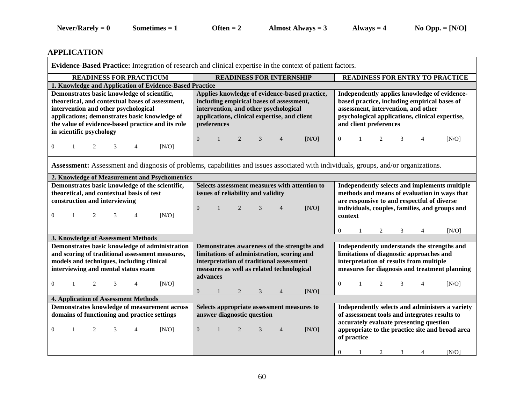## **APPLICATION**

| Evidence-Based Practice: Integration of research and clinical expertise in the context of patient factors.                                                                                                                                                                                                                            |                                                                                                                                                                                                                                                    |                                                                                                                                                                                                                                                                   |  |  |  |  |  |  |
|---------------------------------------------------------------------------------------------------------------------------------------------------------------------------------------------------------------------------------------------------------------------------------------------------------------------------------------|----------------------------------------------------------------------------------------------------------------------------------------------------------------------------------------------------------------------------------------------------|-------------------------------------------------------------------------------------------------------------------------------------------------------------------------------------------------------------------------------------------------------------------|--|--|--|--|--|--|
| <b>READINESS FOR PRACTICUM</b>                                                                                                                                                                                                                                                                                                        | <b>READINESS FOR INTERNSHIP</b>                                                                                                                                                                                                                    | <b>READINESS FOR ENTRY TO PRACTICE</b>                                                                                                                                                                                                                            |  |  |  |  |  |  |
| 1. Knowledge and Application of Evidence-Based Practice                                                                                                                                                                                                                                                                               |                                                                                                                                                                                                                                                    |                                                                                                                                                                                                                                                                   |  |  |  |  |  |  |
| Demonstrates basic knowledge of scientific,<br>theoretical, and contextual bases of assessment,<br>intervention and other psychological<br>applications; demonstrates basic knowledge of<br>the value of evidence-based practice and its role<br>in scientific psychology<br>[N/O]<br>$\overline{0}$<br>2<br>$\overline{4}$<br>1<br>3 | Applies knowledge of evidence-based practice,<br>including empirical bases of assessment,<br>intervention, and other psychological<br>applications, clinical expertise, and client<br>preferences<br>$\Omega$<br>2<br>3<br>[N/O]<br>$\overline{4}$ | Independently applies knowledge of evidence-<br>based practice, including empirical bases of<br>assessment, intervention, and other<br>psychological applications, clinical expertise,<br>and client preferences<br>$\overline{c}$<br>$\Omega$<br>[N/O]<br>3<br>4 |  |  |  |  |  |  |
| Assessment: Assessment and diagnosis of problems, capabilities and issues associated with individuals, groups, and/or organizations.                                                                                                                                                                                                  |                                                                                                                                                                                                                                                    |                                                                                                                                                                                                                                                                   |  |  |  |  |  |  |
| 2. Knowledge of Measurement and Psychometrics                                                                                                                                                                                                                                                                                         |                                                                                                                                                                                                                                                    |                                                                                                                                                                                                                                                                   |  |  |  |  |  |  |
| Demonstrates basic knowledge of the scientific,<br>theoretical, and contextual basis of test<br>construction and interviewing<br>[N/O]<br>$\Omega$<br>2<br>3                                                                                                                                                                          | Selects assessment measures with attention to<br>issues of reliability and validity<br>$\Omega$<br>[N/O]<br>2<br>3<br>$\overline{4}$                                                                                                               | Independently selects and implements multiple<br>methods and means of evaluation in ways that<br>are responsive to and respectful of diverse<br>individuals, couples, families, and groups and<br>context<br>[N/O]<br>$\overline{0}$<br>2<br>3<br>4               |  |  |  |  |  |  |
| 3. Knowledge of Assessment Methods                                                                                                                                                                                                                                                                                                    |                                                                                                                                                                                                                                                    |                                                                                                                                                                                                                                                                   |  |  |  |  |  |  |
| Demonstrates basic knowledge of administration<br>and scoring of traditional assessment measures,<br>models and techniques, including clinical<br>interviewing and mental status exam<br>[N/O]<br>$\overline{0}$<br>2<br>$\mathbf{1}$<br>3<br>4                                                                                       | Demonstrates awareness of the strengths and<br>limitations of administration, scoring and<br>interpretation of traditional assessment<br>measures as well as related technological<br>advances                                                     | Independently understands the strengths and<br>limitations of diagnostic approaches and<br>interpretation of results from multiple<br>measures for diagnosis and treatment planning<br>$\Omega$<br>$\overline{2}$<br>3<br>[N/O]<br>1<br>4                         |  |  |  |  |  |  |
|                                                                                                                                                                                                                                                                                                                                       | [N/O]<br>$\overline{0}$<br>2<br>3<br>$\overline{4}$                                                                                                                                                                                                |                                                                                                                                                                                                                                                                   |  |  |  |  |  |  |
| <b>4. Application of Assessment Methods</b>                                                                                                                                                                                                                                                                                           |                                                                                                                                                                                                                                                    |                                                                                                                                                                                                                                                                   |  |  |  |  |  |  |
| Demonstrates knowledge of measurement across<br>domains of functioning and practice settings<br>3<br>$\theta$<br>1<br>2<br>[N/O]<br>4                                                                                                                                                                                                 | Selects appropriate assessment measures to<br>answer diagnostic question<br>2<br>$\overline{0}$<br>3<br>[N/O]<br>$\overline{4}$                                                                                                                    | Independently selects and administers a variety<br>of assessment tools and integrates results to<br>accurately evaluate presenting question<br>appropriate to the practice site and broad area<br>of practice                                                     |  |  |  |  |  |  |
|                                                                                                                                                                                                                                                                                                                                       |                                                                                                                                                                                                                                                    | 2<br>3<br>[N/O]<br>$\theta$<br>4<br>-1                                                                                                                                                                                                                            |  |  |  |  |  |  |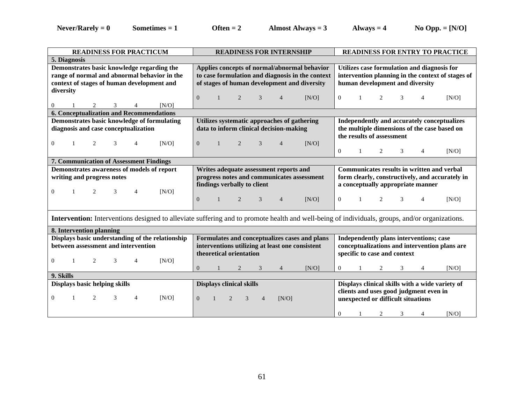**Never/Rarely = 0 Sometimes = 1 Often = 2 Almost Always = 3 Always = 4 No Opp. = [N/O]**

| <b>READINESS FOR PRACTICUM</b>                                                                                                                        | <b>READINESS FOR INTERNSHIP</b>                            | <b>READINESS FOR ENTRY TO PRACTICE</b>                   |  |  |  |  |  |  |
|-------------------------------------------------------------------------------------------------------------------------------------------------------|------------------------------------------------------------|----------------------------------------------------------|--|--|--|--|--|--|
| 5. Diagnosis                                                                                                                                          |                                                            |                                                          |  |  |  |  |  |  |
| Demonstrates basic knowledge regarding the                                                                                                            | Applies concepts of normal/abnormal behavior               | Utilizes case formulation and diagnosis for              |  |  |  |  |  |  |
| range of normal and abnormal behavior in the                                                                                                          | to case formulation and diagnosis in the context           | intervention planning in the context of stages of        |  |  |  |  |  |  |
| context of stages of human development and                                                                                                            | of stages of human development and diversity               | human development and diversity                          |  |  |  |  |  |  |
| diversity                                                                                                                                             |                                                            |                                                          |  |  |  |  |  |  |
|                                                                                                                                                       | $\overline{0}$<br>3<br>[N/O]<br>2<br>$\overline{4}$        | $\overline{0}$<br>3<br>$\overline{4}$<br>[N/O]<br>2<br>1 |  |  |  |  |  |  |
| 2<br>IN/O<br>$\overline{0}$<br>3<br>4                                                                                                                 |                                                            |                                                          |  |  |  |  |  |  |
| 6. Conceptualization and Recommendations                                                                                                              |                                                            |                                                          |  |  |  |  |  |  |
| Demonstrates basic knowledge of formulating                                                                                                           | Utilizes systematic approaches of gathering                | Independently and accurately conceptualizes              |  |  |  |  |  |  |
| diagnosis and case conceptualization                                                                                                                  | data to inform clinical decision-making                    | the multiple dimensions of the case based on             |  |  |  |  |  |  |
|                                                                                                                                                       |                                                            | the results of assessment                                |  |  |  |  |  |  |
| [N/O]<br>$\boldsymbol{0}$<br>2<br>4                                                                                                                   | $\mathbf{0}$<br>3<br>2<br>[N/O]<br>$\overline{4}$          |                                                          |  |  |  |  |  |  |
|                                                                                                                                                       |                                                            | $\Omega$<br>3<br>$\overline{4}$<br>[N/O]<br>1<br>2       |  |  |  |  |  |  |
| 7. Communication of Assessment Findings                                                                                                               |                                                            |                                                          |  |  |  |  |  |  |
| Demonstrates awareness of models of report                                                                                                            | Writes adequate assessment reports and                     | Communicates results in written and verbal               |  |  |  |  |  |  |
| writing and progress notes                                                                                                                            | progress notes and communicates assessment                 | form clearly, constructively, and accurately in          |  |  |  |  |  |  |
|                                                                                                                                                       | findings verbally to client                                | a conceptually appropriate manner                        |  |  |  |  |  |  |
| [N/O]<br>$\overline{0}$<br>2<br>3<br>4                                                                                                                |                                                            |                                                          |  |  |  |  |  |  |
|                                                                                                                                                       | $\mathbf{0}$<br>2<br>3<br>$\overline{4}$<br>[N/O]          | $\overline{0}$<br>2<br>3<br>$\overline{4}$<br>[N/O]<br>1 |  |  |  |  |  |  |
|                                                                                                                                                       |                                                            |                                                          |  |  |  |  |  |  |
| <b>Intervention:</b> Interventions designed to alleviate suffering and to promote health and well-being of individuals, groups, and/or organizations. |                                                            |                                                          |  |  |  |  |  |  |
|                                                                                                                                                       |                                                            |                                                          |  |  |  |  |  |  |
| 8. Intervention planning                                                                                                                              |                                                            |                                                          |  |  |  |  |  |  |
| Displays basic understanding of the relationship                                                                                                      | Formulates and conceptualizes cases and plans              | Independently plans interventions; case                  |  |  |  |  |  |  |
| between assessment and intervention                                                                                                                   | interventions utilizing at least one consistent            | conceptualizations and intervention plans are            |  |  |  |  |  |  |
|                                                                                                                                                       | theoretical orientation                                    | specific to case and context                             |  |  |  |  |  |  |
| $\Omega$<br>[N/O]<br>2<br>3<br>4                                                                                                                      |                                                            |                                                          |  |  |  |  |  |  |
|                                                                                                                                                       | $\overline{0}$<br>[N/O]<br>3<br>2<br>$\overline{4}$        | [N/O]<br>$\Omega$<br>4<br>2<br>3                         |  |  |  |  |  |  |
| 9. Skills                                                                                                                                             |                                                            |                                                          |  |  |  |  |  |  |
|                                                                                                                                                       |                                                            |                                                          |  |  |  |  |  |  |
| Displays basic helping skills                                                                                                                         | <b>Displays clinical skills</b>                            | Displays clinical skills with a wide variety of          |  |  |  |  |  |  |
|                                                                                                                                                       |                                                            | clients and uses good judgment even in                   |  |  |  |  |  |  |
| $\theta$<br>2<br>3<br>[N/O]<br>4                                                                                                                      | $\Omega$<br>$\overline{2}$<br>3<br>[N/O]<br>$\overline{4}$ | unexpected or difficult situations                       |  |  |  |  |  |  |
|                                                                                                                                                       |                                                            | [N/O]<br>$\Omega$<br>2<br>3<br>4                         |  |  |  |  |  |  |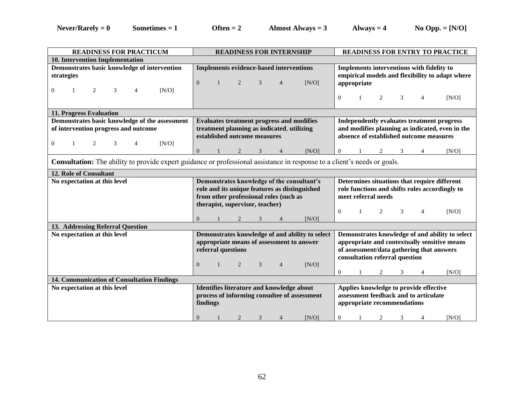| <b>READINESS FOR PRACTICUM</b>                                                                                                   | <b>READINESS FOR INTERNSHIP</b>                                                                 | <b>READINESS FOR ENTRY TO PRACTICE</b>          |  |  |  |  |  |
|----------------------------------------------------------------------------------------------------------------------------------|-------------------------------------------------------------------------------------------------|-------------------------------------------------|--|--|--|--|--|
| 10. Intervention Implementation                                                                                                  |                                                                                                 |                                                 |  |  |  |  |  |
| Demonstrates basic knowledge of intervention                                                                                     | Implements evidence-based interventions                                                         | Implements interventions with fidelity to       |  |  |  |  |  |
| strategies                                                                                                                       |                                                                                                 | empirical models and flexibility to adapt where |  |  |  |  |  |
|                                                                                                                                  | [N/O]<br>$\overline{0}$<br>3<br>2<br>$\overline{4}$                                             | appropriate                                     |  |  |  |  |  |
| 3<br>[N/O]<br>2<br>0<br>4                                                                                                        |                                                                                                 |                                                 |  |  |  |  |  |
|                                                                                                                                  |                                                                                                 | $\Omega$<br>3<br>[N/O]<br>2<br>1<br>4           |  |  |  |  |  |
|                                                                                                                                  |                                                                                                 |                                                 |  |  |  |  |  |
| 11. Progress Evaluation                                                                                                          |                                                                                                 |                                                 |  |  |  |  |  |
| Demonstrates basic knowledge of the assessment                                                                                   | <b>Evaluates treatment progress and modifies</b>                                                | Independently evaluates treatment progress      |  |  |  |  |  |
| of intervention progress and outcome                                                                                             | treatment planning as indicated, utilizing                                                      | and modifies planning as indicated, even in the |  |  |  |  |  |
|                                                                                                                                  | established outcome measures                                                                    | absence of established outcome measures         |  |  |  |  |  |
| 3<br>[N/O]<br>$\overline{0}$<br>2<br>1<br>4                                                                                      |                                                                                                 |                                                 |  |  |  |  |  |
|                                                                                                                                  | $\overline{0}$<br>[N/O]<br>2<br>3                                                               | [N/O]<br>$\overline{0}$<br>3<br>2<br>4          |  |  |  |  |  |
| <b>Consultation:</b> The ability to provide expert guidance or professional assistance in response to a client's needs or goals. |                                                                                                 |                                                 |  |  |  |  |  |
| 12. Role of Consultant                                                                                                           |                                                                                                 |                                                 |  |  |  |  |  |
| No expectation at this level                                                                                                     | Demonstrates knowledge of the consultant's                                                      | Determines situations that require different    |  |  |  |  |  |
|                                                                                                                                  | role and its unique features as distinguished<br>role functions and shifts roles accordingly to |                                                 |  |  |  |  |  |
|                                                                                                                                  | from other professional roles (such as                                                          | meet referral needs                             |  |  |  |  |  |
|                                                                                                                                  | therapist, supervisor, teacher)                                                                 |                                                 |  |  |  |  |  |
|                                                                                                                                  |                                                                                                 | $\Omega$<br>4<br>2<br>3<br>[N/O]                |  |  |  |  |  |
|                                                                                                                                  | $\overline{0}$<br>[N/O]                                                                         |                                                 |  |  |  |  |  |
| 13. Addressing Referral Question                                                                                                 |                                                                                                 |                                                 |  |  |  |  |  |
| No expectation at this level                                                                                                     | Demonstrates knowledge of and ability to select                                                 | Demonstrates knowledge of and ability to select |  |  |  |  |  |
|                                                                                                                                  | appropriate means of assessment to answer                                                       | appropriate and contextually sensitive means    |  |  |  |  |  |
|                                                                                                                                  |                                                                                                 |                                                 |  |  |  |  |  |
|                                                                                                                                  | referral questions                                                                              | of assessment/data gathering that answers       |  |  |  |  |  |
|                                                                                                                                  |                                                                                                 | consultation referral question                  |  |  |  |  |  |
|                                                                                                                                  | $\overline{0}$<br>[N/O]<br>2<br>3<br>4                                                          |                                                 |  |  |  |  |  |
|                                                                                                                                  |                                                                                                 | [N/O]<br>$\overline{0}$<br>2<br>3<br>4          |  |  |  |  |  |
| 14. Communication of Consultation Findings                                                                                       |                                                                                                 |                                                 |  |  |  |  |  |
| No expectation at this level                                                                                                     | Identifies literature and knowledge about                                                       | Applies knowledge to provide effective          |  |  |  |  |  |
|                                                                                                                                  | process of informing consultee of assessment                                                    | assessment feedback and to articulate           |  |  |  |  |  |
|                                                                                                                                  | findings                                                                                        | appropriate recommendations                     |  |  |  |  |  |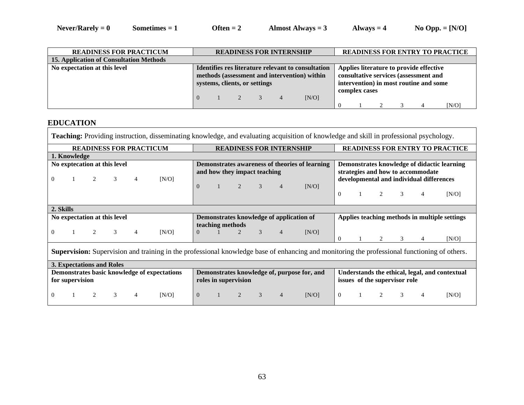| <b>READINESS FOR PRACTICUM</b>                 | <b>READINESS FOR INTERNSHIP</b> |                                                                                                                                     |                                |  |  |       |  |  |                                                                                                                                             |  |  | <b>READINESS FOR ENTRY TO PRACTICE</b> |  |  |
|------------------------------------------------|---------------------------------|-------------------------------------------------------------------------------------------------------------------------------------|--------------------------------|--|--|-------|--|--|---------------------------------------------------------------------------------------------------------------------------------------------|--|--|----------------------------------------|--|--|
| <b>15. Application of Consultation Methods</b> |                                 |                                                                                                                                     |                                |  |  |       |  |  |                                                                                                                                             |  |  |                                        |  |  |
| No expectation at this level                   |                                 | Identifies res literature relevant to consultation<br>methods (assessment and intervention) within<br>systems, clients, or settings |                                |  |  |       |  |  | Applies literature to provide effective<br>consultative services (assessment and<br>intervention) in most routine and some<br>complex cases |  |  |                                        |  |  |
|                                                | $\overline{0}$                  |                                                                                                                                     | $1 \qquad 2 \qquad 3 \qquad 4$ |  |  | [N/O] |  |  |                                                                                                                                             |  |  | [N/O]                                  |  |  |

## **EDUCATION**

| <b>Teaching:</b> Providing instruction, disseminating knowledge, and evaluating acquisition of knowledge and skill in professional psychology. |                              |                                                                                                                                        |   |                |       |          |                  |                |                              |                                 |                                                |                                                                                  |                                                |   |   |                                          |                                               |
|------------------------------------------------------------------------------------------------------------------------------------------------|------------------------------|----------------------------------------------------------------------------------------------------------------------------------------|---|----------------|-------|----------|------------------|----------------|------------------------------|---------------------------------|------------------------------------------------|----------------------------------------------------------------------------------|------------------------------------------------|---|---|------------------------------------------|-----------------------------------------------|
| <b>READINESS FOR PRACTICUM</b>                                                                                                                 |                              |                                                                                                                                        |   |                |       |          |                  |                |                              | <b>READINESS FOR INTERNSHIP</b> |                                                |                                                                                  |                                                |   |   |                                          | <b>READINESS FOR ENTRY TO PRACTICE</b>        |
| 1. Knowledge                                                                                                                                   |                              |                                                                                                                                        |   |                |       |          |                  |                |                              |                                 |                                                |                                                                                  |                                                |   |   |                                          |                                               |
|                                                                                                                                                | No exptecation at this level |                                                                                                                                        |   |                |       |          |                  |                | and how they impact teaching |                                 | Demonstrates awareness of theories of learning | Demonstrates knowledge of didactic learning<br>strategies and how to accommodate |                                                |   |   |                                          |                                               |
| $\theta$                                                                                                                                       |                              | $\overline{c}$                                                                                                                         | 3 | $\overline{4}$ | [N/O] | $\theta$ |                  | 2              | 3                            |                                 | [N/O]                                          |                                                                                  |                                                |   |   | developmental and individual differences |                                               |
|                                                                                                                                                |                              |                                                                                                                                        |   |                |       |          |                  |                |                              |                                 |                                                | $\Omega$                                                                         |                                                | 2 | 3 | $\overline{4}$                           | [N/O]                                         |
| 2. Skills                                                                                                                                      |                              |                                                                                                                                        |   |                |       |          |                  |                |                              |                                 |                                                |                                                                                  |                                                |   |   |                                          |                                               |
|                                                                                                                                                | No expectation at this level |                                                                                                                                        |   |                |       |          | teaching methods |                |                              |                                 | Demonstrates knowledge of application of       |                                                                                  |                                                |   |   |                                          | Applies teaching methods in multiple settings |
| $\Omega$                                                                                                                                       |                              |                                                                                                                                        | 3 | $\overline{4}$ | [N/O] | $\Omega$ |                  | $\overline{c}$ | 3                            | $\overline{4}$                  | [N/O]                                          | $\Omega$                                                                         |                                                | 2 | 3 | $\overline{4}$                           | IN/O1                                         |
| Supervision: Supervision and training in the professional knowledge base of enhancing and monitoring the professional functioning of others.   |                              |                                                                                                                                        |   |                |       |          |                  |                |                              |                                 |                                                |                                                                                  |                                                |   |   |                                          |                                               |
|                                                                                                                                                | 3. Expectations and Roles    |                                                                                                                                        |   |                |       |          |                  |                |                              |                                 |                                                |                                                                                  |                                                |   |   |                                          |                                               |
|                                                                                                                                                |                              | Demonstrates basic knowledge of expectations<br>Demonstrates knowledge of, purpose for, and<br>for supervision<br>roles in supervision |   |                |       |          |                  |                |                              | issues of the supervisor role   |                                                |                                                                                  | Understands the ethical, legal, and contextual |   |   |                                          |                                               |
| $\Omega$                                                                                                                                       |                              | 2                                                                                                                                      | 3 | $\overline{4}$ | [N/O] | $\theta$ |                  | 2              | 3                            | $\overline{4}$                  | [N/O]                                          | $\Omega$                                                                         |                                                | 2 | 3 | $\overline{4}$                           | [N/O]                                         |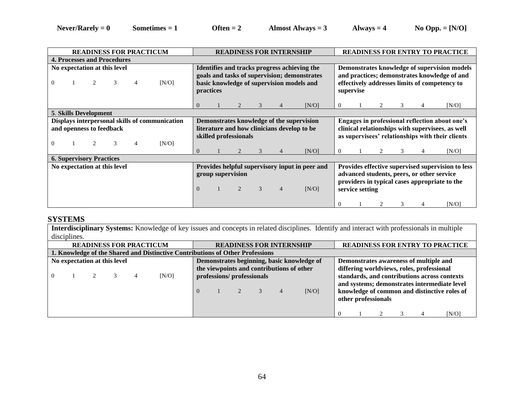| <b>READINESS FOR PRACTICUM</b>                                                                | <b>READINESS FOR INTERNSHIP</b>                                                                                                                                                                                                                                                        | <b>READINESS FOR ENTRY TO PRACTICE</b>                                                                                                                     |  |  |  |  |  |  |
|-----------------------------------------------------------------------------------------------|----------------------------------------------------------------------------------------------------------------------------------------------------------------------------------------------------------------------------------------------------------------------------------------|------------------------------------------------------------------------------------------------------------------------------------------------------------|--|--|--|--|--|--|
| <b>4. Processes and Procedures</b>                                                            |                                                                                                                                                                                                                                                                                        |                                                                                                                                                            |  |  |  |  |  |  |
| No expectation at this level<br>[N/O]<br>0<br>4                                               | Identifies and tracks progress achieving the<br>goals and tasks of supervision; demonstrates<br>basic knowledge of supervision models and<br>practices                                                                                                                                 | Demonstrates knowledge of supervision models<br>and practices; demonstrates knowledge of and<br>effectively addresses limits of competency to<br>supervise |  |  |  |  |  |  |
|                                                                                               | $\Omega$<br>[N/O]                                                                                                                                                                                                                                                                      | [N/O]<br>4                                                                                                                                                 |  |  |  |  |  |  |
| <b>5. Skills Development</b>                                                                  |                                                                                                                                                                                                                                                                                        |                                                                                                                                                            |  |  |  |  |  |  |
| Displays interpersonal skills of communication<br>and openness to feedback<br>[N/O]<br>0<br>4 | Demonstrates knowledge of the supervision<br>literature and how clinicians develop to be<br>skilled professionals                                                                                                                                                                      | Engages in professional reflection about one's<br>clinical relationships with supervisees, as well<br>as supervisees' relationships with their clients     |  |  |  |  |  |  |
|                                                                                               | $\Omega$<br>3<br>[N/O]<br>$\overline{4}$                                                                                                                                                                                                                                               | [N/O]<br>3<br>0<br>4                                                                                                                                       |  |  |  |  |  |  |
| <b>6. Supervisory Practices</b>                                                               |                                                                                                                                                                                                                                                                                        |                                                                                                                                                            |  |  |  |  |  |  |
| No expectation at this level                                                                  | Provides effective supervised supervision to less<br>Provides helpful supervisory input in peer and<br>advanced students, peers, or other service<br>group supervision<br>providers in typical cases appropriate to the<br>$\Omega$<br>3<br>[N/O]<br>service setting<br>$\overline{4}$ |                                                                                                                                                            |  |  |  |  |  |  |
|                                                                                               |                                                                                                                                                                                                                                                                                        | [N/O]<br>3<br>4                                                                                                                                            |  |  |  |  |  |  |

#### **SYSTEMS**

**Interdisciplinary Systems:** Knowledge of key issues and concepts in related disciplines. Identify and interact with professionals in multiple disciplines.

| <b>READINESS FOR PRACTICUM</b>                                                |                              |  |  |  |                                                                                                                                                                                                                                                                                                                                                                                   |  | <b>READINESS FOR INTERNSHIP</b> |  |  |  |       |  | <b>READINESS FOR ENTRY TO PRACTICE</b> |                     |  |  |       |
|-------------------------------------------------------------------------------|------------------------------|--|--|--|-----------------------------------------------------------------------------------------------------------------------------------------------------------------------------------------------------------------------------------------------------------------------------------------------------------------------------------------------------------------------------------|--|---------------------------------|--|--|--|-------|--|----------------------------------------|---------------------|--|--|-------|
| 1. Knowledge of the Shared and Distinctive Contributions of Other Professions |                              |  |  |  |                                                                                                                                                                                                                                                                                                                                                                                   |  |                                 |  |  |  |       |  |                                        |                     |  |  |       |
| 0                                                                             | No expectation at this level |  |  |  | Demonstrates awareness of multiple and<br>Demonstrates beginning, basic knowledge of<br>the viewpoints and contributions of other<br>differing worldviews, roles, professional<br>standards, and contributions across contexts<br>[N/O]<br>professions/ professionals<br>and systems; demonstrates intermediate level<br>knowledge of common and distinctive roles of<br>$\Omega$ |  |                                 |  |  |  |       |  |                                        |                     |  |  |       |
|                                                                               |                              |  |  |  |                                                                                                                                                                                                                                                                                                                                                                                   |  |                                 |  |  |  | [N/O] |  |                                        | other professionals |  |  | [N/O] |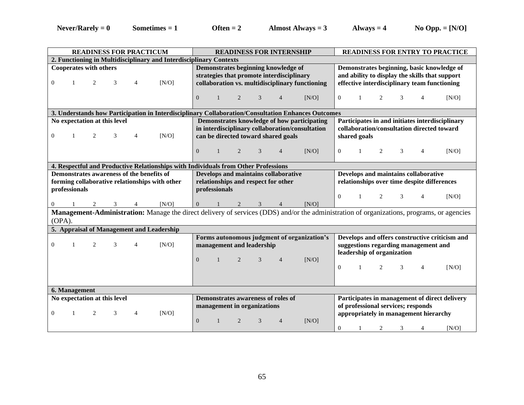| <b>READINESS FOR PRACTICUM</b>                                                                                                                        | <b>READINESS FOR INTERNSHIP</b>                                                                                                                 | <b>READINESS FOR ENTRY TO PRACTICE</b>                                                                                                                                    |  |  |  |  |  |  |  |  |  |
|-------------------------------------------------------------------------------------------------------------------------------------------------------|-------------------------------------------------------------------------------------------------------------------------------------------------|---------------------------------------------------------------------------------------------------------------------------------------------------------------------------|--|--|--|--|--|--|--|--|--|
| 2. Functioning in Multidisciplinary and Interdisciplinary Contexts                                                                                    |                                                                                                                                                 |                                                                                                                                                                           |  |  |  |  |  |  |  |  |  |
| <b>Cooperates with others</b><br>3<br>[N/O]<br>$\boldsymbol{0}$<br>1<br>2<br>4                                                                        | Demonstrates beginning knowledge of<br>strategies that promote interdisciplinary<br>collaboration vs. multidisciplinary functioning             | Demonstrates beginning, basic knowledge of<br>and ability to display the skills that support<br>effective interdisciplinary team functioning                              |  |  |  |  |  |  |  |  |  |
|                                                                                                                                                       | $\mathbf{0}$<br>2<br>3<br>[N/O]<br>$\mathbf{1}$<br>$\overline{4}$                                                                               | $\overline{0}$<br>2<br>3<br>[N/O]<br>1<br>4                                                                                                                               |  |  |  |  |  |  |  |  |  |
| 3. Understands how Participation in Interdisciplinary Collaboration/Consultation Enhances Outcomes                                                    |                                                                                                                                                 |                                                                                                                                                                           |  |  |  |  |  |  |  |  |  |
| No expectation at this level<br>$\theta$<br>3<br>[N/O]<br>1<br>2<br>4                                                                                 | Demonstrates knowledge of how participating<br>in interdisciplinary collaboration/consultation<br>can be directed toward shared goals           | Participates in and initiates interdisciplinary<br>collaboration/consultation directed toward<br>shared goals                                                             |  |  |  |  |  |  |  |  |  |
|                                                                                                                                                       | $\overline{0}$<br>$\mathbf{1}$<br>2<br>3<br>$\overline{4}$<br>[N/O]                                                                             | 2<br>$\overline{0}$<br>3<br>4<br>[N/O]<br>-1                                                                                                                              |  |  |  |  |  |  |  |  |  |
| 4. Respectful and Productive Relationships with Individuals from Other Professions                                                                    |                                                                                                                                                 |                                                                                                                                                                           |  |  |  |  |  |  |  |  |  |
| Demonstrates awareness of the benefits of<br>forming collaborative relationships with other<br>professionals                                          | Develops and maintains collaborative<br>relationships and respect for other<br>professionals                                                    | Develops and maintains collaborative<br>relationships over time despite differences                                                                                       |  |  |  |  |  |  |  |  |  |
| [N/O]<br>3<br>$\overline{0}$                                                                                                                          | [N/O]<br>$\mathbf{0}$<br>3<br>2                                                                                                                 | $\overline{0}$<br>2<br>3<br>$\left[\mathrm{N}/\mathrm{O}\right]$<br>-1<br>4                                                                                               |  |  |  |  |  |  |  |  |  |
| Management-Administration: Manage the direct delivery of services (DDS) and/or the administration of organizations, programs, or agencies<br>$OPA$ ). |                                                                                                                                                 |                                                                                                                                                                           |  |  |  |  |  |  |  |  |  |
| 5. Appraisal of Management and Leadership                                                                                                             |                                                                                                                                                 |                                                                                                                                                                           |  |  |  |  |  |  |  |  |  |
| $\mathbf{0}$<br>2<br>3<br>$\overline{4}$<br>[N/O]<br>1                                                                                                | Forms autonomous judgment of organization's<br>management and leadership<br>2<br>3<br>$\overline{0}$<br>$\mathbf{1}$<br>[N/O]<br>$\overline{4}$ | Develops and offers constructive criticism and<br>suggestions regarding management and<br>leadership of organization<br>2<br>$\mathbf{0}$<br>3<br>$\overline{4}$<br>[N/O] |  |  |  |  |  |  |  |  |  |
| 6. Management                                                                                                                                         |                                                                                                                                                 |                                                                                                                                                                           |  |  |  |  |  |  |  |  |  |
| No expectation at this level                                                                                                                          | Demonstrates awareness of roles of                                                                                                              | Participates in management of direct delivery                                                                                                                             |  |  |  |  |  |  |  |  |  |
| $\mathbf{1}$<br>2<br>3<br>$\overline{4}$<br>[N/O]<br>$\theta$                                                                                         | management in organizations<br>2<br>3<br>[N/O]<br>$\overline{0}$<br>$\overline{4}$                                                              | of professional services; responds<br>appropriately in management hierarchy<br>[N/O]<br>$\boldsymbol{0}$<br>2<br>3<br>4                                                   |  |  |  |  |  |  |  |  |  |
|                                                                                                                                                       |                                                                                                                                                 |                                                                                                                                                                           |  |  |  |  |  |  |  |  |  |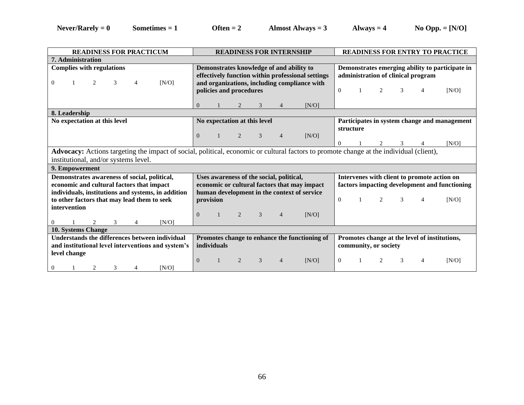| <b>READINESS FOR PRACTICUM</b>                                                                                                                  | <b>READINESS FOR INTERNSHIP</b>                                                                                                                                          | <b>READINESS FOR ENTRY TO PRACTICE</b>                                                                                                |  |  |  |  |  |
|-------------------------------------------------------------------------------------------------------------------------------------------------|--------------------------------------------------------------------------------------------------------------------------------------------------------------------------|---------------------------------------------------------------------------------------------------------------------------------------|--|--|--|--|--|
| <b>7. Administration</b>                                                                                                                        |                                                                                                                                                                          |                                                                                                                                       |  |  |  |  |  |
| <b>Complies with regulations</b><br>[N/O]<br>2<br>$\Omega$<br>4                                                                                 | Demonstrates knowledge of and ability to<br>effectively function within professional settings<br>and organizations, including compliance with<br>policies and procedures | Demonstrates emerging ability to participate in<br>administration of clinical program<br>$\Omega$<br>2<br>$\mathcal{R}$<br>4<br>[N/O] |  |  |  |  |  |
|                                                                                                                                                 | $\Omega$<br>[N/O]<br>3                                                                                                                                                   |                                                                                                                                       |  |  |  |  |  |
| 8. Leadership                                                                                                                                   |                                                                                                                                                                          |                                                                                                                                       |  |  |  |  |  |
| No expectation at this level                                                                                                                    | No expectation at this level                                                                                                                                             | Participates in system change and management                                                                                          |  |  |  |  |  |
|                                                                                                                                                 | $\overline{0}$<br>[N/O]<br>$\overline{c}$<br>3<br>$\overline{4}$                                                                                                         | structure<br>$\mathcal{E}$<br>[N/O]<br>$\mathfrak{D}$<br>0                                                                            |  |  |  |  |  |
|                                                                                                                                                 | Advocacy: Actions targeting the impact of social, political, economic or cultural factors to promote change at the individual (client),                                  |                                                                                                                                       |  |  |  |  |  |
| institutional, and/or systems level.                                                                                                            |                                                                                                                                                                          |                                                                                                                                       |  |  |  |  |  |
| 9. Empowerment                                                                                                                                  |                                                                                                                                                                          |                                                                                                                                       |  |  |  |  |  |
| Demonstrates awareness of social, political,<br>economic and cultural factors that impact<br>individuals, institutions and systems, in addition | Uses awareness of the social, political,<br>economic or cultural factors that may impact<br>human development in the context of service                                  | Intervenes with client to promote action on<br>factors impacting development and functioning                                          |  |  |  |  |  |
| to other factors that may lead them to seek                                                                                                     | provision                                                                                                                                                                | $\Omega$<br>2<br>[N/O]<br>4                                                                                                           |  |  |  |  |  |
| intervention                                                                                                                                    | 3<br>$\theta$<br>$\overline{c}$<br>[N/O]<br>$\overline{4}$                                                                                                               |                                                                                                                                       |  |  |  |  |  |
| IN/O<br>2<br>3<br>0<br>4                                                                                                                        |                                                                                                                                                                          |                                                                                                                                       |  |  |  |  |  |
| 10. Systems Change                                                                                                                              |                                                                                                                                                                          |                                                                                                                                       |  |  |  |  |  |
| Understands the differences between individual<br>and institutional level interventions and system's<br>level change                            | Promotes change at the level of institutions,<br>community, or society                                                                                                   |                                                                                                                                       |  |  |  |  |  |
| 2<br>[N/O]<br>3<br>0<br>4                                                                                                                       | 3<br>[N/O]<br>$\Omega$<br>2<br>$\overline{4}$                                                                                                                            | $\Omega$<br>3<br>[N/O]<br>4                                                                                                           |  |  |  |  |  |